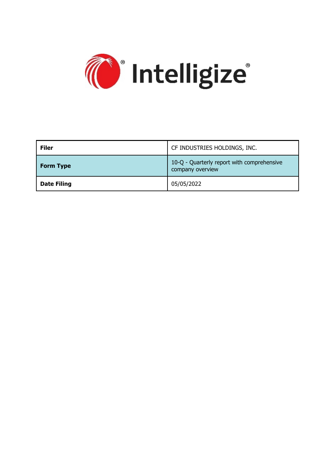

| <b>Filer</b>       | CF INDUSTRIES HOLDINGS, INC.                                   |
|--------------------|----------------------------------------------------------------|
| <b>Form Type</b>   | 10-Q - Quarterly report with comprehensive<br>company overview |
| <b>Date Filing</b> | 05/05/2022                                                     |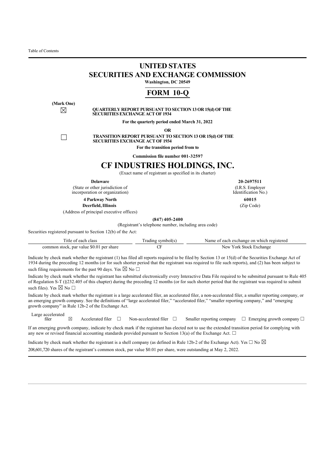# **UNITED STATES SECURITIES AND EXCHANGE COMMISSION Washington, DC 20549**

# **FORM 10-Q**

**(Mark One)**

☒ **QUARTERLY REPORT PURSUANT TO SECTION 13 OR 15(d) OF THE SECURITIES EXCHANGE ACT OF 1934**

**For the quarterly period ended March 31, 2022**

**OR**

☐ **TRANSITION REPORT PURSUANT TO SECTION 13 OR 15(d) OF THE SECURITIES EXCHANGE ACT OF 1934**

**For the transition period from to**

**Commission file number 001-32597**

# **CF INDUSTRIES HOLDINGS, INC.**

(Exact name of registrant as specified in its charter)

**Delaware 20-2697511**

(State or other jurisdiction of incorporation or organization)

**4 Parkway North 60015**

(Address of principal executive offices)

**(847**) **405-2400**

(Registrant's telephone number, including area code)

Securities registered pursuant to Section 12(b) of the Act:

| cias:<br>eac                             | $\alpha$ n<br>exchange<br>registerer.<br>which<br>each<br>വ<br>Name |
|------------------------------------------|---------------------------------------------------------------------|
| par value<br>:haro<br>80<br>™nr<br>stock | ∴ork<br><b>New</b><br>stock.<br>∵ehanα∈                             |

Indicate by check mark whether the registrant (1) has filed all reports required to be filed by Section 13 or 15(d) of the Securities Exchange Act of 1934 during the preceding 12 months (or for such shorter period that the registrant was required to file such reports), and (2) has been subject to such filing requirements for the past 90 days. Yes  $\boxtimes$  No  $\Box$ 

Indicate by check mark whether the registrant has submitted electronically every Interactive Data File required to be submitted pursuant to Rule 405 of Regulation S-T (§232.405 of this chapter) during the preceding 12 months (or for such shorter period that the registrant was required to submit such files). Yes  $\boxtimes$  No  $\Box$ 

Indicate by check mark whether the registrant is a large accelerated filer, an accelerated filer, a non-accelerated filer, a smaller reporting company, or an emerging growth company. See the definitions of "large accelerated filer," "accelerated filer," "smaller reporting company," and "emerging growth company" in Rule 12b-2 of the Exchange Act.

Large accelerated<br>filer

filer ☒ Accelerated filer ☐ Non-accelerated filer ☐ Smaller reporting company ☐ Emerging growth company☐

If an emerging growth company, indicate by check mark if the registrant has elected not to use the extended transition period for complying with any new or revised financial accounting standards provided pursuant to Section 13(a) of the Exchange Act.  $\Box$ 

<span id="page-1-0"></span>Indicate by check mark whether the registrant is a shell company (as defined in Rule 12b-2 of the Exchange Act). Yes  $\Box$  No  $\boxtimes$ 208,601,720 shares of the registrant's common stock, par value \$0.01 per share, were outstanding at May 2, 2022.

(I.R.S. Employer Identification No.)

**Deerfield,Illinois** (Zip Code)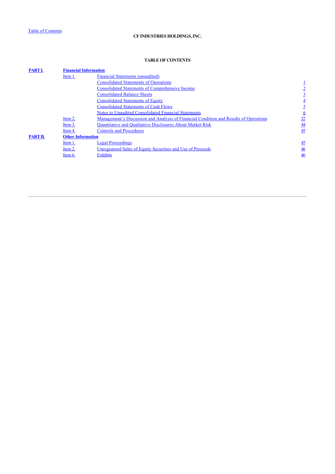# **TABLE OF CONTENTS**

<span id="page-2-0"></span>

| PART I.  | <b>Financial Information</b> |                                                                                       |                 |
|----------|------------------------------|---------------------------------------------------------------------------------------|-----------------|
|          | Item 1.                      | Financial Statements (unaudited)                                                      |                 |
|          |                              | <b>Consolidated Statements of Operations</b>                                          |                 |
|          |                              | <b>Consolidated Statements of Comprehensive Income</b>                                |                 |
|          |                              | <b>Consolidated Balance Sheets</b>                                                    |                 |
|          |                              | <b>Consolidated Statements of Equity</b>                                              |                 |
|          |                              | <b>Consolidated Statements of Cash Flows</b>                                          |                 |
|          |                              | Notes to Unaudited Consolidated Financial Statements                                  | <u>6</u>        |
|          | Item 2.                      | Management's Discussion and Analysis of Financial Condition and Results of Operations | <u>22</u>       |
|          | Item 3.                      | <b>Quantitative and Qualitative Disclosures About Market Risk</b>                     | $\overline{44}$ |
|          | Item 4.                      | <b>Controls and Procedures</b>                                                        | 45              |
| PART II. | <b>Other Information</b>     |                                                                                       |                 |
|          | Item 1.                      | Legal Proceedings                                                                     | $\overline{45}$ |
|          | Item 2.                      | Unregistered Sales of Equity Securities and Use of Proceeds                           | $\frac{46}{5}$  |
|          | Item 6.                      | <b>Exhibits</b>                                                                       | $\frac{46}{5}$  |
|          |                              |                                                                                       |                 |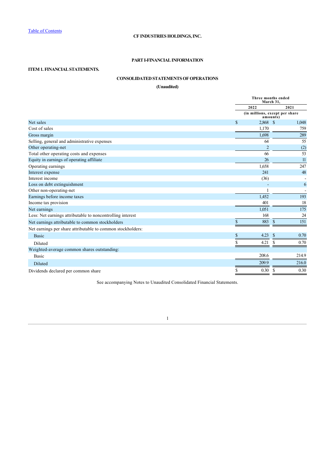# **PART I-FINANCIAL INFORMATION**

# <span id="page-3-1"></span><span id="page-3-0"></span>**ITEM 1. FINANCIAL STATEMENTS.**

# **CONSOLIDATED STATEMENTS OF OPERATIONS**

**(Unaudited)**

|                                                             |             | Three months ended<br>March 31. |              |       |
|-------------------------------------------------------------|-------------|---------------------------------|--------------|-------|
|                                                             |             | 2022                            |              | 2021  |
|                                                             |             | (in millions, except per share) | amounts)     |       |
| Net sales                                                   | $\mathbf S$ | 2,868 \$                        |              | 1,048 |
| Cost of sales                                               |             | 1.170                           |              | 759   |
| Gross margin                                                |             | 1,698                           |              | 289   |
| Selling, general and administrative expenses                |             | 64                              |              | 55    |
| Other operating-net                                         |             | $\overline{2}$                  |              | (2)   |
| Total other operating costs and expenses                    |             | 66                              |              | 53    |
| Equity in earnings of operating affiliate                   |             | 26                              |              | 11    |
| Operating earnings                                          |             | 1,658                           |              | 247   |
| Interest expense                                            |             | 241                             |              | 48    |
| Interest income                                             |             | (36)                            |              |       |
| Loss on debt extinguishment                                 |             |                                 |              | 6     |
| Other non-operating-net                                     |             |                                 |              |       |
| Earnings before income taxes                                |             | 1.452                           |              | 193   |
| Income tax provision                                        |             | 401                             |              | 18    |
| Net earnings                                                |             | 1,051                           |              | 175   |
| Less: Net earnings attributable to noncontrolling interest  |             | 168                             |              | 24    |
| Net earnings attributable to common stockholders            | \$          | 883                             | <sup>S</sup> | 151   |
| Net earnings per share attributable to common stockholders: |             |                                 |              |       |
| <b>Basic</b>                                                | \$          | 4.23                            | <sup>S</sup> | 0.70  |
| Diluted                                                     |             | 4.21                            |              | 0.70  |
| Weighted-average common shares outstanding:                 |             |                                 |              |       |
| <b>Basic</b>                                                |             | 208.6                           |              | 214.9 |
| Diluted                                                     |             | 209.9                           |              | 216.0 |
| Dividends declared per common share                         |             | 0.30                            |              | 0.30  |

<span id="page-3-2"></span>See accompanying Notes to Unaudited Consolidated Financial Statements.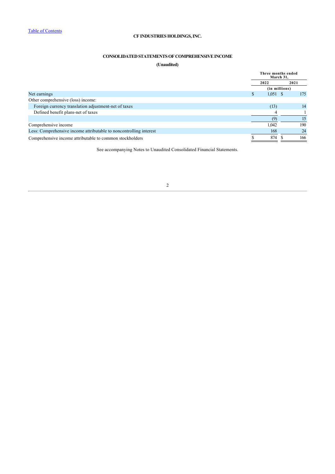# **CONSOLIDATED STATEMENTS OF COMPREHENSIVE INCOME**

# **(Unaudited)**

|                                                                    |    | Three months ended<br>March 31. |               |      |  |
|--------------------------------------------------------------------|----|---------------------------------|---------------|------|--|
|                                                                    |    | 2022                            |               | 2021 |  |
|                                                                    |    |                                 | (in millions) |      |  |
| Net earnings                                                       | D. | $1,051$ \$                      |               | 175  |  |
| Other comprehensive (loss) income:                                 |    |                                 |               |      |  |
| Foreign currency translation adjustment-net of taxes               |    | (13)                            |               | 14   |  |
| Defined benefit plans-net of taxes                                 |    |                                 |               |      |  |
|                                                                    |    | (9                              |               | 15   |  |
| Comprehensive income                                               |    | 1.042                           |               | 190  |  |
| Less: Comprehensive income attributable to noncontrolling interest |    | 168                             |               | 24   |  |
| Comprehensive income attributable to common stockholders           |    | 874                             |               | 166  |  |

<span id="page-4-0"></span>See accompanying Notes to Unaudited Consolidated Financial Statements.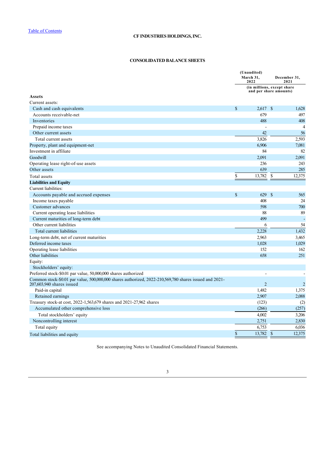# **CONSOLIDATED BALANCE SHEETS**

|                                                                                                                                     |               | (Unaudited)<br>March 31,<br>2022<br>(in millions, except share |              | December 31,<br>2021 |
|-------------------------------------------------------------------------------------------------------------------------------------|---------------|----------------------------------------------------------------|--------------|----------------------|
|                                                                                                                                     |               |                                                                |              |                      |
| Assets                                                                                                                              |               | and per share amounts)                                         |              |                      |
| Current assets:                                                                                                                     |               |                                                                |              |                      |
| Cash and cash equivalents                                                                                                           | $\mathbb{S}$  | 2.617S                                                         |              | 1.628                |
| Accounts receivable-net                                                                                                             |               | 679                                                            |              | 497                  |
| Inventories                                                                                                                         |               | 488                                                            |              | 408                  |
| Prepaid income taxes                                                                                                                |               |                                                                |              | 4                    |
| Other current assets                                                                                                                |               | 42                                                             |              | 56                   |
| Total current assets                                                                                                                |               | 3,826                                                          |              | 2,593                |
| Property, plant and equipment-net                                                                                                   |               | 6,906                                                          |              | 7,081                |
| Investment in affiliate                                                                                                             |               | 84                                                             |              | 82                   |
| Goodwill                                                                                                                            |               | 2,091                                                          |              | 2,091                |
| Operating lease right-of-use assets                                                                                                 |               | 236                                                            |              | 243                  |
| Other assets                                                                                                                        |               | 639                                                            |              | 285                  |
| Total assets                                                                                                                        | \$            | 13,782                                                         | \$           | 12,375               |
| <b>Liabilities and Equity</b>                                                                                                       |               |                                                                |              |                      |
| Current liabilities:                                                                                                                |               |                                                                |              |                      |
| Accounts payable and accrued expenses                                                                                               | $\mathbb{S}$  | 629                                                            | $\mathbf{s}$ | 565                  |
| Income taxes payable                                                                                                                |               | 408                                                            |              | 24                   |
| Customer advances                                                                                                                   |               | 598                                                            |              | 700                  |
| Current operating lease liabilities                                                                                                 |               | 88                                                             |              | 89                   |
| Current maturities of long-term debt                                                                                                |               | 499                                                            |              |                      |
| Other current liabilities                                                                                                           |               | 6                                                              |              | 54                   |
| Total current liabilities                                                                                                           |               | 2,228                                                          |              | 1,432                |
| Long-term debt, net of current maturities                                                                                           |               | 2,963                                                          |              | 3,465                |
| Deferred income taxes                                                                                                               |               | 1,028                                                          |              | 1,029                |
| Operating lease liabilities                                                                                                         |               | 152                                                            |              | 162                  |
| Other liabilities                                                                                                                   |               | 658                                                            |              | 251                  |
| Equity:                                                                                                                             |               |                                                                |              |                      |
| Stockholders' equity:                                                                                                               |               |                                                                |              |                      |
| Preferred stock-\$0.01 par value, 50,000,000 shares authorized                                                                      |               |                                                                |              |                      |
| Common stock-\$0.01 par value, 500,000,000 shares authorized, 2022-210,569,780 shares issued and 2021-<br>207,603,940 shares issued |               | $\overline{2}$                                                 |              | $\overline{2}$       |
| Paid-in capital                                                                                                                     |               | 1,482                                                          |              | 1,375                |
| Retained earnings                                                                                                                   |               | 2,907                                                          |              | 2,088                |
| Treasury stock-at cost, 2022-1,563,679 shares and 2021-27,962 shares                                                                |               | (123)                                                          |              | (2)                  |
| Accumulated other comprehensive loss                                                                                                |               | (266)                                                          |              | (257)                |
| Total stockholders' equity                                                                                                          |               | 4,002                                                          |              | 3,206                |
| Noncontrolling interest                                                                                                             |               | 2,751                                                          |              | 2,830                |
| Total equity                                                                                                                        |               | 6,753                                                          |              | 6,036                |
| Total liabilities and equity                                                                                                        | $\mathsf{\$}$ | 13,782                                                         | $\mathbf S$  | 12,375               |

<span id="page-5-0"></span>See accompanying Notes to Unaudited Consolidated Financial Statements.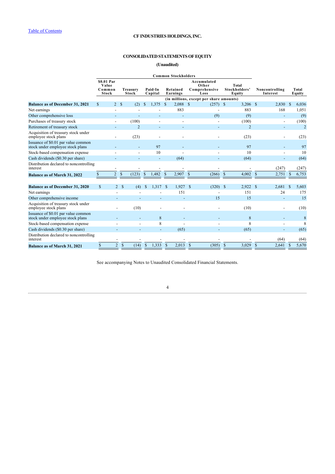# **CONSOLIDATED STATEMENTS OF EQUITY**

# **(Unaudited)**

|                                                                         |                                               |                                 |                                 |               |                    | <b>Common Stockholders</b> |               |                                               |                                         |                            |               |                 |
|-------------------------------------------------------------------------|-----------------------------------------------|---------------------------------|---------------------------------|---------------|--------------------|----------------------------|---------------|-----------------------------------------------|-----------------------------------------|----------------------------|---------------|-----------------|
|                                                                         | \$0.01 Par<br>Value<br>Common<br><b>Stock</b> |                                 | <b>Treasury</b><br><b>Stock</b> |               | Paid-In<br>Capital | Retained<br>Earnings       |               | Accumulated<br>Other<br>Comprehensive<br>Loss | <b>Total</b><br>Stockholders'<br>Equity | Noncontrolling<br>Interest |               | Total<br>Equity |
|                                                                         |                                               |                                 |                                 |               |                    |                            |               | (in millions, except per share amounts)       |                                         |                            |               |                 |
| <b>Balance as of December 31, 2021</b>                                  | <sup>\$</sup>                                 | $\overline{2}$<br><sup>\$</sup> | (2)                             | S             | 1,375              | $2,088$ \$                 |               | $(257)$ \$                                    | 3,206                                   | <sup>\$</sup><br>2,830     | <sup>\$</sup> | 6,036           |
| Net earnings                                                            |                                               |                                 |                                 |               |                    | 883                        |               |                                               | 883                                     | 168                        |               | 1,051           |
| Other comprehensive loss                                                |                                               |                                 |                                 |               |                    | $\overline{\phantom{a}}$   |               | (9)                                           | (9)                                     |                            |               | (9)             |
| Purchases of treasury stock                                             |                                               | $\overline{\phantom{a}}$        | (100)                           |               | $\overline{a}$     |                            |               |                                               | (100)                                   |                            |               | (100)           |
| Retirement of treasury stock                                            |                                               |                                 | $\overline{2}$                  |               |                    |                            |               |                                               | $\overline{2}$                          |                            |               | $\overline{2}$  |
| Acquisition of treasury stock under<br>employee stock plans             |                                               |                                 | (23)                            |               |                    |                            |               |                                               | (23)                                    |                            |               | (23)            |
| Issuance of \$0.01 par value common<br>stock under employee stock plans |                                               |                                 |                                 |               | 97                 |                            |               |                                               | 97                                      |                            |               | 97              |
| Stock-based compensation expense                                        |                                               |                                 |                                 |               | 10                 |                            |               |                                               | 10                                      |                            |               | 10              |
| Cash dividends (\$0.30 per share)                                       |                                               |                                 |                                 |               |                    | (64)                       |               |                                               | (64)                                    |                            |               | (64)            |
| Distribution declared to noncontrolling<br>interest                     |                                               |                                 |                                 |               |                    |                            |               |                                               |                                         | (247)                      |               | (247)           |
| Balance as of March 31, 2022                                            | \$                                            | $\mathbb{S}$<br>$\overline{2}$  | (123)                           | \$            | 1,482              | 2,907<br>$\mathcal{S}$     | $\mathcal{S}$ | (266)                                         | -S<br>4,002                             | $\mathcal{S}$<br>2,751     |               | 6,753           |
| <b>Balance as of December 31, 2020</b>                                  | $\mathbb{S}$                                  | $\overline{2}$<br><sup>\$</sup> | (4)                             | <sup>\$</sup> | 1,317              | <sup>\$</sup><br>1,927     | -S            | $(320)$ \$                                    | 2,922                                   | $\mathcal{S}$<br>2,681     | S             | 5,603           |
| Net earnings                                                            |                                               |                                 |                                 |               |                    | 151                        |               |                                               | 151                                     | 24                         |               | 175             |
| Other comprehensive income                                              |                                               |                                 |                                 |               |                    |                            |               | 15                                            | 15                                      |                            |               | 15              |
| Acquisition of treasury stock under<br>employee stock plans             |                                               |                                 | (10)                            |               |                    |                            |               |                                               | (10)                                    |                            |               | (10)            |
| Issuance of \$0.01 par value common<br>stock under employee stock plans |                                               |                                 |                                 |               | 8                  |                            |               |                                               | 8                                       |                            |               | 8               |
| Stock-based compensation expense                                        |                                               |                                 |                                 |               | 8                  |                            |               |                                               | 8                                       |                            |               | 8               |
| Cash dividends (\$0.30 per share)                                       |                                               |                                 |                                 |               |                    | (65)                       |               |                                               | (65)                                    |                            |               | (65)            |
| Distribution declared to noncontrolling<br>interest                     |                                               |                                 |                                 |               |                    |                            |               |                                               |                                         | (64)                       |               | (64)            |
| <b>Balance as of March 31, 2021</b>                                     | \$                                            | $\overline{2}$<br>$\mathbb{S}$  | (14)                            | $\mathbb{S}$  | 1,333              | $\mathcal{S}$<br>2,013     | $\mathbb{S}$  | (305)                                         | $\mathbf{\hat{s}}$<br>3,029             | $\mathcal{S}$<br>2,641     | S             | 5,670           |

<span id="page-6-0"></span>See accompanying Notes to Unaudited Consolidated Financial Statements.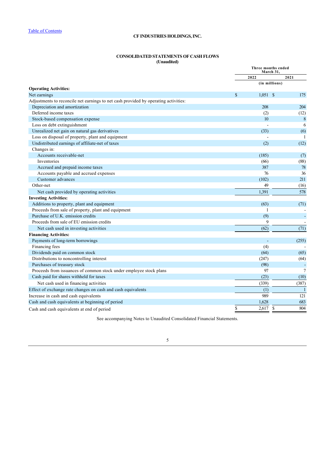# **CONSOLIDATED STATEMENTS OF CASH FLOWS (Unaudited)**

|                                                                                     | Three months ended<br>March 31, |                  |               |                |
|-------------------------------------------------------------------------------------|---------------------------------|------------------|---------------|----------------|
|                                                                                     |                                 | 2022             |               | 2021           |
|                                                                                     |                                 |                  | (in millions) |                |
| <b>Operating Activities:</b><br>Net earnings                                        | \$                              |                  |               |                |
| Adjustments to reconcile net earnings to net cash provided by operating activities: |                                 | $1.051 \quad$ \$ |               | 175            |
| Depreciation and amortization                                                       |                                 | 208              |               | 204            |
| Deferred income taxes                                                               |                                 | (2)              |               | (12)           |
| Stock-based compensation expense                                                    |                                 | 10               |               | 8              |
| Loss on debt extinguishment                                                         |                                 |                  |               | 6              |
| Unrealized net gain on natural gas derivatives                                      |                                 | (33)             |               | (6)            |
| Loss on disposal of property, plant and equipment                                   |                                 |                  |               | 1              |
| Undistributed earnings of affiliate-net of taxes                                    |                                 | (2)              |               | (12)           |
| Changes in:                                                                         |                                 |                  |               |                |
| Accounts receivable-net                                                             |                                 | (185)            |               | (7)            |
| Inventories                                                                         |                                 | (66)             |               | (88)           |
| Accrued and prepaid income taxes                                                    |                                 | 387              |               | $78\,$         |
| Accounts payable and accrued expenses                                               |                                 | 76               |               | 36             |
| Customer advances                                                                   |                                 | (102)            |               | 211            |
| Other-net                                                                           |                                 | 49               |               | (16)           |
| Net cash provided by operating activities                                           |                                 | 1,391            |               | 578            |
| <b>Investing Activities:</b>                                                        |                                 |                  |               |                |
| Additions to property, plant and equipment                                          |                                 | (63)             |               | (71)           |
| Proceeds from sale of property, plant and equipment                                 |                                 | 1                |               |                |
| Purchase of U.K. emission credits                                                   |                                 | (9)              |               | ÷              |
| Proceeds from sale of EU emission credits                                           |                                 | 9                |               |                |
| Net cash used in investing activities                                               |                                 | (62)             |               | (71)           |
| <b>Financing Activities:</b>                                                        |                                 |                  |               |                |
| Payments of long-term borrowings                                                    |                                 |                  |               | (255)          |
| Financing fees                                                                      |                                 | (4)              |               |                |
| Dividends paid on common stock                                                      |                                 | (64)             |               | (65)           |
| Distributions to noncontrolling interest                                            |                                 | (247)            |               | (64)           |
| Purchases of treasury stock                                                         |                                 | (98)             |               | $\blacksquare$ |
| Proceeds from issuances of common stock under employee stock plans                  |                                 | 97               |               | 7              |
| Cash paid for shares withheld for taxes                                             |                                 | (23)             |               | (10)           |
| Net cash used in financing activities                                               |                                 | (339)            |               | (387)          |
| Effect of exchange rate changes on cash and cash equivalents                        |                                 | (1)              |               | $\mathbf{1}$   |
| Increase in cash and cash equivalents                                               |                                 | 989              |               | 121            |
| Cash and cash equivalents at beginning of period                                    |                                 | 1,628            |               | 683            |
| Cash and cash equivalents at end of period                                          | \$                              | $2,617$ \$       |               | 804            |

<span id="page-7-0"></span>See accompanying Notes to Unaudited Consolidated Financial Statements.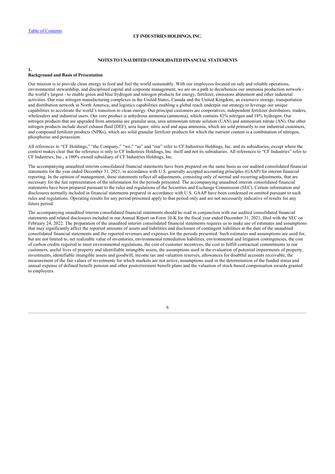**1.**

# **CF INDUSTRIES HOLDINGS, INC.**

# **NOTES TO UNAUDITED CONSOLIDATED FINANCIAL STATEMENTS**

## **Background and Basis of Presentation**

Our mission is to provide clean energy to feed and fuel the world sustainably. With our employees focused on safe and reliable operations, environmental stewardship, and disciplined capital and corporate management, we are on a path to decarbonize our ammonia production network the world's largest - to enable green and blue hydrogen and nitrogen products for energy, fertilizer, emissions abatement and other industrial activities. Our nine nitrogen manufacturing complexes in the United States, Canada and the United Kingdom, an extensive storage, transportation and distribution network in North America, and logistics capabilities enabling a global reach underpin our strategy to leverage our unique capabilities to accelerate the world's transition to clean energy. Our principal customers are cooperatives, independent fertilizer distributors, traders, wholesalers and industrial users. Our core product is anhydrous ammonia (ammonia), which contains 82% nitrogen and 18% hydrogen. Our nitrogen products that are upgraded from ammonia are granular urea, urea ammonium nitrate solution (UAN) and ammonium nitrate (AN). Our other nitrogen products include diesel exhaust fluid (DEF), urea liquor, nitric acid and aqua ammonia, which are sold primarily to our industrial customers, and compound fertilizer products (NPKs), which are solid granular fertilizer products for which the nutrient content is a combination of nitrogen, phosphorus and potassium.

All references to "CF Holdings," "the Company," "we," "us" and "our" refer to CF Industries Holdings, Inc. and its subsidiaries, except where the context makes clear that the reference is only to CF Industries Holdings, Inc. itself and not its subsidiaries. All references to "CF Industries" refer to CF Industries, Inc., a 100% owned subsidiary of CF Industries Holdings, Inc.

The accompanying unaudited interim consolidated financial statements have been prepared on the same basis as our audited consolidated financial statements for the year ended December 31, 2021, in accordance with U.S. generally accepted accounting principles (GAAP) for interim financial reporting. In the opinion of management, these statements reflect all adjustments, consisting only of normal and recurring adjustments, that are necessary for the fair representation of the information for the periods presented. The accompanying unaudited interim consolidated financial statements have been prepared pursuant to the rules and regulations of the Securities and Exchange Commission (SEC). Certain information and disclosures normally included in financial statements prepared in accordance with U.S. GAAP have been condensed or omitted pursuant to such rules and regulations. Operating results for any period presented apply to that period only and are not necessarily indicative of results for any future period.

The accompanying unaudited interim consolidated financial statements should be read in conjunction with our audited consolidated financial statements and related disclosures included in our Annual Report on Form 10-K for the fiscal year ended December 31, 2021, filed with the SEC on February 24, 2022. The preparation of the unaudited interim consolidated financial statements requires us to make use of estimates and assumptions that may significantly affect the reported amounts of assets and liabilities and disclosure of contingent liabilities at the date of the unaudited consolidated financial statements and the reported revenues and expenses for the periods presented. Such estimates and assumptions are used for, but are not limited to, net realizable value of inventories, environmental remediation liabilities, environmental and litigation contingencies, the cost of carbon credits required to meet environmental regulations, the cost of customer incentives, the cost to fulfill contractual commitments to our customers, useful lives of property and identifiable intangible assets, the assumptions used in the evaluation of potential impairments of property, investments, identifiable intangible assets and goodwill, income tax and valuation reserves, allowances for doubtful accounts receivable, the measurement of the fair values of investments for which markets are not active, assumptions used in the determination of the funded status and annual expense of defined benefit pension and other postretirement benefit plans and the valuation of stock-based compensation awards granted to employees.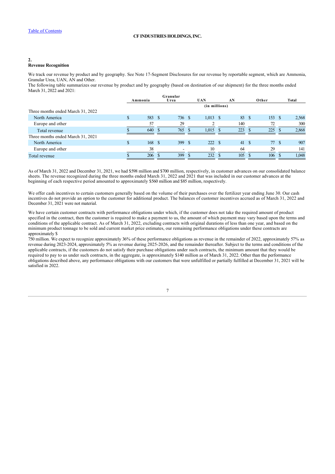# **2.**

# **Revenue Recognition**

We track our revenue by product and by geography. See Note 17-Segment Disclosures for our revenue by reportable segment, which are Ammonia, Granular Urea, UAN, AN and Other.

The following table summarizes our revenue by product and by geography (based on destination of our shipment) for the three months ended March 31, 2022 and 2021:

|     |     |         | Granular |     |            |    |                |               |            |                             |
|-----|-----|---------|----------|-----|------------|----|----------------|---------------|------------|-----------------------------|
|     |     |         | Urea     |     | <b>UAN</b> |    | AN             |               | Other      | Total                       |
|     |     |         |          |     |            |    |                |               |            |                             |
|     |     |         |          |     |            |    |                |               |            |                             |
|     | 583 | - \$    |          |     | 1,013      |    | 83             |               |            | 2,568                       |
|     | 57  |         | 29       |     |            |    | 140            |               | 72         | 300                         |
|     | 640 |         | 765      |     | 1.015      | -S | 223            |               | 225        | 2,868                       |
|     |     |         |          |     |            |    |                |               |            |                             |
| \$. | 168 | -S      | 399      | - S |            |    | 41             |               |            | 907                         |
|     | 38  |         |          |     | 10         |    | 64             |               | 29         | 141                         |
|     | 206 |         | 399      |     | 232        |    | 105            |               |            | 1,048                       |
|     |     | Ammonia |          |     | 736 \$     |    | - \$<br>222 \$ | (in millions) | - S<br>- S | 153S<br>- \$<br>77S<br>106S |

As of March 31, 2022 and December 31, 2021, we had \$598 million and \$700 million, respectively, in customer advances on our consolidated balance sheets. The revenue recognized during the three months ended March 31, 2022 and 2021 that was included in our customer advances at the beginning of each respective period amounted to approximately \$560 million and \$85 million, respectively.

We offer cash incentives to certain customers generally based on the volume of their purchases over the fertilizer year ending June 30. Our cash incentives do not provide an option to the customer for additional product. The balances of customer incentives accrued as of March 31, 2022 and December 31, 2021 were not material.

We have certain customer contracts with performance obligations under which, if the customer does not take the required amount of product specified in the contract, then the customer is required to make a payment to us, the amount of which payment may vary based upon the terms and conditions of the applicable contract. As of March 31, 2022, excluding contracts with original durations of less than one year, and based on the minimum product tonnage to be sold and current market price estimates, our remaining performance obligations under these contracts are approximately \$

750 million. We expect to recognize approximately 36% of these performance obligations as revenue in the remainder of 2022, approximately 57% as revenue during 2023-2024, approximately 5% as revenue during 2025-2026, and the remainder thereafter. Subject to the terms and conditions of the applicable contracts, if the customers do not satisfy their purchase obligations under such contracts, the minimum amount that they would be required to pay to us under such contracts, in the aggregate, is approximately \$140 million as of March 31, 2022. Other than the performance obligations described above, any performance obligations with our customers that were unfulfilled or partially fulfilled at December 31, 2021 will be satisfied in 2022.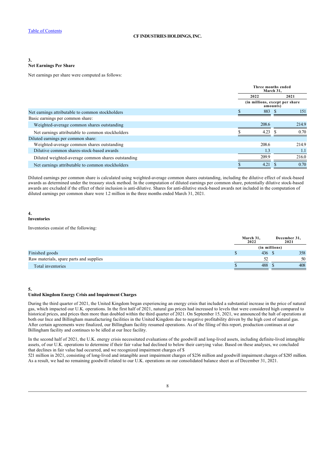### **3. Net Earnings Per Share**

Net earnings per share were computed as follows:

|                                                    | Three months ended<br>March 31. |                                             |       |  |
|----------------------------------------------------|---------------------------------|---------------------------------------------|-------|--|
|                                                    | 2022                            | 2021                                        |       |  |
|                                                    |                                 | (in millions, except per share)<br>amounts) |       |  |
| Net earnings attributable to common stockholders   | 883 \$                          |                                             | 151   |  |
| Basic earnings per common share:                   |                                 |                                             |       |  |
| Weighted-average common shares outstanding         | 208.6                           |                                             | 214.9 |  |
| Net earnings attributable to common stockholders   | 4.23                            |                                             | 0.70  |  |
| Diluted earnings per common share:                 |                                 |                                             |       |  |
| Weighted-average common shares outstanding         | 208.6                           |                                             | 214.9 |  |
| Dilutive common shares-stock-based awards          | 1.3                             |                                             | 1.1   |  |
| Diluted weighted-average common shares outstanding | 209.9                           |                                             | 216.0 |  |
| Net earnings attributable to common stockholders   | 4.21                            |                                             | 0.70  |  |

Diluted earnings per common share is calculated using weighted-average common shares outstanding, including the dilutive effect of stock-based awards as determined under the treasury stock method. In the computation of diluted earnings per common share, potentially dilutive stock-based awards are excluded if the effect of their inclusion is anti-dilutive. Shares for anti-dilutive stock-based awards not included in the computation of diluted earnings per common share were 1.2 million in the three months ended March 31, 2021.

### **4. Inventories**

Inventories consist of the following:

|                                         | March 31,<br>2022 |  | December 31,<br>2021 |  |
|-----------------------------------------|-------------------|--|----------------------|--|
|                                         | (in millions)     |  |                      |  |
| Finished goods                          | 436               |  | 358                  |  |
| Raw materials, spare parts and supplies | 52                |  | 50                   |  |
| Total inventories                       | 488               |  | 408                  |  |

### **5.**

### **United Kingdom Energy Crisis and Impairment Charges**

During the third quarter of 2021, the United Kingdom began experiencing an energy crisis that included a substantial increase in the price of natural gas, which impacted our U.K. operations. In the first half of 2021, natural gas prices had increased to levels that were considered high compared to historical prices, and prices then more than doubled within the third quarter of 2021. On September 15, 2021, we announced the halt of operations at both our Ince and Billingham manufacturing facilities in the United Kingdom due to negative profitability driven by the high cost of natural gas. After certain agreements were finalized, our Billingham facility resumed operations. As of the filing of this report, production continues at our Billingham facility and continues to be idled at our Ince facility.

In the second half of 2021, the U.K. energy crisis necessitated evaluations of the goodwill and long-lived assets, including definite-lived intangible assets, of our U.K. operations to determine if their fair value had declined to below their carrying value. Based on these analyses, we concluded that declines in fair value had occurred, and we recognized impairment charges of \$

521 million in 2021, consisting of long-lived and intangible asset impairment charges of \$236 million and goodwill impairment charges of \$285 million. As a result, we had no remaining goodwill related to our U.K. operations on our consolidated balance sheet as of December 31, 2021.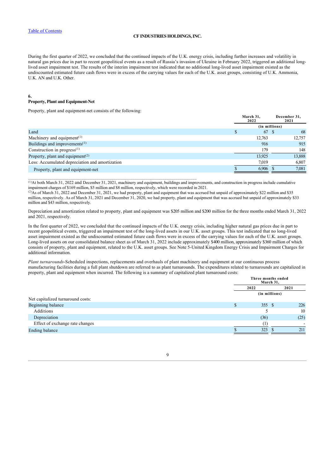During the first quarter of 2022, we concluded that the continued impacts of the U.K. energy crisis, including further increases and volatility in natural gas prices due in part to recent geopolitical events as a result of Russia's invasion of Ukraine in February 2022, triggered an additional longlived asset impairment test. The results of the interim impairment test indicated that no additional long-lived asset impairment existed as the undiscounted estimated future cash flows were in excess of the carrying values for each of the U.K. asset groups, consisting of U.K. Ammonia, U.K. AN and U.K. Other.

#### **6. Property, Plant and Equipment-Net**

Property, plant and equipment-net consists of the following:

\_\_\_\_\_\_\_\_\_\_\_\_\_\_\_\_\_\_\_\_\_\_\_\_\_\_\_\_\_\_\_\_\_\_\_\_\_\_\_\_\_\_\_\_\_\_\_\_\_\_\_\_\_\_\_\_\_\_\_\_\_\_\_\_\_\_\_\_\_\_\_\_\_\_\_\_\_\_\_

|                                                     | March 31,<br>2022 |  | December 31,<br>2021 |
|-----------------------------------------------------|-------------------|--|----------------------|
|                                                     | (in millions)     |  |                      |
| Land                                                | 67 \$             |  | 68                   |
| Machinery and equipment <sup><math>(1)</math></sup> | 12.763            |  | 12.757               |
| Buildings and improvements $(1)$                    | 916               |  | 915                  |
| Construction in progress $^{(1)}$                   | 179               |  | 148                  |
| Property, plant and equipment <sup>(2)</sup>        | 13.925            |  | 13,888               |
| Less: Accumulated depreciation and amortization     | 7,019             |  | 6,807                |
| Property, plant and equipment-net                   | 6,906             |  | 7,081                |

 $(1)$ At both March 31, 2022 and December 31, 2021, machinery and equipment, buildings and improvements, and construction in progress include cumulative impairment charges of \$169 million, \$5 million and \$8 million, respectively, which were recorded in 2021.

<sup>(2)</sup>As of March 31, 2022 and December 31, 2021, we had property, plant and equipment that was accrued but unpaid of approximately \$22 million and \$35 million, respectively. As of March 31, 2021 and December 31, 2020, we had property, plant and equipment that was accrued but unpaid of approximately \$33 million and \$43 million, respectively.

Depreciation and amortization related to property, plant and equipment was \$205 million and \$200 million for the three months ended March 31, 2022 and 2021, respectively.

In the first quarter of 2022, we concluded that the continued impacts of the U.K. energy crisis, including higher natural gas prices due in part to recent geopolitical events, triggered an impairment test of the long-lived assets in our U.K. asset groups. This test indicated that no long-lived asset impairment existed as the undiscounted estimated future cash flows were in excess of the carrying values for each of the U.K. asset groups. Long-lived assets on our consolidated balance sheet as of March 31, 2022 include approximately \$400 million, approximately \$360 million of which consists of property, plant and equipment, related to the U.K. asset groups. See Note 5-United Kingdom Energy Crisis and Impairment Charges for additional information.

*Plant turnarounds*-Scheduled inspections, replacements and overhauls of plant machinery and equipment at our continuous process manufacturing facilities during a full plant shutdown are referred to as plant turnarounds. The expenditures related to turnarounds are capitalized in property, plant and equipment when incurred. The following is a summary of capitalized plant turnaround costs:

|                                   | Three months ended<br>March 31, |      |
|-----------------------------------|---------------------------------|------|
|                                   | 2022                            | 2021 |
|                                   | (in millions)                   |      |
| Net capitalized turnaround costs: |                                 |      |
| Beginning balance                 | \$<br>355S                      | 226  |
| Additions                         |                                 | 10   |
| Depreciation                      | (36)                            | (25) |
| Effect of exchange rate changes   | (1)                             | -    |
| Ending balance                    | 323                             | 211  |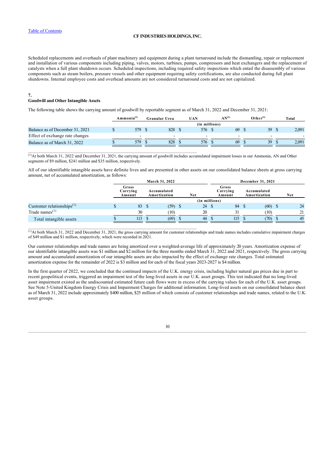Scheduled replacements and overhauls of plant machinery and equipment during a plant turnaround include the dismantling, repair or replacement and installation of various components including piping, valves, motors, turbines, pumps, compressors and heat exchangers and the replacement of catalysts when a full plant shutdown occurs. Scheduled inspections, including required safety inspections which entail the disassembly of various components such as steam boilers, pressure vessels and other equipment requiring safety certifications, are also conducted during full plant shutdowns. Internal employee costs and overhead amounts are not considered turnaround costs and are not capitalized.

#### **7.**

### **Goodwill and Other Intangible Assets**

The following table shows the carrying amount of goodwill by reportable segment as of March 31, 2022 and December 31, 2021:

\_\_\_\_\_\_\_\_\_\_\_\_\_\_\_\_\_\_\_\_\_\_\_\_\_\_\_\_\_\_\_\_\_\_\_\_\_\_\_\_\_\_\_\_\_\_\_\_\_\_\_\_\_\_\_\_\_\_\_\_\_\_\_\_\_\_\_\_\_\_\_\_\_\_\_\_\_\_\_

\_\_\_\_\_\_\_\_\_\_\_\_\_\_\_\_\_\_\_\_\_\_\_\_\_\_\_\_\_\_\_\_\_\_\_\_\_\_\_\_\_\_\_\_\_\_\_\_\_\_\_\_\_\_\_\_\_\_\_\_\_\_\_\_\_\_\_\_\_\_\_\_\_\_\_\_\_\_\_

|                                 | Ammonia <sup>(1)</sup> |     | <b>Granular Urea</b> |     | UAN |               | $\mathbf{A} \mathbf{N^{(1)}}$ |    | $O$ ther <sup>(1)</sup> |    | <b>Total</b> |       |
|---------------------------------|------------------------|-----|----------------------|-----|-----|---------------|-------------------------------|----|-------------------------|----|--------------|-------|
|                                 |                        |     |                      |     |     | (in millions) |                               |    |                         |    |              |       |
| Balance as of December 31, 2021 |                        | 579 |                      | 828 |     | 576           |                               | 69 |                         | 39 |              | 2,091 |
| Effect of exchange rate changes |                        | -   |                      | -   |     | -             |                               |    |                         | -  |              | -     |
| Balance as of March 31, 2022    |                        | 579 |                      | 828 |     | 576           |                               | 69 |                         | 39 |              | 2.091 |

 $(1)$ At both March 31, 2022 and December 31, 2021, the carrying amount of goodwill includes accumulated impairment losses in our Ammonia, AN and Other segments of \$9 million, \$241 million and \$35 million, respectively.

All of our identifiable intangible assets have definite lives and are presented in other assets on our consolidated balance sheets at gross carrying amount, net of accumulated amortization, as follows:

|                                       |  | March 31, 2022              |   |      |  |                             |    | December 31, 2021 |                             |      |                             |  |     |
|---------------------------------------|--|-----------------------------|---|------|--|-----------------------------|----|-------------------|-----------------------------|------|-----------------------------|--|-----|
|                                       |  | Gross<br>Carrying<br>Amount |   |      |  | Accumulated<br>Amortization |    | Net               | Gross<br>Carrying<br>Amount |      | Accumulated<br>Amortization |  | Net |
|                                       |  |                             |   |      |  | (in millions)               |    |                   |                             |      |                             |  |     |
| Customer relationships <sup>(1)</sup> |  | 83                          | S | (59) |  | 24                          |    | 84                | S                           | (60) | 24                          |  |     |
| Trade names $(1)$                     |  | 30                          |   | (10) |  | 20                          |    | 31                |                             | (10) | 21                          |  |     |
| Total intangible assets               |  | 113                         |   | (69) |  | 44                          | -S | 115               |                             | (70) | 45                          |  |     |

 $(1)$ At both March 31, 2022 and December 31, 2021, the gross carrying amount for customer relationships and trade names includes cumulative impairment charges of \$49 million and \$1 million, respectively, which were recorded in 2021.

Our customer relationships and trade names are being amortized over a weighted-average life of approximately 20 years. Amortization expense of our identifiable intangible assets was \$1 million and \$2 million for the three months ended March 31, 2022 and 2021, respectively. The gross carrying amount and accumulated amortization of our intangible assets are also impacted by the effect of exchange rate changes. Total estimated amortization expense for the remainder of 2022 is \$3 million and for each of the fiscal years 2023-2027 is \$4 million.

In the first quarter of 2022, we concluded that the continued impacts of the U.K. energy crisis, including higher natural gas prices due in part to recent geopolitical events, triggered an impairment test of the long-lived assets in our U.K. asset groups. This test indicated that no long-lived asset impairment existed as the undiscounted estimated future cash flows were in excess of the carrying values for each of the U.K. asset groups. See Note 5-United Kingdom Energy Crisis and Impairment Charges for additional information. Long-lived assets on our consolidated balance sheet as of March 31, 2022 include approximately \$400 million, \$25 million of which consists of customer relationships and trade names, related to the U.K. asset groups.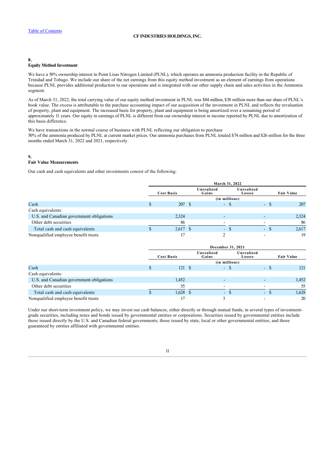# **8.**

# **Equity Method Investment**

We have a 50% ownership interest in Point Lisas Nitrogen Limited (PLNL), which operates an ammonia production facility in the Republic of Trinidad and Tobago. We include our share of the net earnings from this equity method investment as an element of earnings from operations because PLNL provides additional production to our operations and is integrated with our other supply chain and sales activities in the Ammonia segment.

As of March 31, 2022, the total carrying value of our equity method investment in PLNL was \$84 million, \$38 million more than our share of PLNL's book value. The excess is attributable to the purchase accounting impact of our acquisition of the investment in PLNL and reflects the revaluation of property, plant and equipment. The increased basis for property, plant and equipment is being amortized over a remaining period of approximately 11 years. Our equity in earnings of PLNL is different from our ownership interest in income reported by PLNL due to amortization of this basis difference.

We have transactions in the normal course of business with PLNL reflecting our obligation to purchase 50% of the ammonia produced by PLNL at current market prices. Our ammonia purchases from PLNL totaled \$74 million and \$26 million for the three months ended March 31, 2022 and 2021, respectively.

### **9. Fair Value Measurements**

Our cash and cash equivalents and other investments consist of the following:

|                                          |                   | March 31, 2022 |  |                     |                      |                   |  |  |  |
|------------------------------------------|-------------------|----------------|--|---------------------|----------------------|-------------------|--|--|--|
|                                          | <b>Cost Basis</b> |                |  | Unrealized<br>Gains | Unrealized<br>Losses | <b>Fair Value</b> |  |  |  |
|                                          |                   |                |  | (in millions)       |                      |                   |  |  |  |
| Cash                                     | S                 | 207S           |  | - \$                | $-$ \$               | 207               |  |  |  |
| Cash equivalents:                        |                   |                |  |                     |                      |                   |  |  |  |
| U.S. and Canadian government obligations |                   | 2,324          |  |                     |                      | 2,324             |  |  |  |
| Other debt securities                    |                   | 86             |  |                     |                      | 86                |  |  |  |
| Total cash and cash equivalents          |                   | $2,617$ \$     |  | - \$                | н.                   | 2,617<br>-8       |  |  |  |
| Nonqualified employee benefit trusts     |                   |                |  |                     | ۰                    | 19                |  |  |  |

|                                          |                   | December 31, 2021 |      |                     |                      |                   |  |  |  |
|------------------------------------------|-------------------|-------------------|------|---------------------|----------------------|-------------------|--|--|--|
|                                          | <b>Cost Basis</b> |                   |      | Unrealized<br>Gains | Unrealized<br>Losses | <b>Fair Value</b> |  |  |  |
|                                          |                   |                   |      | (in millions)       |                      |                   |  |  |  |
| Cash                                     |                   | 121               | - \$ | - \$                | - \$                 | 121               |  |  |  |
| Cash equivalents:                        |                   |                   |      |                     |                      |                   |  |  |  |
| U.S. and Canadian government obligations |                   | 1,452             |      |                     |                      | 1,452             |  |  |  |
| Other debt securities                    |                   | 55                |      |                     |                      | 55                |  |  |  |
| Total cash and cash equivalents          |                   | $1,628$ \$        |      | - \$                | - 8                  | 1,628             |  |  |  |
| Nonqualified employee benefit trusts     |                   |                   |      |                     | -                    | 20                |  |  |  |

Under our short-term investment policy, we may invest our cash balances, either directly or through mutual funds, in several types of investmentgrade securities, including notes and bonds issued by governmental entities or corporations. Securities issued by governmental entities include those issued directly by the U.S. and Canadian federal governments; those issued by state, local or other governmental entities; and those guaranteed by entities affiliated with governmental entities.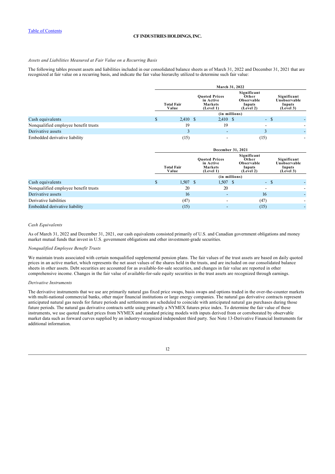### *Assets and Liabilities Measured at Fair Value on a Recurring Basis*

The following tables present assets and liabilities included in our consolidated balance sheets as of March 31, 2022 and December 31, 2021 that are recognized at fair value on a recurring basis, and indicate the fair value hierarchy utilized to determine such fair value:

|                                      |   |                            |                                                           | March 31, 2022                                            |                                                    |  |
|--------------------------------------|---|----------------------------|-----------------------------------------------------------|-----------------------------------------------------------|----------------------------------------------------|--|
|                                      |   | <b>Total Fair</b><br>Value | <b>Quoted Prices</b><br>in Active<br>Markets<br>(Level 1) | Significant<br>Other<br>Observable<br>Inputs<br>(Level 2) | Significant<br>Unobservable<br>Inputs<br>(Level 3) |  |
|                                      |   |                            |                                                           | (in millions)                                             |                                                    |  |
| Cash equivalents                     | S | $2,410$ \$                 | $2,410$ \$                                                |                                                           | - \$                                               |  |
| Nonqualified employee benefit trusts |   | 19                         | 19                                                        | -                                                         |                                                    |  |
| Derivative assets                    |   |                            | -                                                         | 3                                                         |                                                    |  |
| Embedded derivative liability        |   | (15)                       | -                                                         | (15)                                                      |                                                    |  |

|                                      | December 31, 2021          |                                                           |                          |                                                           |      |                                                    |  |  |  |
|--------------------------------------|----------------------------|-----------------------------------------------------------|--------------------------|-----------------------------------------------------------|------|----------------------------------------------------|--|--|--|
|                                      | <b>Total Fair</b><br>Value | <b>Quoted Prices</b><br>in Active<br>Markets<br>(Level 1) |                          | Significant<br>Other<br>Observable<br>Inputs<br>(Level 2) |      | Significant<br>Unobservable<br>Inputs<br>(Level 3) |  |  |  |
|                                      |                            |                                                           | (in millions)            |                                                           |      |                                                    |  |  |  |
| Cash equivalents                     | $1,507$ \$                 |                                                           | $1,507$ \$               |                                                           | - \$ |                                                    |  |  |  |
| Nonqualified employee benefit trusts | 20                         |                                                           | 20                       |                                                           |      |                                                    |  |  |  |
| Derivative assets                    | 16                         |                                                           | $\overline{\phantom{0}}$ | 16                                                        |      |                                                    |  |  |  |
| Derivative liabilities               | (47)                       |                                                           | -                        | (47)                                                      |      |                                                    |  |  |  |
| Embedded derivative liability        | (15)                       |                                                           |                          | (15)                                                      |      |                                                    |  |  |  |

# *Cash Equivalents*

As of March 31, 2022 and December 31, 2021, our cash equivalents consisted primarily of U.S. and Canadian government obligations and money market mutual funds that invest in U.S. government obligations and other investment-grade securities.

### *Nonqualified Employee Benefit Trusts*

We maintain trusts associated with certain nonqualified supplemental pension plans. The fair values of the trust assets are based on daily quoted prices in an active market, which represents the net asset values of the shares held in the trusts, and are included on our consolidated balance sheets in other assets. Debt securities are accounted for as available-for-sale securities, and changes in fair value are reported in other comprehensive income. Changes in the fair value of available-for-sale equity securities in the trust assets are recognized through earnings.

### *Derivative Instruments*

The derivative instruments that we use are primarily natural gas fixed price swaps, basis swaps and options traded in the over-the-counter markets with multi-national commercial banks, other major financial institutions or large energy companies. The natural gas derivative contracts represent anticipated natural gas needs for future periods and settlements are scheduled to coincide with anticipated natural gas purchases during those future periods. The natural gas derivative contracts settle using primarily a NYMEX futures price index. To determine the fair value of these instruments, we use quoted market prices from NYMEX and standard pricing models with inputs derived from or corroborated by observable market data such as forward curves supplied by an industry-recognized independent third party. See Note 13-Derivative Financial Instruments for additional information.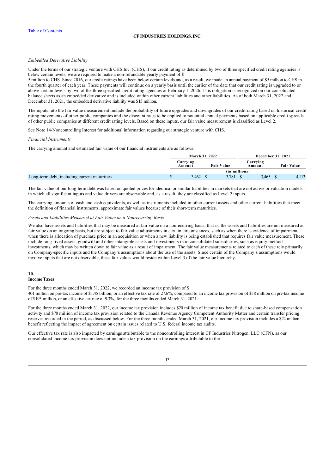# *Embedded Derivative Liability*

Under the terms of our strategic venture with CHS Inc. (CHS), if our credit rating as determined by two of three specified credit rating agencies is below certain levels, we are required to make a non-refundable yearly payment of \$

5 million to CHS. Since 2016, our credit ratings have been below certain levels and, as a result, we made an annual payment of \$5 million to CHS in the fourth quarter of each year. These payments will continue on a yearly basis until the earlier of the date that our credit rating is upgraded to or above certain levels by two of the three specified credit rating agencies or February 1, 2026. This obligation is recognized on our consolidated balance sheets as an embedded derivative and is included within other current liabilities and other liabilities. As of both March 31, 2022 and December 31, 2021, the embedded derivative liability was \$15 million.

The inputs into the fair value measurement include the probability of future upgrades and downgrades of our credit rating based on historical credit rating movements of other public companies and the discount rates to be applied to potential annual payments based on applicable credit spreads of other public companies at different credit rating levels. Based on these inputs, our fair value measurement is classified as Level 2.

See Note 14-Noncontrolling Interest for additional information regarding our strategic venture with CHS.

### *Financial Instruments*

The carrying amount and estimated fair value of our financial instruments are as follows:

|                                              |    | March 31, 2022     |                   | December 31, 2021  |  |                   |
|----------------------------------------------|----|--------------------|-------------------|--------------------|--|-------------------|
|                                              |    | Carrying<br>Amount | <b>Fair Value</b> | Carrying<br>Amount |  | <b>Fair Value</b> |
|                                              |    |                    | (in millions)     |                    |  |                   |
| Long-term debt, including current maturities | ۰υ | 3.462              | 3.781             | 3,465              |  | 4,113             |

The fair value of our long-term debt was based on quoted prices for identical or similar liabilities in markets that are not active or valuation models in which all significant inputs and value drivers are observable and, as a result, they are classified as Level 2 inputs.

The carrying amounts of cash and cash equivalents, as well as instruments included in other current assets and other current liabilities that meet the definition of financial instruments, approximate fair values because of their short-term maturities.

### *Assets and Liabilities Measured at Fair Value on a Nonrecurring Basis*

We also have assets and liabilities that may be measured at fair value on a nonrecurring basis; that is, the assets and liabilities are not measured at fair value on an ongoing basis, but are subject to fair value adjustments in certain circumstances, such as when there is evidence of impairment, when there is allocation of purchase price in an acquisition or when a new liability is being established that requires fair value measurement. These include long-lived assets, goodwill and other intangible assets and investments in unconsolidated subsidiaries, such as equity method investments, which may be written down to fair value as a result of impairment. The fair value measurements related to each of these rely primarily on Company-specific inputs and the Company's assumptions about the use of the assets. Since certain of the Company's assumptions would involve inputs that are not observable, these fair values would reside within Level 3 of the fair value hierarchy.

### **10. Income Taxes**

For the three months ended March 31, 2022, we recorded an income tax provision of \$

401 million on pre-tax income of \$1.45 billion, or an effective tax rate of 27.6%, compared to an income tax provision of \$18 million on pre-tax income of \$193 million, or an effective tax rate of 9.3%, for the three months ended March 31, 2021.

For the three months ended March 31, 2022, our income tax provision includes \$20 million of income tax benefit due to share-based compensation activity and \$78 million of income tax provision related to the Canada Revenue Agency Competent Authority Matter and certain transfer pricing reserves recorded in the period, as discussed below. For the three months ended March 31, 2021, our income tax provision includes a \$22 million benefit reflecting the impact of agreement on certain issues related to U.S. federal income tax audits.

Our effective tax rate is also impacted by earnings attributable to the noncontrolling interest in CF Industries Nitrogen, LLC (CFN), as our consolidated income tax provision does not include a tax provision on the earnings attributable to the

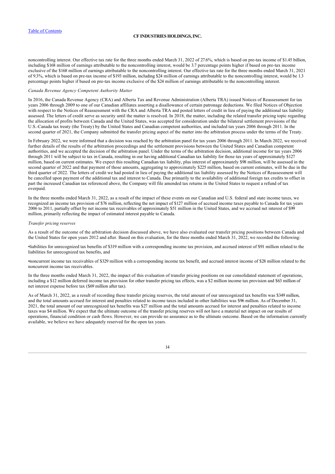noncontrolling interest. Our effective tax rate for the three months ended March 31, 2022 of 27.6%, which is based on pre-tax income of \$1.45 billion, including \$168 million of earnings attributable to the noncontrolling interest, would be 3.7 percentage points higher if based on pre-tax income exclusive of the \$168 million of earnings attributable to the noncontrolling interest. Our effective tax rate for the three months ended March 31, 2021 of 9.3%, which is based on pre-tax income of \$193 million, including \$24 million of earnings attributable to the noncontrolling interest, would be 1.3 percentage points higher if based on pre-tax income exclusive of the \$24 million of earnings attributable to the noncontrolling interest.

# *Canada Revenue Agency Competent Authority Matter*

In 2016, the Canada Revenue Agency (CRA) and Alberta Tax and Revenue Administration (Alberta TRA) issued Notices of Reassessment for tax years 2006 through 2009 to one of our Canadian affiliates asserting a disallowance of certain patronage deductions. We filed Notices of Objection with respect to the Notices of Reassessment with the CRA and Alberta TRA and posted letters of credit in lieu of paying the additional tax liability assessed. The letters of credit serve as security until the matter is resolved. In 2018, the matter, including the related transfer pricing topic regarding the allocation of profits between Canada and the United States, was accepted for consideration under the bilateral settlement provisions of the U.S.-Canada tax treaty (the Treaty) by the United States and Canadian competent authorities, and included tax years 2006 through 2011. In the second quarter of 2021, the Company submitted the transfer pricing aspect of the matter into the arbitration process under the terms of the Treaty.

In February 2022, we were informed that a decision was reached by the arbitration panel for tax years 2006 through 2011. In March 2022, we received further details of the results of the arbitration proceedings and the settlement provisions between the United States and Canadian competent authorities, and we accepted the decision of the arbitration panel. Under the terms of the arbitration decision, additional income for tax years 2006 through 2011 will be subject to tax in Canada, resulting in our having additional Canadian tax liability for those tax years of approximately \$127 million, based on current estimates. We expect this resulting Canadian tax liability, plus interest of approximately \$98 million, will be assessed in the second quarter of 2022 and that payment of those amounts, aggregating to approximately \$225 million, based on current estimates, will be due in the third quarter of 2022. The letters of credit we had posted in lieu of paying the additional tax liability assessed by the Notices of Reassessment will be cancelled upon payment of the additional tax and interest to Canada. Due primarily to the availability of additional foreign tax credits to offset in part the increased Canadian tax referenced above, the Company will file amended tax returns in the United States to request a refund of tax overpaid.

In the three months ended March 31, 2022, as a result of the impact of these events on our Canadian and U.S. federal and state income taxes, we recognized an income tax provision of \$76 million, reflecting the net impact of \$127 million of accrued income taxes payable to Canada for tax years 2006 to 2011, partially offset by net income tax receivables of approximately \$51 million in the United States, and we accrued net interest of \$99 million, primarily reflecting the impact of estimated interest payable to Canada.

#### *Transfer pricing reserves*

As a result of the outcome of the arbitration decision discussed above, we have also evaluated our transfer pricing positions between Canada and the United States for open years 2012 and after. Based on this evaluation, for the three months ended March  $31, 2022$ , we recorded the following:

•liabilities for unrecognized tax benefits of \$319 million with a corresponding income tax provision, and accrued interest of \$91 million related to the liabilities for unrecognized tax benefits, and

•noncurrent income tax receivables of \$329 million with a corresponding income tax benefit, and accrued interest income of \$28 million related to the noncurrent income tax receivables.

In the three months ended March 31, 2022, the impact of this evaluation of transfer pricing positions on our consolidated statement of operations, including a \$12 million deferred income tax provision for other transfer pricing tax effects, was a \$2 million income tax provision and \$63 million of net interest expense before tax (\$69 million after tax).

As of March 31, 2022, as a result of recording these transfer pricing reserves, the total amount of our unrecognized tax benefits was \$349 million, and the total amounts accrued for interest and penalties related to income taxes included in other liabilities was \$96 million. As of December 31, 2021, the total amount of our unrecognized tax benefits was \$27 million and the total amounts accrued for interest and penalties related to income taxes was \$4 million. We expect that the ultimate outcome of the transfer pricing reserves will not have a material net impact on our results of operations, financial condition or cash flows. However, we can provide no assurance as to the ultimate outcome. Based on the information currently available, we believe we have adequately reserved for the open tax years.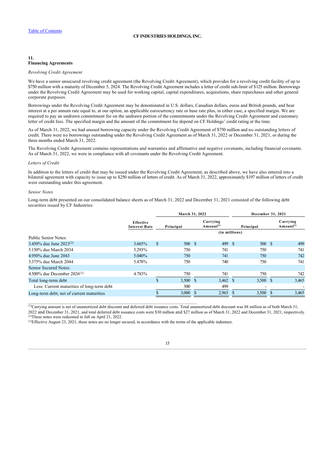### **11. Financing Agreements**

#### *Revolving Credit Agreement*

We have a senior unsecured revolving credit agreement (the Revolving Credit Agreement), which provides for a revolving credit facility of up to \$750 million with a maturity of December 5, 2024. The Revolving Credit Agreement includes a letter of credit sub-limit of \$125 million. Borrowings under the Revolving Credit Agreement may be used for working capital, capital expenditures, acquisitions, share repurchases and other general corporate purposes.

Borrowings under the Revolving Credit Agreement may be denominated in U.S. dollars, Canadian dollars, euros and British pounds, and bear interest at a per annum rate equal to, at our option, an applicable eurocurrency rate or base rate plus, in either case, a specified margin. We are required to pay an undrawn commitment fee on the undrawn portion of the commitments under the Revolving Credit Agreement and customary letter of credit fees. The specified margin and the amount of the commitment fee depend on CF Holdings' credit rating at the time.

As of March 31, 2022, we had unused borrowing capacity under the Revolving Credit Agreement of \$750 million and no outstanding letters of credit. There were no borrowings outstanding under the Revolving Credit Agreement as of March 31, 2022 or December 31, 2021, or during the three months ended March 31, 2022.

The Revolving Credit Agreement contains representations and warranties and affirmative and negative covenants, including financial covenants. As of March 31, 2022, we were in compliance with all covenants under the Revolving Credit Agreement.

### *Letters of Credit*

In addition to the letters of credit that may be issued under the Revolving Credit Agreement, as described above, we have also entered into a bilateral agreement with capacity to issue up to \$250 million of letters of credit. As of March 31, 2022, approximately \$197 million of letters of credit were outstanding under this agreement.

#### *Senior Notes*

Long-term debt presented on our consolidated balance sheets as of March 31, 2022 and December 31, 2021 consisted of the following debt securities issued by CF Industries:

|                                            |                                          |              | March 31, 2022 |    |               |      | December 31, 2021 |       |                                      |  |           |                                                |
|--------------------------------------------|------------------------------------------|--------------|----------------|----|---------------|------|-------------------|-------|--------------------------------------|--|-----------|------------------------------------------------|
|                                            | <b>Effective</b><br><b>Interest Rate</b> |              |                |    |               |      | Principal         |       | Carrying<br>$A$ mount <sup>(1)</sup> |  | Principal | Carrying<br>Amount <sup><math>(1)</math></sup> |
|                                            |                                          |              |                |    | (in millions) |      |                   |       |                                      |  |           |                                                |
| Public Senior Notes:                       |                                          |              |                |    |               |      |                   |       |                                      |  |           |                                                |
| 3.450% due June 2023 <sup>(2)</sup>        | 3.665%                                   | $\mathbb{S}$ | 500 \$         |    | 499 \$        |      | 500 \$            | 499   |                                      |  |           |                                                |
| 5.150% due March 2034                      | 5.293%                                   |              | 750            |    | 741           |      | 750               | 741   |                                      |  |           |                                                |
| 4.950\% due June 2043                      | 5.040%                                   |              | 750            |    | 741           |      | 750               | 742   |                                      |  |           |                                                |
| 5.375% due March 2044                      | 5.478%                                   |              | 750            |    | 740           |      | 750               | 741   |                                      |  |           |                                                |
| Senior Secured Notes:                      |                                          |              |                |    |               |      |                   |       |                                      |  |           |                                                |
| 4.500\% due December 2026(3)               | 4.783%                                   |              | 750            |    | 741           |      | 750               | 742   |                                      |  |           |                                                |
| Total long-term debt                       |                                          |              | 3,500          | -S | 3,462         | - \$ | $3,500$ \$        | 3,465 |                                      |  |           |                                                |
| Less: Current maturities of long-term debt |                                          |              | 500            |    | 499           |      |                   |       |                                      |  |           |                                                |
| Long-term debt, net of current maturities  |                                          |              | 3,000          |    | 2,963         |      | 3,500             | 3,465 |                                      |  |           |                                                |

 $^{(1)}$ Carrying amount is net of unamortized debt discount and deferred debt issuance costs. Total unamortized debt discount was \$8 million as of both March 31, 2022 and December 31, 2021, and total deferred debt issuance costs were \$30 million and \$27 million as of March 31, 2022 and December 31, 2021, respectively.  $(2)$ These notes were redeemed in full on April 21, 2022.

 $^{(3)}$ Effective August 23, 2021, these notes are no longer secured, in accordance with the terms of the applicable indenture.

 $\mathcal{L}_\mathcal{L} = \{ \mathcal{L}_\mathcal{L} = \{ \mathcal{L}_\mathcal{L} = \{ \mathcal{L}_\mathcal{L} = \{ \mathcal{L}_\mathcal{L} = \{ \mathcal{L}_\mathcal{L} = \{ \mathcal{L}_\mathcal{L} = \{ \mathcal{L}_\mathcal{L} = \{ \mathcal{L}_\mathcal{L} = \{ \mathcal{L}_\mathcal{L} = \{ \mathcal{L}_\mathcal{L} = \{ \mathcal{L}_\mathcal{L} = \{ \mathcal{L}_\mathcal{L} = \{ \mathcal{L}_\mathcal{L} = \{ \mathcal{L}_\mathcal{$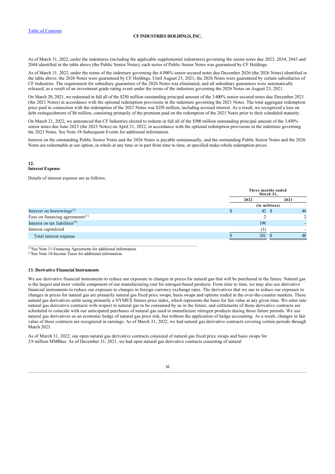As of March 31, 2022, under the indentures (including the applicable supplemental indentures) governing the senior notes due 2023, 2034, 2043 and 2044 identified in the table above (the Public Senior Notes), each series of Public Senior Notes was guaranteed by CF Holdings.

As of March 31, 2022, under the terms of the indenture governing the 4.500% senior secured notes due December 2026 (the 2026 Notes) identified in the table above, the 2026 Notes were guaranteed by CF Holdings. Until August 23, 2021, the 2026 Notes were guaranteed by certain subsidiaries of CF Industries. The requirement for subsidiary guarantees of the 2026 Notes was eliminated, and all subsidiary guarantees were automatically released, as a result of an investment grade rating event under the terms of the indenture governing the 2026 Notes on August 23, 2021.

On March 20, 2021, we redeemed in full all of the \$250 million outstanding principal amount of the 3.400% senior secured notes due December 2021 (the 2021 Notes) in accordance with the optional redemption provisions in the indenture governing the 2021 Notes. The total aggregate redemption price paid in connection with the redemption of the 2021 Notes was \$258 million, including accrued interest. As a result, we recognized a loss on debt extinguishment of \$6 million, consisting primarily of the premium paid on the redemption of the 2021 Notes prior to their scheduled maturity.

On March 21, 2022, we announced that CF Industries elected to redeem in full all of the \$500 million outstanding principal amount of the 3.450% senior notes due June 2023 (the 2023 Notes) on April 21, 2022, in accordance with the optional redemption provisions in the indenture governing the 2023 Notes. See Note 18-Subsequent Events for additional information.

Interest on the outstanding Public Senior Notes and the 2026 Notes is payable semiannually, and the outstanding Public Senior Notes and the 2026 Notes are redeemable at our option, in whole at any time or in part from time to time, at specified make-whole redemption prices.

### **12. Interest Expense**

Details of interest expense are as follows:

|                                                          | Three months ended<br>March 31, |    |  |  |  |
|----------------------------------------------------------|---------------------------------|----|--|--|--|
|                                                          | 2022<br>2021                    |    |  |  |  |
|                                                          | (in millions)                   |    |  |  |  |
| Interest on borrowings <sup>(1)</sup>                    | 42S                             | 46 |  |  |  |
| Fees on financing agreements <sup><math>(1)</math></sup> |                                 |    |  |  |  |
| Interest on tax liabilities <sup><math>(2)</math></sup>  | 198                             |    |  |  |  |
| Interest capitalized                                     |                                 |    |  |  |  |
| Total interest expense                                   | 241                             | 48 |  |  |  |

 $<sup>(1)</sup>$ See Note 11-Financing Agreements for additional information.</sup>

\_\_\_\_\_\_\_\_\_\_\_\_\_\_\_\_\_\_\_\_\_\_\_\_\_\_\_\_\_\_\_\_\_\_\_\_\_\_\_\_\_\_\_\_\_\_\_\_\_\_\_\_\_\_\_\_\_\_\_\_\_\_\_\_\_\_\_\_\_\_\_\_\_\_\_\_\_\_\_

 $^{(2)}$ See Note 10-Income Taxes for additional information.

### **13. Derivative Financial Instruments**

We use derivative financial instruments to reduce our exposure to changes in prices for natural gas that will be purchased in the future. Natural gas is the largest and most volatile component of our manufacturing cost for nitrogen-based products. From time to time, we may also use derivative financial instruments to reduce our exposure to changes in foreign currency exchange rates. The derivatives that we use to reduce our exposure to changes in prices for natural gas are primarily natural gas fixed price swaps, basis swaps and options traded in the over-the-counter markets. These natural gas derivatives settle using primarily a NYMEX futures price index, which represents the basis for fair value at any given time. We enter into natural gas derivative contracts with respect to natural gas to be consumed by us in the future, and settlements of those derivative contracts are scheduled to coincide with our anticipated purchases of natural gas used to manufacture nitrogen products during those future periods. We use natural gas derivatives as an economic hedge of natural gas price risk, but without the application of hedge accounting. As a result, changes in fair value of these contracts are recognized in earnings. As of March 31, 2022, we had natural gas derivative contracts covering certain periods through March 2023.

As of March 31, 2022, our open natural gas derivative contracts consisted of natural gas fixed price swaps and basis swaps for 2.9 million MMBtus. As of December 31, 2021, we had open natural gas derivative contracts consisting of natural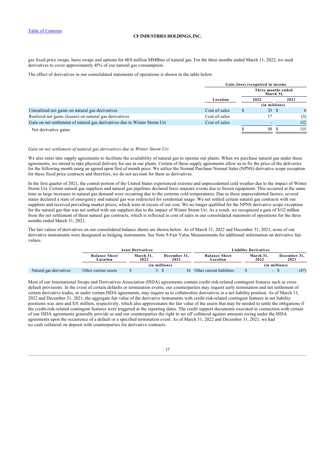gas fixed price swaps, basis swaps and options for 60.0 million MMBtus of natural gas. For the three months ended March 31, 2022, we used derivatives to cover approximately 45% of our natural gas consumption.

The effect of derivatives in our consolidated statements of operations is shown in the table below.

|                                                                           | Gain (loss) recognized in income |     |                    |           |      |  |  |  |
|---------------------------------------------------------------------------|----------------------------------|-----|--------------------|-----------|------|--|--|--|
|                                                                           |                                  |     | Three months ended | March 31, |      |  |  |  |
|                                                                           | Location                         |     | 2022               |           | 2021 |  |  |  |
|                                                                           |                                  |     | (in millions)      |           |      |  |  |  |
| Unrealized net gains on natural gas derivatives                           | Cost of sales                    | \$. | 33S                |           | 6    |  |  |  |
| Realized net gains (losses) on natural gas derivatives                    | Cost of sales                    |     |                    |           | (3)  |  |  |  |
| Gain on net settlement of natural gas derivatives due to Winter Storm Uri | Cost of sales                    |     |                    |           | 112  |  |  |  |
| Net derivative gains                                                      |                                  |     | 50 \$              |           | 115  |  |  |  |

### *Gain on net settlement of natural gas derivatives due to Winter Storm Uri*

We also enter into supply agreements to facilitate the availability of natural gas to operate our plants. When we purchase natural gas under these agreements, we intend to take physical delivery for use in our plants. Certain of these supply agreements allow us to fix the price of the deliveries for the following month using an agreed upon first of month price. We utilize the Normal Purchase Normal Sales (NPNS) derivative scope exception for these fixed price contracts and therefore, we do not account for them as derivatives.

In the first quarter of 2021, the central portion of the United States experienced extreme and unprecedented cold weather due to the impact of Winter Storm Uri. Certain natural gas suppliers and natural gas pipelines declared force majeure events due to frozen equipment. This occurred at the same time as large increases in natural gas demand were occurring due to the extreme cold temperatures. Due to these unprecedented factors, several states declared a state of emergency and natural gas was redirected for residential usage. We net settled certain natural gas contracts with our suppliers and received prevailing market prices, which were in excess of our cost. We no longer qualified for the NPNS derivative scope exception for the natural gas that was net settled with our suppliers due to the impact of Winter Storm Uri. As a result, we recognized a gain of \$112 million from the net settlement of these natural gas contracts, which is reflected in cost of sales in our consolidated statement of operations for the three months ended March 31, 2021.

The fair values of derivatives on our consolidated balance sheets are shown below. As of March 31, 2022 and December 31, 2021, none of our derivative instruments were designated as hedging instruments. See Note 9-Fair Value Measurements for additional information on derivative fair values.

|                         |                                  | <b>Asset Derivatives</b>                  |               |                                  |                           | <b>Liability Derivatives</b> |                      |      |
|-------------------------|----------------------------------|-------------------------------------------|---------------|----------------------------------|---------------------------|------------------------------|----------------------|------|
|                         | <b>Balance Sheet</b><br>Location | March 31.<br>December 31.<br>2022<br>2021 |               | <b>Balance Sheet</b><br>Location |                           | March 31.<br>2022            | December 31.<br>2021 |      |
|                         |                                  |                                           | (in millions) |                                  |                           |                              | (in millions)        |      |
| Natural gas derivatives | Other current assets             |                                           |               | 16                               | Other current liabilities |                              |                      | (47) |

Most of our International Swaps and Derivatives Association (ISDA) agreements contain credit-risk-related contingent features such as cross default provisions. In the event of certain defaults or termination events, our counterparties may request early termination and net settlement of certain derivative trades, or under certain ISDA agreements, may require us to collateralize derivatives in a net liability position. As of March 31, 2022 and December 31, 2021, the aggregate fair value of the derivative instruments with credit-risk-related contingent features in net liability positions was zero and \$31 million, respectively, which also approximates the fair value of the assets that may be needed to settle the obligations if the credit-risk-related contingent features were triggered at the reporting dates. The credit support documents executed in connection with certain of our ISDA agreements generally provide us and our counterparties the right to set off collateral against amounts owing under the ISDA agreements upon the occurrence of a default or a specified termination event. As of March 31, 2022 and December 31, 2021, we had no cash collateral on deposit with counterparties for derivative contracts.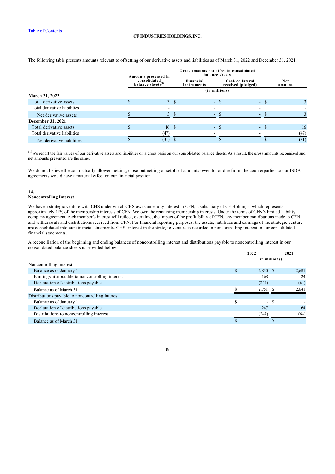|                              | Amounts presented in |                                      |    | Gross amounts not offset in consolidated<br>balance sheets |                                       |               |
|------------------------------|----------------------|--------------------------------------|----|------------------------------------------------------------|---------------------------------------|---------------|
|                              |                      | consolidated<br>balance sheets $(1)$ |    | Financial<br>instruments                                   | Cash collateral<br>received (pledged) | Net<br>amount |
|                              |                      |                                      |    | (in millions)                                              |                                       |               |
| <b>March 31, 2022</b>        |                      |                                      |    |                                                            |                                       |               |
| Total derivative assets      |                      |                                      | 3S | - \$                                                       | $-$ S                                 |               |
| Total derivative liabilities |                      |                                      |    |                                                            |                                       |               |
| Net derivative assets        |                      | 3                                    | -S | ÆZ                                                         | ٠                                     |               |
| December 31, 2021            |                      |                                      |    |                                                            |                                       |               |
| Total derivative assets      |                      | 16S                                  |    | $-$ \$                                                     | - \$                                  | 16            |
| Total derivative liabilities |                      | (47)                                 |    |                                                            |                                       | (47)          |
| Net derivative liabilities   |                      | (31)                                 |    | ۰.                                                         |                                       | (31)          |

The following table presents amounts relevant to offsetting of our derivative assets and liabilities as of March 31, 2022 and December 31, 2021:

 $^{(1)}$ We report the fair values of our derivative assets and liabilities on a gross basis on our consolidated balance sheets. As a result, the gross amounts recognized and net amounts presented are the same.

\_\_\_\_\_\_\_\_\_\_\_\_\_\_\_\_\_\_\_\_\_\_\_\_\_\_\_\_\_\_\_\_\_\_\_\_\_\_\_\_\_\_\_\_\_\_\_\_\_\_\_\_\_\_\_\_\_\_\_\_\_\_\_\_\_\_\_\_\_\_\_\_\_\_\_\_\_\_\_

We do not believe the contractually allowed netting, close-out netting or setoff of amounts owed to, or due from, the counterparties to our ISDA agreements would have a material effect on our financial position.

### **14.**

#### **Noncontrolling Interest**

We have a strategic venture with CHS under which CHS owns an equity interest in CFN, a subsidiary of CF Holdings, which represents approximately 11% of the membership interests of CFN. We own the remaining membership interests. Under the terms of CFN's limited liability company agreement, each member's interest will reflect, over time, the impact of the profitability of CFN, any member contributions made to CFN and withdrawals and distributions received from CFN. For financial reporting purposes, the assets, liabilities and earnings of the strategic venture are consolidated into our financial statements. CHS' interest in the strategic venture is recorded in noncontrolling interest in our consolidated financial statements.

A reconciliation of the beginning and ending balances of noncontrolling interest and distributions payable to noncontrolling interest in our consolidated balance sheets is provided below.

|     | 2022  | 2021                                |
|-----|-------|-------------------------------------|
|     |       |                                     |
|     |       |                                     |
| \$. |       | 2,681                               |
|     | 168   | 24                                  |
|     | (247) | (64)                                |
|     | 2,751 | 2,641                               |
|     |       |                                     |
|     |       |                                     |
|     | 247   | 64                                  |
|     | (247) | (64)                                |
|     | ٠     |                                     |
|     |       | (in millions)<br>$2,830$ \$<br>- \$ |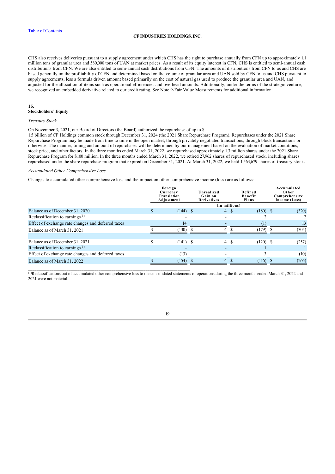CHS also receives deliveries pursuant to a supply agreement under which CHS has the right to purchase annually from CFN up to approximately 1.1 million tons of granular urea and 580,000 tons of UAN at market prices. As a result of its equity interest in CFN, CHS is entitled to semi-annual cash distributions from CFN. We are also entitled to semi-annual cash distributions from CFN. The amounts of distributions from CFN to us and CHS are based generally on the profitability of CFN and determined based on the volume of granular urea and UAN sold by CFN to us and CHS pursuant to supply agreements, less a formula driven amount based primarily on the cost of natural gas used to produce the granular urea and UAN, and adjusted for the allocation of items such as operational efficiencies and overhead amounts. Additionally, under the terms of the strategic venture, we recognized an embedded derivative related to our credit rating. See Note 9-Fair Value Measurements for additional information.

### **15. Stockholders' Equity**

### *Treasury Stock*

On November 3, 2021, our Board of Directors (the Board) authorized the repurchase of up to \$

\_\_\_\_\_\_\_\_\_\_\_\_\_\_\_\_\_\_\_\_\_\_\_\_\_\_\_\_\_\_\_\_\_\_\_\_\_\_\_\_\_\_\_\_\_\_\_\_\_\_\_\_\_\_\_\_\_\_\_\_\_\_\_\_\_\_\_\_\_\_\_\_\_\_\_\_

1.5 billion of CF Holdings common stock through December 31, 2024 (the 2021 Share Repurchase Program). Repurchases under the 2021 Share Repurchase Program may be made from time to time in the open market, through privately negotiated transactions, through block transactions or otherwise. The manner, timing and amount of repurchases will be determined by our management based on the evaluation of market conditions, stock price, and other factors. In the three months ended March 31, 2022, we repurchased approximately 1.3 million shares under the 2021 Share Repurchase Program for \$100 million. In the three months ended March 31, 2022, we retired 27,962 shares of repurchased stock, including shares repurchased under the share repurchase program that expired on December 31, 2021. At March 31, 2022, we held 1,563,679 shares of treasury stock.

### *Accumulated Other Comprehensive Loss*

Changes to accumulated other comprehensive loss and the impact on other comprehensive income (loss) are as follows:

| Foreign<br>Currency<br><b>Translation</b><br>Adjustment | Unrealized<br>Gain on<br><b>Derivatives</b> |                                        | Defined<br>Benefit<br><b>Plans</b>         | Accumulated<br>Other<br>Comprehensive<br>Income (Loss) |
|---------------------------------------------------------|---------------------------------------------|----------------------------------------|--------------------------------------------|--------------------------------------------------------|
|                                                         |                                             |                                        |                                            |                                                        |
|                                                         |                                             |                                        |                                            | (320)                                                  |
|                                                         |                                             |                                        |                                            |                                                        |
| 14                                                      |                                             |                                        |                                            | 13                                                     |
|                                                         |                                             |                                        | (179)                                      | (305)                                                  |
|                                                         |                                             |                                        |                                            |                                                        |
|                                                         |                                             |                                        |                                            | (257)                                                  |
|                                                         |                                             |                                        |                                            |                                                        |
| (13)                                                    |                                             |                                        |                                            | (10)                                                   |
| (154)                                                   |                                             |                                        | (116)                                      | (266)                                                  |
|                                                         |                                             | $(144)$ \$<br>$(130)$ \$<br>$(141)$ \$ | 4S<br>4<br>$4 \text{ s}$<br>$\overline{4}$ | (in millions)<br>$(180)$ \$<br>$(120)$ \$              |

 $(1)$ Reclassifications out of accumulated other comprehensive loss to the consolidated statements of operations during the three months ended March 31, 2022 and 2021 were not material.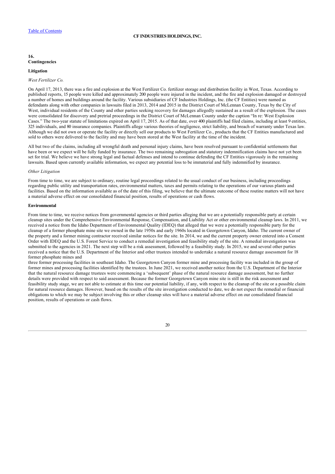### **16. Contingencies**

### **Litigation**

### *West Fertilizer Co.*

On April 17, 2013, there was a fire and explosion at the West Fertilizer Co. fertilizer storage and distribution facility in West, Texas. According to published reports, 15 people were killed and approximately 200 people were injured in the incident, and the fire and explosion damaged or destroyed a number of homes and buildings around the facility. Various subsidiaries of CF Industries Holdings, Inc. (the CF Entities) were named as defendants along with other companies in lawsuits filed in 2013, 2014 and 2015 in the District Court of McLennan County, Texas by the City of West, individual residents of the County and other parties seeking recovery for damages allegedly sustained as a result of the explosion. The cases were consolidated for discovery and pretrial proceedings in the District Court of McLennan County under the caption "In re: West Explosion Cases." The two-year statute of limitations expired on April 17, 2015. As of that date, over 400 plaintiffs had filed claims, including at least 9 entities, 325 individuals, and 80 insurance companies. Plaintiffs allege various theories of negligence, strict liability, and breach of warranty under Texas law. Although we did not own or operate the facility or directly sell our products to West Fertilizer Co., products that the CF Entities manufactured and sold to others were delivered to the facility and may have been stored at the West facility at the time of the incident.

All but two of the claims, including all wrongful death and personal injury claims, have been resolved pursuant to confidential settlements that have been or we expect will be fully funded by insurance. The two remaining subrogation and statutory indemnification claims have not yet been set for trial. We believe we have strong legal and factual defenses and intend to continue defending the CF Entities vigorously in the remaining lawsuits. Based upon currently available information, we expect any potential loss to be immaterial and fully indemnified by insurance.

### *Other Litigation*

From time to time, we are subject to ordinary, routine legal proceedings related to the usual conduct of our business, including proceedings regarding public utility and transportation rates, environmental matters, taxes and permits relating to the operations of our various plants and facilities. Based on the information available as of the date of this filing, we believe that the ultimate outcome of these routine matters will not have a material adverse effect on our consolidated financial position, results of operations or cash flows.

### **Environmental**

From time to time, we receive notices from governmental agencies or third parties alleging that we are a potentially responsible party at certain cleanup sites under the Comprehensive Environmental Response, Compensation, and Liability Act or other environmental cleanup laws. In 2011, we received a notice from the Idaho Department of Environmental Quality (IDEQ) that alleged that we were a potentially responsible party for the cleanup of a former phosphate mine site we owned in the late 1950s and early 1960s located in Georgetown Canyon, Idaho. The current owner of the property and a former mining contractor received similar notices for the site. In 2014, we and the current property owner entered into a Consent Order with IDEQ and the U.S. Forest Service to conduct a remedial investigation and feasibility study of the site. A remedial investigation was submitted to the agencies in 2021. The next step will be a risk assessment, followed by a feasibility study. In 2015, we and several other parties received a notice that the U.S. Department of the Interior and other trustees intended to undertake a natural resource damage assessment for 18 former phosphate mines and

three former processing facilities in southeast Idaho. The Georgetown Canyon former mine and processing facility was included in the group of former mines and processing facilities identified by the trustees. In June 2021, we received another notice from the U.S. Department of the Interior that the natural resource damage trustees were commencing a 'subsequent' phase of the natural resource damage assessment, but no further details were provided with respect to said assessment. Because the former Georgetown Canyon mine site is still in the risk assessment and feasibility study stage, we are not able to estimate at this time our potential liability, if any, with respect to the cleanup of the site or a possible claim for natural resource damages. However, based on the results of the site investigation conducted to date, we do not expect the remedial or financial obligations to which we may be subject involving this or other cleanup sites will have a material adverse effect on our consolidated financial position, results of operations or cash flows.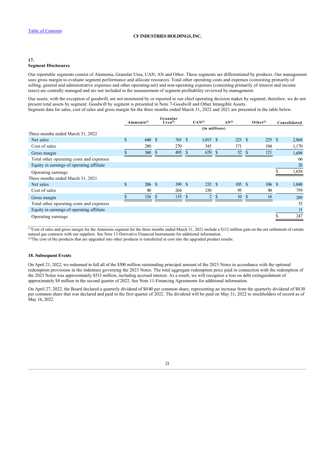### **17. Segment Disclosures**

Our reportable segments consist of Ammonia, Granular Urea, UAN, AN and Other. These segments are differentiated by products. Our management uses gross margin to evaluate segment performance and allocate resources. Total other operating costs and expenses (consisting primarily of selling, general and administrative expenses and other operating-net) and non-operating expenses (consisting primarily of interest and income taxes) are centrally managed and are not included in the measurement of segment profitability reviewed by management.

Our assets, with the exception of goodwill, are not monitored by or reported to our chief operating decision maker by segment; therefore, we do not present total assets by segment. Goodwill by segment is presented in Note 7-Goodwill and Other Intangible Assets. Segment data for sales, cost of sales and gross margin for the three months ended March 31, 2022 and 2021 are presented in the table below.

**Ammonia Granular UAN**<sup>(2)</sup> **AN**<sup>(2)</sup> **Other**<sup>(2)</sup> **Consolidated (in millions)** Three months ended March 31, 2022 Net sales 5 765 \$ 1,015 \$ 223 \$ 2,868 Cost of sales 280 270 345 171 104 1,170 Gross margin 5 5 5 5  $\frac{121}{100}$  5 5  $\frac{121}{1000}$  5 5  $\frac{52}{100}$  5 5  $\frac{52}{100}$  5 5  $\frac{121}{1000}$  1,698 Total other operating costs and expenses 66 Equity in earnings of operating affiliate 26 Operating earnings \$ 1,658 Three months ended March 31, 2021 Net sales 5 309 \$ 232 \$ 105 \$ 1,048 Cost of sales 80 264 230 95 90 759 Gross margin  $\frac{126}{5} = \frac{126}{5} = \frac{135}{5} = \frac{135}{5} = \frac{135}{5} = \frac{135}{25} = \frac{135}{25} = \frac{135}{25} = \frac{135}{25} = \frac{135}{25} = \frac{135}{25} = \frac{135}{25} = \frac{135}{25} = \frac{135}{25} = \frac{135}{25} = \frac{135}{25} = \frac{135}{25} = \frac{135}{25} = \frac{135}{25} = \frac{$ Total other operating costs and expenses 53 Equity in earnings of operating affiliate 11 and 11 and 11 and 11 and 11 and 11 and 11 and 11 and 11 and 11 and 11 and 11 and 11 and 11 and 11 and 11 and 11 and 11 and 11 and 11 and 11 and 11 and 11 and 11 and 11 and 11 an Operating earnings 5 247 **(1) (2) (2) (2) (2)**

 $(1)$ Cost of sales and gross margin for the Ammonia segment for the three months ended March 31, 2021 include a \$112 million gain on the net settlement of certain natural gas contracts with our suppliers. See Note 13-Derivative Financial Instruments for additional information.

 $(2)$ The cost of the products that are upgraded into other products is transferred at cost into the upgraded product results.

 $\mathcal{L}_\mathcal{L} = \{ \mathcal{L}_\mathcal{L} = \{ \mathcal{L}_\mathcal{L} = \{ \mathcal{L}_\mathcal{L} = \{ \mathcal{L}_\mathcal{L} = \{ \mathcal{L}_\mathcal{L} = \{ \mathcal{L}_\mathcal{L} = \{ \mathcal{L}_\mathcal{L} = \{ \mathcal{L}_\mathcal{L} = \{ \mathcal{L}_\mathcal{L} = \{ \mathcal{L}_\mathcal{L} = \{ \mathcal{L}_\mathcal{L} = \{ \mathcal{L}_\mathcal{L} = \{ \mathcal{L}_\mathcal{L} = \{ \mathcal{L}_\mathcal{$ 

### **18. Subsequent Events**

On April 21, 2022, we redeemed in full all of the \$500 million outstanding principal amount of the 2023 Notes in accordance with the optional redemption provisions in the indenture governing the 2023 Notes. The total aggregate redemption price paid in connection with the redemption of the 2023 Notes was approximately \$513 million, including accrued interest. As a result, we will recognize a loss on debt extinguishment of approximately \$8 million in the second quarter of 2022. See Note 11-Financing Agreements for additional information.

<span id="page-23-0"></span>On April 27, 2022, the Board declared a quarterly dividend of \$0.40 per common share, representing an increase from the quarterly dividend of \$0.30 per common share that was declared and paid in the first quarter of 2022. The dividend will be paid on May 31, 2022 to stockholders of record as of May 16, 2022.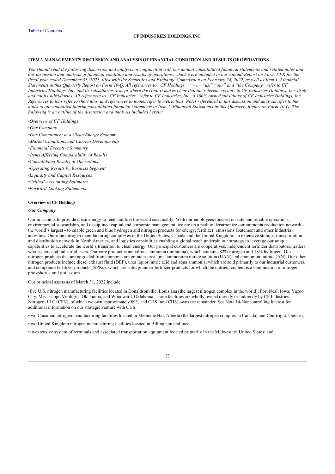### **ITEM 2. MANAGEMENT'S DISCUSSION AND ANALYSIS OF FINANCIAL CONDITION AND RESULTS OF OPERATIONS.**

*You should read the following discussion and analysis in conjunction with our annual consolidated financial statements and related notes and our discussion and analysis of financial condition and results of operations, which were included in our Annual Report on Form 10-K for the fiscal year ended December 31, 2021, filed with the Securities and Exchange Commission on February 24, 2022, as well as Item 1. Financial Statements in this Quarterly Report on Form 10-Q. All references to "CF Holdings," "we," "us," "our" and "the Company" refer to CF Industries Holdings, Inc. and its subsidiaries, except where the context makes clear that the reference is only to CF Industries Holdings, Inc. itself and not its subsidiaries. All references to "CF Industries" refer to CF Industries, Inc., a 100% owned subsidiary of CF Industries Holdings, Inc. References to tons refer to short tons, and references to tonnes refer to metric tons. Notes referenced in this discussion and analysis refer to the notes to our unaudited interim consolidated financial statements in Item 1. Financial Statements in this Quarterly Report on Form 10-Q. The following is an outline of the discussion and analysis included herein:*

•*Overview of CF Holdings*

- *◦Our Company*
- *◦Our Commitment to a Clean Energy Economy*
- *◦Market Conditions and Current Developments*
- *◦Financial Executive Summary*
- *◦Items Affecting Comparability of Results*
- •*Consolidated Results of Operations*
- *•Operating Results by Business Segment*
- •*Liquidity and Capital Resources*
- •*Critical Accounting Estimates*
- •*Forward-Looking Statements*

# **Overview of CF Holdings**

### *Our Company*

Our mission is to provide clean energy to feed and fuel the world sustainably. With our employees focused on safe and reliable operations, environmental stewardship, and disciplined capital and corporate management, we are on a path to decarbonize our ammonia production network the world's largest - to enable green and blue hydrogen and nitrogen products for energy, fertilizer, emissions abatement and other industrial activities. Our nine nitrogen manufacturing complexes in the United States, Canada and the United Kingdom, an extensive storage, transportation and distribution network in North America, and logistics capabilities enabling a global reach underpin our strategy to leverage our unique capabilities to accelerate the world's transition to clean energy. Our principal customers are cooperatives, independent fertilizer distributors, traders, wholesalers and industrial users. Our core product is anhydrous ammonia (ammonia), which contains 82% nitrogen and 18% hydrogen. Our nitrogen products that are upgraded from ammonia are granular urea, urea ammonium nitrate solution (UAN) and ammonium nitrate (AN). Our other nitrogen products include diesel exhaust fluid (DEF), urea liquor, nitric acid and aqua ammonia, which are sold primarily to our industrial customers, and compound fertilizer products (NPKs), which are solid granular fertilizer products for which the nutrient content is a combination of nitrogen, phosphorus and potassium.

### Our principal assets as of March 31, 2022 include:

•five U.S. nitrogen manufacturing facilities located in Donaldsonville, Louisiana (the largest nitrogen complex in the world); Port Neal, Iowa; Yazoo City, Mississippi; Verdigris, Oklahoma; and Woodward, Oklahoma. These facilities are wholly owned directly or indirectly by CF Industries Nitrogen, LLC (CFN), of which we own approximately 89% and CHS Inc. (CHS) owns the remainder. See Note 14-Noncontrolling Interest for additional information on our strategic venture with CHS;

•two Canadian nitrogen manufacturing facilities located in Medicine Hat, Alberta (the largest nitrogen complex in Canada) and Courtright, Ontario;

•two United Kingdom nitrogen manufacturing facilities located in Billingham and Ince;

•an extensive system of terminals and associated transportation equipment located primarily in the Midwestern United States; and

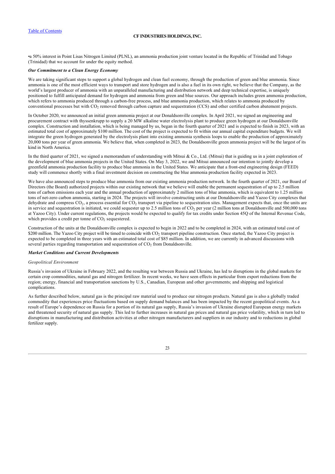•a 50% interest in Point Lisas Nitrogen Limited (PLNL), an ammonia production joint venture located in the Republic of Trinidad and Tobago (Trinidad) that we account for under the equity method.

# *Our Commitment to a Clean Energy Economy*

We are taking significant steps to support a global hydrogen and clean fuel economy, through the production of green and blue ammonia. Since ammonia is one of the most efficient ways to transport and store hydrogen and is also a fuel in its own right, we believe that the Company, as the world's largest producer of ammonia with an unparalleled manufacturing and distribution network and deep technical expertise, is uniquely positioned to fulfill anticipated demand for hydrogen and ammonia from green and blue sources. Our approach includes green ammonia production, which refers to ammonia produced through a carbon-free process, and blue ammonia production, which relates to ammonia produced by conventional processes but with  $CO<sub>2</sub>$  removed through carbon capture and sequestration (CCS) and other certified carbon abatement projects.

In October 2020, we announced an initial green ammonia project at our Donaldsonville complex. In April 2021, we signed an engineering and procurement contract with thyssenkrupp to supply a 20 MW alkaline water electrolysis plant to produce green hydrogen at our Donaldsonville complex. Construction and installation, which is being managed by us, began in the fourth quarter of 2021 and is expected to finish in 2023, with an estimated total cost of approximately \$100 million. The cost of the project is expected to fit within our annual capital expenditure budgets. We will integrate the green hydrogen generated by the electrolysis plant into existing ammonia synthesis loops to enable the production of approximately 20,000 tons per year of green ammonia. We believe that, when completed in 2023, the Donaldsonville green ammonia project will be the largest of its kind in North America.

In the third quarter of 2021, we signed a memorandum of understanding with Mitsui & Co., Ltd. (Mitsui) that is guiding us in a joint exploration of the development of blue ammonia projects in the United States. On May 3, 2022, we and Mitsui announced our intention to jointly develop a greenfield ammonia production facility to produce blue ammonia in the United States. We anticipate that a front-end engineering design (FEED) study will commence shortly with a final investment decision on constructing the blue ammonia production facility expected in 2023.

We have also announced steps to produce blue ammonia from our existing ammonia production network. In the fourth quarter of 2021, our Board of Directors (the Board) authorized projects within our existing network that we believe will enable the permanent sequestration of up to 2.5 million tons of carbon emissions each year and the annual production of approximately 2 million tons of blue ammonia, which is equivalent to 1.25 million tons of net-zero carbon ammonia, starting in 2024. The projects will involve constructing units at our Donaldsonville and Yazoo City complexes that dehydrate and compress  $CO_2$ , a process essential for  $CO_2$  transport via pipeline to sequestration sites. Management expects that, once the units are in service and sequestration is initiated, we could sequester up to 2.5 million tons of  $CO<sub>2</sub>$  per year (2 million tons at Donaldsonville and 500,000 tons at Yazoo City). Under current regulations, the projects would be expected to qualify for tax credits under Section 45Q of the Internal Revenue Code, which provides a credit per tonne of  $CO<sub>2</sub>$  sequestered.

Construction of the units at the Donaldsonville complex is expected to begin in 2022 and to be completed in 2024, with an estimated total cost of \$200 million. The Yazoo City project will be timed to coincide with  $CO_2$  transport pipeline construction. Once started, the Yazoo City project is expected to be completed in three years with an estimated total cost of \$85 million. In addition, we are currently in advanced discussions with several parties regarding transportation and sequestration of  $CO<sub>2</sub>$  from Donaldsonville.

### *Market Conditions and Current Developments*

#### *Geopolitical Environment*

Russia's invasion of Ukraine in February 2022, and the resulting war between Russia and Ukraine, has led to disruptions in the global markets for certain crop commodities, natural gas and nitrogen fertilizer. In recent weeks, we have seen effects in particular from export reductions from the region; energy, financial and transportation sanctions by U.S., Canadian, European and other governments; and shipping and logistical complications.

As further described below, natural gas is the principal raw material used to produce our nitrogen products. Natural gas is also a globally traded commodity that experiences price fluctuations based on supply demand balances and has been impacted by the recent geopolitical events. As a result of Europe's dependence on Russia for a portion of its natural gas supply, Russia's invasion of Ukraine disrupted European energy markets and threatened security of natural gas supply. This led to further increases in natural gas prices and natural gas price volatility, which in turn led to disruptions in manufacturing and distribution activities at other nitrogen manufacturers and suppliers in our industry and to reductions in global fertilizer supply.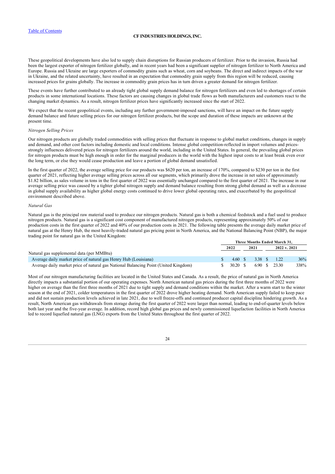These geopolitical developments have also led to supply chain disruptions for Russian producers of fertilizer. Prior to the invasion, Russia had been the largest exporter of nitrogen fertilizer globally, and in recent years had been a significant supplier of nitrogen fertilizer to North America and Europe. Russia and Ukraine are large exporters of commodity grains such as wheat, corn and soybeans. The direct and indirect impacts of the war in Ukraine, and the related uncertainty, have resulted in an expectation that commodity grain supply from this region will be reduced, causing increased prices for grains globally. The increase in commodity grain prices has in turn driven a greater demand for nitrogen fertilizer.

These events have further contributed to an already tight global supply demand balance for nitrogen fertilizers and even led to shortages of certain products in some international locations. These factors are causing changes in global trade flows as both manufacturers and customers react to the changing market dynamics. As a result, nitrogen fertilizer prices have significantly increased since the start of 2022.

We expect that the recent geopolitical events, including any further government-imposed sanctions, will have an impact on the future supply demand balance and future selling prices for our nitrogen fertilizer products, but the scope and duration of these impacts are unknown at the present time.

#### *Nitrogen Selling Prices*

Our nitrogen products are globally traded commodities with selling prices that fluctuate in response to global market conditions, changes in supply and demand, and other cost factors including domestic and local conditions. Intense global competition-reflected in import volumes and pricesstrongly influences delivered prices for nitrogen fertilizers around the world, including in the United States. In general, the prevailing global prices for nitrogen products must be high enough in order for the marginal producers in the world with the highest input costs to at least break even over the long term, or else they would cease production and leave a portion of global demand unsatisfied.

In the first quarter of 2022, the average selling price for our products was \$620 per ton, an increase of 170%, compared to \$230 per ton in the first quarter of 2021, reflecting higher average selling prices across all our segments, which primarily drove the increase in net sales of approximately \$1.82 billion, as sales volume in tons in the first quarter of 2022 was essentially unchanged compared to the first quarter of 2021. The increase in our average selling price was caused by a tighter global nitrogen supply and demand balance resulting from strong global demand as well as a decrease in global supply availability as higher global energy costs continued to drive lower global operating rates, and exacerbated by the geopolitical environment described above.

### *Natural Gas*

Natural gas is the principal raw material used to produce our nitrogen products. Natural gas is both a chemical feedstock and a fuel used to produce nitrogen products. Natural gas is a significant cost component of manufactured nitrogen products, representing approximately 50% of our production costs in the first quarter of 2022 and 40% of our production costs in 2021. The following table presents the average daily market price of natural gas at the Henry Hub, the most heavily-traded natural gas pricing point in North America, and the National Balancing Point (NBP), the major trading point for natural gas in the United Kingdom:

|                                                                                     |              |          |              | Three Months Ended March 31. |      |  |  |  |
|-------------------------------------------------------------------------------------|--------------|----------|--------------|------------------------------|------|--|--|--|
|                                                                                     |              | 2022     | 2021         | 2022 v. 2021                 |      |  |  |  |
| Natural gas supplemental data (per MMBtu)                                           |              |          |              |                              |      |  |  |  |
| Average daily market price of natural gas Henry Hub (Louisiana)                     | <sup>S</sup> | 4.60 S   | 3.38 \$ 1.22 |                              | 36%  |  |  |  |
| Average daily market price of natural gas National Balancing Point (United Kingdom) |              | 30.20 \$ |              | 6.90 \$ 23.30                | 338% |  |  |  |

Most of our nitrogen manufacturing facilities are located in the United States and Canada. As a result, the price of natural gas in North America directly impacts a substantial portion of our operating expenses. North American natural gas prices during the first three months of 2022 were higher on average than the first three months of 2021 due to tight supply and demand conditions within the market. After a warm start to the winter season at the end of 2021, colder temperatures in the first quarter of 2022 drove higher heating demand. North American supply failed to keep pace and did not sustain production levels achieved in late 2021, due to well freeze-offs and continued producer capital discipline hindering growth. As a result, North American gas withdrawals from storage during the first quarter of 2022 were larger than normal, leading to end-of-quarter levels below both last year and the five-year average. In addition, record high global gas prices and newly commissioned liquefaction facilities in North America led to record liquefied natural gas (LNG) exports from the United States throughout the first quarter of 2022.

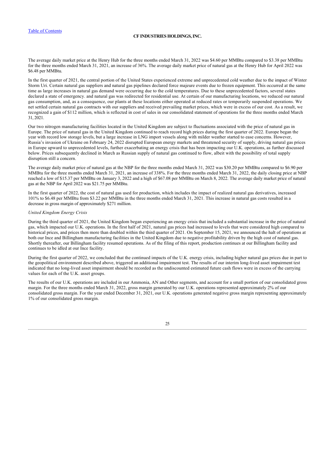The average daily market price at the Henry Hub for the three months ended March 31, 2022 was \$4.60 per MMBtu compared to \$3.38 per MMBtu for the three months ended March 31, 2021, an increase of 36%. The average daily market price of natural gas at the Henry Hub for April 2022 was \$6.48 per MMBtu.

In the first quarter of 2021, the central portion of the United States experienced extreme and unprecedented cold weather due to the impact of Winter Storm Uri. Certain natural gas suppliers and natural gas pipelines declared force majeure events due to frozen equipment. This occurred at the same time as large increases in natural gas demand were occurring due to the cold temperatures. Due to these unprecedented factors, several states declared a state of emergency. and natural gas was redirected for residential use. At certain of our manufacturing locations, we reduced our natural gas consumption, and, as a consequence, our plants at these locations either operated at reduced rates or temporarily suspended operations. We net settled certain natural gas contracts with our suppliers and received prevailing market prices, which were in excess of our cost. As a result, we recognized a gain of \$112 million, which is reflected in cost of sales in our consolidated statement of operations for the three months ended March  $31, 2021$ 

Our two nitrogen manufacturing facilities located in the United Kingdom are subject to fluctuations associated with the price of natural gas in Europe. The price of natural gas in the United Kingdom continued to reach record high prices during the first quarter of 2022. Europe began the year with record low storage levels, but a large increase in LNG import vessels along with milder weather started to ease concerns. However, Russia's invasion of Ukraine on February 24, 2022 disrupted European energy markets and threatened security of supply, driving natural gas prices in Europe upward to unprecedented levels, further exacerbating an energy crisis that has been impacting our U.K. operations, as further discussed below. Prices subsequently declined in March as Russian supply of natural gas continued to flow, albeit with the possibility of total supply disruption still a concern.

The average daily market price of natural gas at the NBP for the three months ended March 31, 2022 was \$30.20 per MMBtu compared to \$6.90 per MMBtu for the three months ended March 31, 2021, an increase of 338%. For the three months ended March 31, 2022, the daily closing price at NBP reached a low of \$15.37 per MMBtu on January 3, 2022 and a high of \$67.08 per MMBtu on March 8, 2022. The average daily market price of natural gas at the NBP for April 2022 was \$21.75 per MMBtu.

In the first quarter of 2022, the cost of natural gas used for production, which includes the impact of realized natural gas derivatives, increased 101% to \$6.48 per MMBtu from \$3.22 per MMBtu in the three months ended March 31, 2021. This increase in natural gas costs resulted in a decrease in gross margin of approximately \$271 million.

### *United Kingdom Energy Crisis*

During the third quarter of 2021, the United Kingdom began experiencing an energy crisis that included a substantial increase in the price of natural gas, which impacted our U.K. operations. In the first half of 2021, natural gas prices had increased to levels that were considered high compared to historical prices, and prices then more than doubled within the third quarter of 2021. On September 15, 2021, we announced the halt of operations at both our Ince and Billingham manufacturing facilities in the United Kingdom due to negative profitability driven by the high cost of natural gas. Shortly thereafter, our Billingham facility resumed operations. As of the filing of this report, production continues at our Billingham facility and continues to be idled at our Ince facility.

During the first quarter of 2022, we concluded that the continued impacts of the U.K. energy crisis, including higher natural gas prices due in part to the geopolitical environment described above, triggered an additional impairment test. The results of our interim long-lived asset impairment test indicated that no long-lived asset impairment should be recorded as the undiscounted estimated future cash flows were in excess of the carrying values for each of the U.K. asset groups.

The results of our U.K. operations are included in our Ammonia, AN and Other segments, and account for a small portion of our consolidated gross margin. For the three months ended March 31, 2022, gross margin generated by our U.K. operations represented approximately 2% of our consolidated gross margin. For the year ended December 31, 2021, our U.K. operations generated negative gross margin representing approximately 1% of our consolidated gross margin.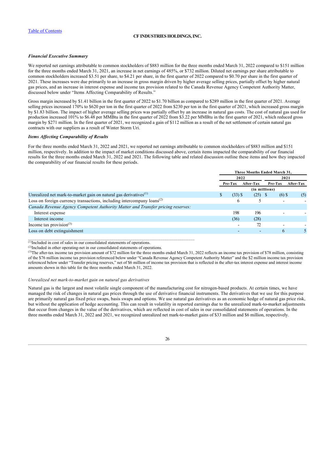#### *Financial Executive Summary*

We reported net earnings attributable to common stockholders of \$883 million for the three months ended March 31, 2022 compared to \$151 million for the three months ended March 31, 2021, an increase in net earnings of 485%, or \$732 million. Diluted net earnings per share attributable to common stockholders increased \$3.51 per share, to \$4.21 per share, in the first quarter of 2022 compared to \$0.70 per share in the first quarter of 2021. These increases were due primarily to an increase in gross margin driven by higher average selling prices, partially offset by higher natural gas prices, and an increase in interest expense and income tax provision related to the Canada Revenue Agency Competent Authority Matter, discussed below under "Items Affecting Comparability of Results."

Gross margin increased by \$1.41 billion in the first quarter of 2022 to \$1.70 billion as compared to \$289 million in the first quarter of 2021. Average selling prices increased 170% to \$620 per ton in the first quarter of 2022 from \$230 per ton in the first quarter of 2021, which increased gross margin by \$1.83 billion. The impact of higher average selling prices was partially offset by an increase in natural gas costs. The cost of natural gas used for production increased 101% to \$6.48 per MMBtu in the first quarter of 2022 from \$3.22 per MMBtu in the first quarter of 2021, which reduced gross margin by \$271 million. In the first quarter of 2021, we recognized a gain of \$112 million as a result of the net settlement of certain natural gas contracts with our suppliers as a result of Winter Storm Uri.

#### *Items Affecting Comparability of Results*

For the three months ended March 31, 2022 and 2021, we reported net earnings attributable to common stockholders of \$883 million and \$151 million, respectively. In addition to the impact of market conditions discussed above, certain items impacted the comparability of our financial results for the three months ended March 31, 2022 and 2021. The following table and related discussion outline these items and how they impacted the comparability of our financial results for these periods.

|                                                                                           |   | Three Months Ended March 31, |                          |          |           |  |  |  |  |  |  |
|-------------------------------------------------------------------------------------------|---|------------------------------|--------------------------|----------|-----------|--|--|--|--|--|--|
|                                                                                           |   | 2022                         |                          | 2021     |           |  |  |  |  |  |  |
|                                                                                           |   | Pre-Tax                      | After-Tax                | Pre-Tax  | After-Tax |  |  |  |  |  |  |
|                                                                                           |   |                              | (in millions)            |          |           |  |  |  |  |  |  |
| Unrealized net mark-to-market gain on natural gas derivatives <sup><math>(1)</math></sup> | S | $(33)$ \$                    | $(25)$ \$                | $(6)$ \$ | (5)       |  |  |  |  |  |  |
| Loss on foreign currency transactions, including intercompany $\{loans^{(2)}\}$           |   | 6                            |                          |          |           |  |  |  |  |  |  |
| Canada Revenue Agency Competent Authority Matter and Transfer pricing reserves:           |   |                              |                          |          |           |  |  |  |  |  |  |
| Interest expense                                                                          |   | 198                          | 196                      |          |           |  |  |  |  |  |  |
| Interest income                                                                           |   | (36)                         | (28)                     |          |           |  |  |  |  |  |  |
| Income tax provision $(3)$                                                                |   | ۰                            | 72                       | -        |           |  |  |  |  |  |  |
| Loss on debt extinguishment                                                               |   | ۰                            | $\overline{\phantom{a}}$ | 6        |           |  |  |  |  |  |  |
|                                                                                           |   |                              |                          |          |           |  |  |  |  |  |  |

 $(1)$ Included in cost of sales in our consolidated statements of operations.

 $^{(2)}$ Included in other operating-net in our consolidated statements of operations.

\_\_\_\_\_\_\_\_\_\_\_\_\_\_\_\_\_\_\_\_\_\_\_\_\_\_\_\_\_\_\_\_\_\_\_\_\_\_\_\_\_\_\_\_\_\_\_\_\_\_\_\_\_\_\_\_\_\_\_\_\_\_\_\_\_\_\_\_\_\_\_\_\_\_\_\_\_\_

 $(3)$ The after-tax income tax provision amount of \$72 million for the three months ended March 31, 2022 reflects an income tax provision of \$78 million, consisting of the \$76 million income tax provision referenced below under "Canada Revenue Agency Competent Authority Matter" and the \$2 million income tax provision referenced below under "Transfer pricing reserves," net of \$6 million of income tax provision that is reflected in the after-tax interest expense and interest income amounts shown in this table for the three months ended March 31, 2022.

#### *Unrealized net mark-to-market gain on natural gas derivatives*

Natural gas is the largest and most volatile single component of the manufacturing cost for nitrogen-based products. At certain times, we have managed the risk of changes in natural gas prices through the use of derivative financial instruments. The derivatives that we use for this purpose are primarily natural gas fixed price swaps, basis swaps and options. We use natural gas derivatives as an economic hedge of natural gas price risk, but without the application of hedge accounting. This can result in volatility in reported earnings due to the unrealized mark-to-market adjustments that occur from changes in the value of the derivatives, which are reflected in cost of sales in our consolidated statements of operations. In the three months ended March 31, 2022 and 2021, we recognized unrealized net mark-to-market gains of \$33 million and \$6 million, respectively.

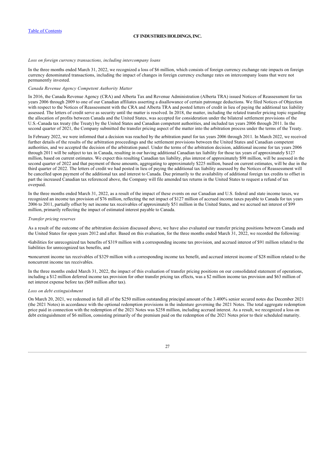#### *Loss on foreign currency transactions, including intercompany loans*

In the three months ended March 31, 2022, we recognized a loss of \$6 million, which consists of foreign currency exchange rate impacts on foreign currency denominated transactions, including the impact of changes in foreign currency exchange rates on intercompany loans that were not permanently invested.

### *Canada Revenue Agency Competent Authority Matter*

In 2016, the Canada Revenue Agency (CRA) and Alberta Tax and Revenue Administration (Alberta TRA) issued Notices of Reassessment for tax years 2006 through 2009 to one of our Canadian affiliates asserting a disallowance of certain patronage deductions. We filed Notices of Objection with respect to the Notices of Reassessment with the CRA and Alberta TRA and posted letters of credit in lieu of paying the additional tax liability assessed. The letters of credit serve as security until the matter is resolved. In 2018, the matter, including the related transfer pricing topic regarding the allocation of profits between Canada and the United States, was accepted for consideration under the bilateral settlement provisions of the U.S.-Canada tax treaty (the Treaty) by the United States and Canadian competent authorities, and included tax years 2006 through 2011. In the second quarter of 2021, the Company submitted the transfer pricing aspect of the matter into the arbitration process under the terms of the Treaty.

In February 2022, we were informed that a decision was reached by the arbitration panel for tax years 2006 through 2011. In March 2022, we received further details of the results of the arbitration proceedings and the settlement provisions between the United States and Canadian competent authorities, and we accepted the decision of the arbitration panel. Under the terms of the arbitration decision, additional income for tax years 2006 through 2011 will be subject to tax in Canada, resulting in our having additional Canadian tax liability for those tax years of approximately \$127 million, based on current estimates. We expect this resulting Canadian tax liability, plus interest of approximately \$98 million, will be assessed in the second quarter of 2022 and that payment of those amounts, aggregating to approximately \$225 million, based on current estimates, will be due in the third quarter of 2022. The letters of credit we had posted in lieu of paying the additional tax liability assessed by the Notices of Reassessment will be cancelled upon payment of the additional tax and interest to Canada. Due primarily to the availability of additional foreign tax credits to offset in part the increased Canadian tax referenced above, the Company will file amended tax returns in the United States to request a refund of tax overpaid.

In the three months ended March 31, 2022, as a result of the impact of these events on our Canadian and U.S. federal and state income taxes, we recognized an income tax provision of \$76 million, reflecting the net impact of \$127 million of accrued income taxes payable to Canada for tax years 2006 to 2011, partially offset by net income tax receivables of approximately \$51 million in the United States, and we accrued net interest of \$99 million, primarily reflecting the impact of estimated interest payable to Canada.

### *Transfer pricing reserves*

As a result of the outcome of the arbitration decision discussed above, we have also evaluated our transfer pricing positions between Canada and the United States for open years 2012 and after. Based on this evaluation, for the three months ended March 31, 2022, we recorded the following:

•liabilities for unrecognized tax benefits of \$319 million with a corresponding income tax provision, and accrued interest of \$91 million related to the liabilities for unrecognized tax benefits, and

•noncurrent income tax receivables of \$329 million with a corresponding income tax benefit, and accrued interest income of \$28 million related to the noncurrent income tax receivables.

In the three months ended March 31, 2022, the impact of this evaluation of transfer pricing positions on our consolidated statement of operations, including a \$12 million deferred income tax provision for other transfer pricing tax effects, was a \$2 million income tax provision and \$63 million of net interest expense before tax (\$69 million after tax).

#### *Loss on debt extinguishment*

On March 20, 2021, we redeemed in full all of the \$250 million outstanding principal amount of the 3.400% senior secured notes due December 2021 (the 2021 Notes) in accordance with the optional redemption provisions in the indenture governing the 2021 Notes. The total aggregate redemption price paid in connection with the redemption of the 2021 Notes was \$258 million, including accrued interest. As a result, we recognized a loss on debt extinguishment of \$6 million, consisting primarily of the premium paid on the redemption of the 2021 Notes prior to their scheduled maturity.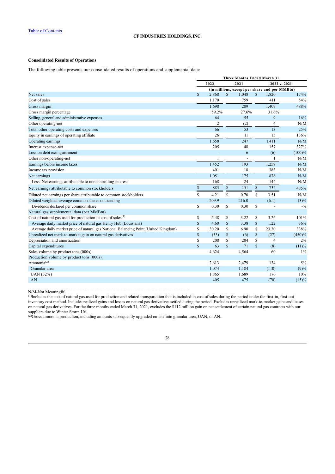# **Consolidated Results of Operations**

The following table presents our consolidated results of operations and supplemental data:

|                                                                                     |              |                |              |       |              | Three Months Ended March 31,                  |         |
|-------------------------------------------------------------------------------------|--------------|----------------|--------------|-------|--------------|-----------------------------------------------|---------|
|                                                                                     |              | 2022           |              | 2021  |              | 2022 v. 2021                                  |         |
|                                                                                     |              |                |              |       |              | (in millions, except per share and per MMBtu) |         |
| Net sales                                                                           | \$           | 2,868          | $\mathbb{S}$ | 1,048 | \$           | 1,820                                         | 174%    |
| Cost of sales                                                                       |              | 1,170          |              | 759   |              | 411                                           | 54%     |
| Gross margin                                                                        |              | 1.698          |              | 289   |              | 1.409                                         | 488%    |
| Gross margin percentage                                                             |              | 59.2%          |              | 27.6% |              | 31.6%                                         |         |
| Selling, general and administrative expenses                                        |              | 64             |              | 55    |              | 9                                             | 16%     |
| Other operating-net                                                                 |              | $\overline{c}$ |              | (2)   |              | $\overline{4}$                                | N/M     |
| Total other operating costs and expenses                                            |              | 66             |              | 53    |              | 13                                            | 25%     |
| Equity in earnings of operating affiliate                                           |              | 26             |              | 11    |              | 15                                            | 136%    |
| Operating earnings                                                                  |              | 1,658          |              | 247   |              | 1,411                                         | N/M     |
| Interest expense-net                                                                |              | 205            |              | 48    |              | 157                                           | 327%    |
| Loss on debt extinguishment                                                         |              |                |              | 6     |              | (6)                                           | (100)%  |
| Other non-operating-net                                                             |              |                |              |       |              |                                               | N/M     |
| Earnings before income taxes                                                        |              | 1,452          |              | 193   |              | 1,259                                         | N/M     |
| Income tax provision                                                                |              | 401            |              | 18    |              | 383                                           | N/M     |
| Net earnings                                                                        |              | 1,051          |              | 175   |              | 876                                           | N/M     |
| Less: Net earnings attributable to noncontrolling interest                          |              | 168            |              | 24    |              | 144                                           | N/M     |
| Net earnings attributable to common stockholders                                    | $\mathbb{S}$ | 883            | $\mathbb{S}$ | 151   | $\mathbb{S}$ | 732                                           | 485%    |
| Diluted net earnings per share attributable to common stockholders                  | S            | 4.21           | \$           | 0.70  | S.           | 3.51                                          | N/M     |
| Diluted weighted-average common shares outstanding                                  |              | 209.9          |              | 216.0 |              | (6.1)                                         | $(3)\%$ |
| Dividends declared per common share                                                 | \$           | 0.30           | \$           | 0.30  | \$           |                                               | $-1/2$  |
| Natural gas supplemental data (per MMBtu)                                           |              |                |              |       |              |                                               |         |
| Cost of natural gas used for production in cost of sales <sup>(1)</sup>             | \$           | 6.48           | \$           | 3.22  | \$           | 3.26                                          | 101%    |
| Average daily market price of natural gas Henry Hub (Louisiana)                     | $\mathbb{S}$ | 4.60           | $\mathbb{S}$ | 3.38  | $\mathbb{S}$ | 1.22                                          | 36%     |
| Average daily market price of natural gas National Balancing Point (United Kingdom) | S            | 30.20          | S            | 6.90  | \$           | 23.30                                         | 338%    |
| Unrealized net mark-to-market gain on natural gas derivatives                       | $\mathbf S$  | (33)           | $\mathbb{S}$ | (6)   | \$           | (27)                                          | (450)%  |
| Depreciation and amortization                                                       | \$           | 208            | \$           | 204   | \$           | $\overline{4}$                                | 2%      |
| Capital expenditures                                                                | \$           | 63             | $\mathbf S$  | 71    | $\mathbb{S}$ | (8)                                           | (11)%   |
| Sales volume by product tons (000s)                                                 |              | 4,624          |              | 4,564 |              | 60                                            | 1%      |
| Production volume by product tons (000s):                                           |              |                |              |       |              |                                               |         |
| Ammonia $^{(2)}$                                                                    |              | 2,613          |              | 2,479 |              | 134                                           | 5%      |
| Granular urea                                                                       |              | 1,074          |              | 1,184 |              | (110)                                         | (9)%    |
| UAN (32%)                                                                           |              | 1,865          |              | 1,689 |              | 176                                           | 10%     |
| AN                                                                                  |              | 405            |              | 475   |              | (70)                                          | (15)%   |

N/M-Not Meaningful

 $^{(1)}$ Includes the cost of natural gas used for production and related transportation that is included in cost of sales during the period under the first-in, first-out inventory cost method. Includes realized gains and losses on natural gas derivatives settled during the period. Excludes unrealized mark-to-market gains and losses on natural gas derivatives. For the three months ended March 31, 2021, excludes the \$112 million gain on net settlement of certain natural gas contracts with our suppliers due to Winter Storm Uri.

 $^{(2)}$ Gross ammonia production, including amounts subsequently upgraded on-site into granular urea, UAN, or AN.

\_\_\_\_\_\_\_\_\_\_\_\_\_\_\_\_\_\_\_\_\_\_\_\_\_\_\_\_\_\_\_\_\_\_\_\_\_\_\_\_\_\_\_\_\_\_\_\_\_\_\_\_\_\_\_\_\_\_\_\_\_\_\_\_\_\_\_\_\_\_\_\_\_\_\_

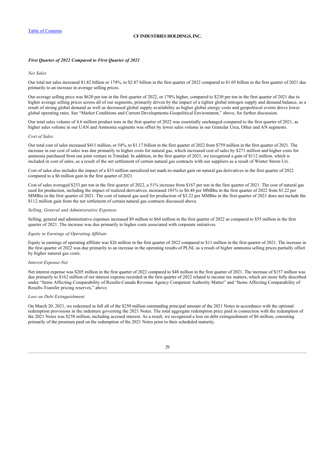### *First Quarter of 2022 Compared to First Quarter of 2021*

### *Net Sales*

Our total net sales increased \$1.82 billion or 174%, to \$2.87 billion in the first quarter of 2022 compared to \$1.05 billion in the first quarter of 2021 due primarily to an increase in average selling prices.

Our average selling price was \$620 per ton in the first quarter of 2022, or 170% higher, compared to \$230 per ton in the first quarter of 2021 due to higher average selling prices across all of our segments, primarily driven by the impact of a tighter global nitrogen supply and demand balance, as a result of strong global demand as well as decreased global supply availability as higher global energy costs and geopolitical events drove lower global operating rates. See "Market Conditions and Current Developments-Geopolitical Environment," above, for further discussion.

Our total sales volume of 4.6 million product tons in the first quarter of 2022 was essentially unchanged compared to the first quarter of 2021, as higher sales volume in our UAN and Ammonia segments was offset by lower sales volume in our Granular Urea, Other and AN segments.

### *Cost of Sales*

Our total cost of sales increased \$411 million, or 54%, to \$1.17 billion in the first quarter of 2022 from \$759 million in the first quarter of 2021. The increase in our cost of sales was due primarily to higher costs for natural gas, which increased cost of sales by \$271 million and higher costs for ammonia purchased from our joint venture in Trinidad. In addition, in the first quarter of 2021, we recognized a gain of \$112 million, which is included in cost of sales, as a result of the net settlement of certain natural gas contracts with our suppliers as a result of Winter Storm Uri.

Cost of sales also includes the impact of a \$33 million unrealized net mark-to-market gain on natural gas derivatives in the first quarter of 2022 compared to a \$6 million gain in the first quarter of 2021.

Cost of sales averaged \$253 per ton in the first quarter of 2022, a 51% increase from \$167 per ton in the first quarter of 2021. The cost of natural gas used for production, including the impact of realized derivatives, increased 101% to \$6.48 per MMBtu in the first quarter of 2022 from \$3.22 per MMBtu in the first quarter of 2021. The cost of natural gas used for production of \$3.22 per MMBtu in the first quarter of 2021 does not include the \$112 million gain from the net settlement of certain natural gas contracts discussed above.

### *Selling, General and Administrative Expenses*

Selling, general and administrative expenses increased \$9 million to \$64 million in the first quarter of 2022 as compared to \$55 million in the first quarter of 2021. The increase was due primarily to higher costs associated with corporate initiatives.

### *Equity in Earnings of Operating Affiliate*

Equity in earnings of operating affiliate was \$26 million in the first quarter of 2022 compared to \$11 million in the first quarter of 2021. The increase in the first quarter of 2022 was due primarily to an increase in the operating results of PLNL as a result of higher ammonia selling prices partially offset by higher natural gas costs.

### *Interest Expense-Net*

Net interest expense was \$205 million in the first quarter of 2022 compared to \$48 million in the first quarter of 2021. The increase of \$157 million was due primarily to \$162 million of net interest expense recorded in the first quarter of 2022 related to income tax matters, which are more fully described under "Items Affecting Comparability of Results-Canada Revenue Agency Competent Authority Matter" and "Items Affecting Comparability of Results-Transfer pricing reserves," above.

### *Loss on Debt Extinguishment*

On March 20, 2021, we redeemed in full all of the \$250 million outstanding principal amount of the 2021 Notes in accordance with the optional redemption provisions in the indenture governing the 2021 Notes. The total aggregate redemption price paid in connection with the redemption of the 2021 Notes was \$258 million, including accrued interest. As a result, we recognized a loss on debt extinguishment of \$6 million, consisting primarily of the premium paid on the redemption of the 2021 Notes prior to their scheduled maturity.

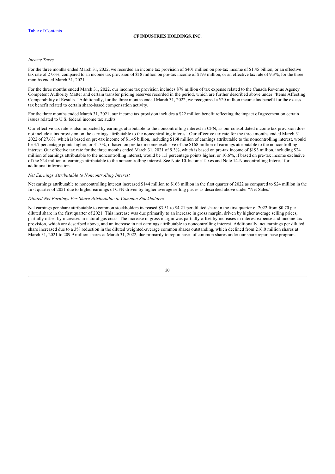# *Income Taxes*

For the three months ended March 31, 2022, we recorded an income tax provision of \$401 million on pre-tax income of \$1.45 billion, or an effective tax rate of 27.6%, compared to an income tax provision of \$18 million on pre-tax income of \$193 million, or an effective tax rate of 9.3%, for the three months ended March 31, 2021.

For the three months ended March 31, 2022, our income tax provision includes \$78 million of tax expense related to the Canada Revenue Agency Competent Authority Matter and certain transfer pricing reserves recorded in the period, which are further described above under "Items Affecting Comparability of Results.*"* Additionally, for the three months ended March 31, 2022, we recognized a \$20 million income tax benefit for the excess tax benefit related to certain share-based compensation activity.

For the three months ended March 31, 2021, our income tax provision includes a \$22 million benefit reflecting the impact of agreement on certain issues related to U.S. federal income tax audits.

Our effective tax rate is also impacted by earnings attributable to the noncontrolling interest in CFN, as our consolidated income tax provision does not include a tax provision on the earnings attributable to the noncontrolling interest. Our effective tax rate for the three months ended March 31, 2022 of 27.6%, which is based on pre-tax income of \$1.45 billion, including \$168 million of earnings attributable to the noncontrolling interest, would be 3.7 percentage points higher, or 31.3%, if based on pre-tax income exclusive of the \$168 million of earnings attributable to the noncontrolling interest. Our effective tax rate for the three months ended March 31, 2021 of 9.3%, which is based on pre-tax income of \$193 million, including \$24 million of earnings attributable to the noncontrolling interest, would be 1.3 percentage points higher, or 10.6%, if based on pre-tax income exclusive of the \$24 million of earnings attributable to the noncontrolling interest. See Note 10-Income Taxes and Note 14-Noncontrolling Interest for additional information.

### *Net Earnings Attributable to Noncontrolling Interest*

Net earnings attributable to noncontrolling interest increased \$144 million to \$168 million in the first quarter of 2022 as compared to \$24 million in the first quarter of 2021 due to higher earnings of CFN driven by higher average selling prices as described above under "Net Sales."

#### *Diluted Net Earnings Per Share Attributable to Common Stockholders*

Net earnings per share attributable to common stockholders increased \$3.51 to \$4.21 per diluted share in the first quarter of 2022 from \$0.70 per diluted share in the first quarter of 2021. This increase was due primarily to an increase in gross margin, driven by higher average selling prices, partially offset by increases in natural gas costs. The increase in gross margin was partially offset by increases in interest expense and income tax provision, which are described above, and an increase in net earnings attributable to noncontrolling interest. Additionally, net earnings per diluted share increased due to a 3% reduction in the diluted weighted-average common shares outstanding, which declined from 216.0 million shares at March 31, 2021 to 209.9 million shares at March 31, 2022, due primarily to repurchases of common shares under our share repurchase programs.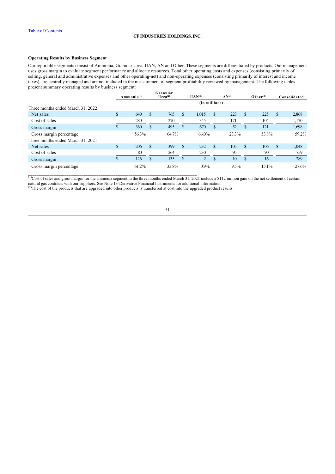# **Operating Results by Business Segment**

Our reportable segments consist of Ammonia, Granular Urea, UAN, AN and Other. These segments are differentiated by products. Our management uses gross margin to evaluate segment performance and allocate resources. Total other operating costs and expenses (consisting primarily of selling, general and administrative expenses and other operating-net) and non-operating expenses (consisting primarily of interest and income taxes), are centrally managed and are not included in the measurement of segment profitability reviewed by management. The following tables present summary operating results by business segment:

|                                   | Ammonia <sup>(1)</sup> |               | Granular<br>UAN <sup>(2)</sup><br>Urea <sup>(2)</sup> |    |               | AN <sup>(2)</sup> |       | $O$ ther <sup>(2)</sup> |       | Consolidated  |       |
|-----------------------------------|------------------------|---------------|-------------------------------------------------------|----|---------------|-------------------|-------|-------------------------|-------|---------------|-------|
|                                   |                        |               |                                                       |    | (in millions) |                   |       |                         |       |               |       |
| Three months ended March 31, 2022 |                        |               |                                                       |    |               |                   |       |                         |       |               |       |
| Net sales                         | \$<br>640              | $\mathcal{S}$ | 765                                                   | \$ | 1,015         | S                 | 223   | \$                      | 225   | <sup>\$</sup> | 2,868 |
| Cost of sales                     | 280                    |               | 270                                                   |    | 345           |                   | 171   |                         | 104   |               | 1,170 |
| Gross margin                      | 360                    |               | 495                                                   |    | 670           | S                 | 52    | \$                      | 121   |               | 1,698 |
| Gross margin percentage           | 56.3%                  |               | 64.7%                                                 |    | 66.0%         |                   | 23.3% |                         | 53.8% |               | 59.2% |
| Three months ended March 31, 2021 |                        |               |                                                       |    |               |                   |       |                         |       |               |       |
| Net sales                         | \$<br>206              | $\mathcal{S}$ | 399                                                   | \$ | 232           | S                 | 105   | \$                      | 106   | S             | 1,048 |
| Cost of sales                     | 80                     |               | 264                                                   |    | 230           |                   | 95    |                         | 90    |               | 759   |
| Gross margin                      | 126                    |               | 135                                                   |    | $\mathcal{D}$ | ς                 | 10    | Φ                       | 16    |               | 289   |
| Gross margin percentage           | 61.2%                  |               | 33.8%                                                 |    | $0.9\%$       |                   | 9.5%  |                         | 15.1% |               | 27.6% |

 $(1)$ Cost of sales and gross margin for the ammonia segment in the three months ended March 31, 2021 include a \$112 million gain on the net settlement of certain natural gas contracts with our suppliers. See Note 13-Derivative Financial Instruments for additional information.  $<sup>(2)</sup>$ The cost of the products that are upgraded into other products is transferred at cost into the upgraded product results.</sup>

 $\mathcal{L}_\mathcal{L} = \{ \mathcal{L}_\mathcal{L} = \{ \mathcal{L}_\mathcal{L} = \{ \mathcal{L}_\mathcal{L} = \{ \mathcal{L}_\mathcal{L} = \{ \mathcal{L}_\mathcal{L} = \{ \mathcal{L}_\mathcal{L} = \{ \mathcal{L}_\mathcal{L} = \{ \mathcal{L}_\mathcal{L} = \{ \mathcal{L}_\mathcal{L} = \{ \mathcal{L}_\mathcal{L} = \{ \mathcal{L}_\mathcal{L} = \{ \mathcal{L}_\mathcal{L} = \{ \mathcal{L}_\mathcal{L} = \{ \mathcal{L}_\mathcal{$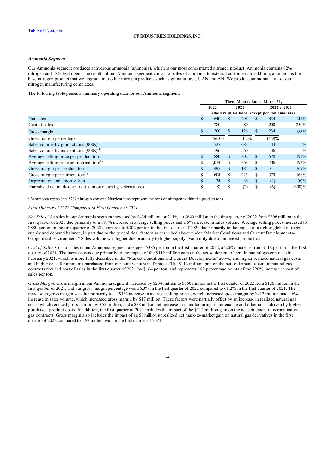# *Ammonia Segment*

Our Ammonia segment produces anhydrous ammonia (ammonia), which is our most concentrated nitrogen product. Ammonia contains 82% nitrogen and 18% hydrogen. The results of our Ammonia segment consist of sales of ammonia to external customers. In addition, ammonia is the base nitrogen product that we upgrade into other nitrogen products such as granular urea, UAN and AN. We produce ammonia at all of our nitrogen manufacturing complexes.

The following table presents summary operating data for our Ammonia segment:

|                                                               | Three Months Ended March 31, |      |       |   |                                               |           |  |  |  |  |
|---------------------------------------------------------------|------------------------------|------|-------|---|-----------------------------------------------|-----------|--|--|--|--|
|                                                               | 2022                         | 2021 |       |   | 2022 v. 2021                                  |           |  |  |  |  |
|                                                               |                              |      |       |   | (dollars in millions, except per ton amounts) |           |  |  |  |  |
| Net sales                                                     | \$<br>640                    | S.   | 206   |   | 434                                           | 211%      |  |  |  |  |
| Cost of sales                                                 | 280                          |      | 80    |   | <b>200</b>                                    | 250%      |  |  |  |  |
| Gross margin                                                  | 360                          |      | 126   |   | 234                                           | 186%      |  |  |  |  |
| Gross margin percentage                                       | 56.3%                        |      | 61.2% |   | $(4.9)\%$                                     |           |  |  |  |  |
| Sales volume by product tons (000s)                           | 727                          |      | 683   |   | 44                                            | 6%        |  |  |  |  |
| Sales volume by nutrient tons $(000s)^{(1)}$                  | 596                          |      | 560   |   | 36                                            | 6%        |  |  |  |  |
| Average selling price per product ton                         | \$<br>880                    | \$.  | 302   |   | 578                                           | 191%      |  |  |  |  |
| Average selling price per nutrient ton $(1)$                  | \$<br>1,074                  | S    | 368   |   | 706                                           | 192%      |  |  |  |  |
| Gross margin per product ton                                  | \$<br>495                    | \$.  | 184   |   | 311                                           | 169%      |  |  |  |  |
| Gross margin per nutrient ton $(1)$                           | \$<br>604                    | S    | 225   |   | 379                                           | 168%      |  |  |  |  |
| Depreciation and amortization                                 | \$<br>34                     | \$.  | 36    | S | (2)                                           | $(6)\%$   |  |  |  |  |
| Unrealized net mark-to-market gain on natural gas derivatives | \$<br>(8)                    | S    | (2)   |   | (6)                                           | $(300)\%$ |  |  |  |  |

 $(1)$ Ammonia represents 82% nitrogen content. Nutrient tons represent the tons of nitrogen within the product tons.

 $\mathcal{L}_\text{max}$ 

### *First Quarter of 2022 Compared to First Quarter of 2021*

*Net Sales.* Net sales in our Ammonia segment increased by \$434 million, or 211%, to \$640 million in the first quarter of 2022 from \$206 million in the first quarter of 2021 due primarily to a 191% increase in average selling prices and a 6% increase in sales volume. Average selling prices increased to \$880 per ton in the first quarter of 2022 compared to \$302 per ton in the first quarter of 2021 due primarily to the impact of a tighter global nitrogen supply and demand balance, in part due to the geopolitical factors as described above under "Market Conditions and Current Developments-Geopolitical Environment." Sales volume was higher due primarily to higher supply availability due to increased production.

*Cost of Sales.* Cost of sales in our Ammonia segment averaged \$385 per ton in the first quarter of 2022, a 226% increase from \$118 per ton in the first quarter of 2021. The increase was due primarily to the impact of the \$112 million gain on the net settlement of certain natural gas contracts in February 2021, which is more fully described under "Market Conditions and Current Developments" above, and higher realized natural gas costs and higher costs for ammonia purchased from our joint venture in Trinidad. The \$112 million gain on the net settlement of certain natural gas contracts reduced cost of sales in the first quarter of 2021 by \$164 per ton, and represents 189 percentage points of the 226% increase in cost of sales per ton.

*Gross Margin*. Gross margin in our Ammonia segment increased by \$234 million to \$360 million in the first quarter of 2022 from \$126 million in the first quarter of 2021, and our gross margin percentage was 56.3% in the first quarter of 2022 compared to 61.2% in the first quarter of 2021. The increase in gross margin was due primarily to a 191% increase in average selling prices, which increased gross margin by \$413 million, and a 6% increase in sales volume, which increased gross margin by \$17 million. These factors were partially offset by an increase in realized natural gas costs, which reduced gross margin by \$52 million, and a \$38 million net increase in manufacturing, maintenance and other costs, driven by higher purchased product costs. In addition, the first quarter of 2021 includes the impact of the \$112 million gain on the net settlement of certain natural gas contracts. Gross margin also includes the impact of an \$8 million unrealized net mark-to-market gain on natural gas derivatives in the first quarter of 2022 compared to a \$2 million gain in the first quarter of 2021.

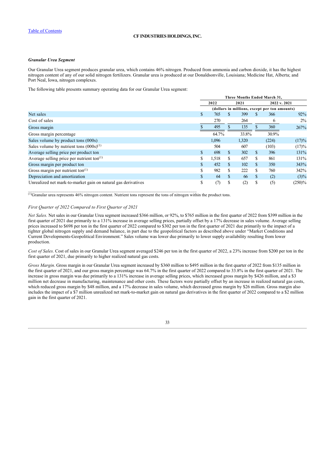# *Granular Urea Segment*

Our Granular Urea segment produces granular urea, which contains 46% nitrogen. Produced from ammonia and carbon dioxide, it has the highest nitrogen content of any of our solid nitrogen fertilizers. Granular urea is produced at our Donaldsonville, Louisiana; Medicine Hat, Alberta; and Port Neal, Iowa, nitrogen complexes.

The following table presents summary operating data for our Granular Urea segment:

|                                                               | Three Months Ended March 31, |              |       |   |                                               |           |  |  |  |  |
|---------------------------------------------------------------|------------------------------|--------------|-------|---|-----------------------------------------------|-----------|--|--|--|--|
|                                                               | 2022                         | 2021         |       |   | 2022 v. 2021                                  |           |  |  |  |  |
|                                                               |                              |              |       |   | (dollars in millions, except per ton amounts) |           |  |  |  |  |
| Net sales                                                     | \$<br>765                    | \$.          | 399   |   | 366                                           | 92%       |  |  |  |  |
| Cost of sales                                                 | 270                          |              | 264   |   | 6                                             | $2\%$     |  |  |  |  |
| Gross margin                                                  | 495                          |              | 135   |   | 360                                           | 267%      |  |  |  |  |
| Gross margin percentage                                       | 64.7%                        |              | 33.8% |   | 30.9%                                         |           |  |  |  |  |
| Sales volume by product tons (000s)                           | 1,096                        |              | 1,320 |   | (224)                                         | (17)%     |  |  |  |  |
| Sales volume by nutrient tons $(000s)^{(1)}$                  | 504                          |              | 607   |   | (103)                                         | (17)%     |  |  |  |  |
| Average selling price per product ton                         | \$<br>698                    | $\mathbf{s}$ | 302   | S | 396                                           | 131%      |  |  |  |  |
| Average selling price per nutrient ton $(1)$                  | \$<br>1,518                  | S.           | 657   | S | 861                                           | 131%      |  |  |  |  |
| Gross margin per product ton                                  | \$<br>452                    | \$           | 102   |   | 350                                           | 343%      |  |  |  |  |
| Gross margin per nutrient ton $(1)$                           | \$<br>982                    | S            | 222   |   | 760                                           | 342%      |  |  |  |  |
| Depreciation and amortization                                 | \$<br>64                     | \$.          | 66    |   | (2)                                           | $(3)\%$   |  |  |  |  |
| Unrealized net mark-to-market gain on natural gas derivatives | \$<br>(7)                    | \$           | (2)   |   | (5)                                           | $(250)\%$ |  |  |  |  |

 $(1)$ Granular urea represents 46% nitrogen content. Nutrient tons represent the tons of nitrogen within the product tons.

\_\_\_\_\_\_\_\_\_\_\_\_\_\_\_\_\_\_\_\_\_\_\_\_\_\_\_\_\_\_\_\_\_\_\_\_\_\_\_\_\_\_\_\_\_\_\_\_\_\_\_\_\_\_\_\_\_\_\_\_\_\_\_\_\_\_\_\_\_\_\_\_\_\_\_\_\_\_\_

# *First Quarter of 2022 Compared to First Quarter of 2021*

*Net Sales.* Net sales in our Granular Urea segment increased \$366 million, or 92%, to \$765 million in the first quarter of 2022 from \$399 million in the first quarter of 2021 due primarily to a 131% increase in average selling prices, partially offset by a 17% decrease in sales volume. Average selling prices increased to \$698 per ton in the first quarter of 2022 compared to \$302 per ton in the first quarter of 2021 due primarily to the impact of a tighter global nitrogen supply and demand balance, in part due to the geopolitical factors as described above under "Market Conditions and Current Developments-Geopolitical Environment." Sales volume was lower due primarily to lower supply availability resulting from lower production.

*Cost of Sales.* Cost of sales in our Granular Urea segment averaged \$246 per ton in the first quarter of 2022, a 23% increase from \$200 per ton in the first quarter of 2021, due primarily to higher realized natural gas costs.

*Gross Margin*. Gross margin in our Granular Urea segment increased by \$360 million to \$495 million in the first quarter of 2022 from \$135 million in the first quarter of 2021, and our gross margin percentage was 64.7% in the first quarter of 2022 compared to 33.8% in the first quarter of 2021. The increase in gross margin was due primarily to a 131% increase in average selling prices, which increased gross margin by \$426 million, and a \$3 million net decrease in manufacturing, maintenance and other costs. These factors were partially offset by an increase in realized natural gas costs, which reduced gross margin by \$48 million, and a 17% decrease in sales volume, which decreased gross margin by \$26 million. Gross margin also includes the impact of a \$7 million unrealized net mark-to-market gain on natural gas derivatives in the first quarter of 2022 compared to a \$2 million gain in the first quarter of 2021.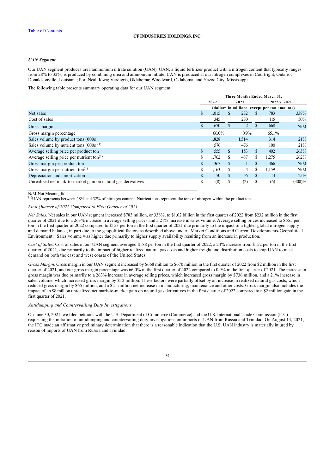# *UAN Segment*

Our UAN segment produces urea ammonium nitrate solution (UAN). UAN, a liquid fertilizer product with a nitrogen content that typically ranges from 28% to 32%, is produced by combining urea and ammonium nitrate. UAN is produced at our nitrogen complexes in Courtright, Ontario; Donaldsonville, Louisiana; Port Neal, Iowa; Verdigris, Oklahoma; Woodward, Oklahoma; and Yazoo City, Mississippi.

The following table presents summary operating data for our UAN segment:

|                                                               | <b>Three Months Ended March 31.</b> |       |                                               |                |     |              |           |  |  |  |
|---------------------------------------------------------------|-------------------------------------|-------|-----------------------------------------------|----------------|-----|--------------|-----------|--|--|--|
|                                                               |                                     | 2022  |                                               | 2021           |     | 2022 v. 2021 |           |  |  |  |
|                                                               |                                     |       | (dollars in millions, except per ton amounts) |                |     |              |           |  |  |  |
| Net sales                                                     | \$                                  | 1,015 | \$.                                           | 232            |     | 783          | 338%      |  |  |  |
| Cost of sales                                                 |                                     | 345   |                                               | 230            |     | 115          | 50%       |  |  |  |
| Gross margin                                                  |                                     | 670   |                                               | $\overline{2}$ |     | 668          | N/M       |  |  |  |
| Gross margin percentage                                       |                                     | 66.0% |                                               | $0.9\%$        |     | 65.1%        |           |  |  |  |
| Sales volume by product tons (000s)                           |                                     | 1.828 |                                               | 1,514          |     | 314          | 21%       |  |  |  |
| Sales volume by nutrient tons $(000s)^{(1)}$                  |                                     | 576   |                                               | 476            |     | 100          | 21%       |  |  |  |
| Average selling price per product ton                         | \$                                  | 555   | \$.                                           | 153            | S.  | 402          | 263%      |  |  |  |
| Average selling price per nutrient ton $(1)$                  | \$                                  | 1,762 | S                                             | 487            | S.  | 1,275        | 262%      |  |  |  |
| Gross margin per product ton                                  | \$                                  | 367   | \$                                            |                | \$  | 366          | N/M       |  |  |  |
| Gross margin per nutrient ton $(1)$                           | \$                                  | 1,163 | \$                                            | 4              | \$  | 1,159        | N/M       |  |  |  |
| Depreciation and amortization                                 | \$                                  | 70    | \$.                                           | 56             | \$. | 14           | 25%       |  |  |  |
| Unrealized net mark-to-market gain on natural gas derivatives | \$                                  | (8)   | \$                                            | (2)            |     | (6)          | $(300)\%$ |  |  |  |

N/M-Not Meaningful

 $^{(1)}$ UAN represents between 28% and 32% of nitrogen content. Nutrient tons represent the tons of nitrogen within the product tons.

\_\_\_\_\_\_\_\_\_\_\_\_\_\_\_\_\_\_\_\_\_\_\_\_\_\_\_\_\_\_\_\_\_\_\_\_\_\_\_\_\_\_\_\_\_\_\_\_\_\_\_\_\_\_\_\_\_\_\_\_\_\_\_\_\_\_\_\_\_\_\_\_\_\_\_\_\_\_\_

# *First Quarter of 2022 Compared to First Quarter of 2021*

*Net Sales.* Net sales in our UAN segment increased \$783 million, or 338%, to \$1.02 billion in the first quarter of 2022 from \$232 million in the first quarter of 2021 due to a 263% increase in average selling prices and a 21% increase in sales volume. Average selling prices increased to \$555 per ton in the first quarter of 2022 compared to \$153 per ton in the first quarter of 2021 due primarily to the impact of a tighter global nitrogen supply and demand balance, in part due to the geopolitical factors as described above under "Market Conditions and Current Developments-Geopolitical Environment." Sales volume was higher due primarily to higher supply availability resulting from an increase in production.

*Cost of Sales.* Cost of sales in our UAN segment averaged \$188 per ton in the first quarter of 2022, a 24% increase from \$152 per ton in the first quarter of 2021, due primarily to the impact of higher realized natural gas costs and higher freight and distribution costs to ship UAN to meet demand on both the east and west coasts of the United States.

*Gross Margin*. Gross margin in our UAN segment increased by \$668 million to \$670 million in the first quarter of 2022 from \$2 million in the first quarter of 2021, and our gross margin percentage was 66.0% in the first quarter of 2022 compared to 0.9% in the first quarter of 2021. The increase in gross margin was due primarily to a 263% increase in average selling prices, which increased gross margin by \$736 million, and a 21% increase in sales volume, which increased gross margin by \$12 million. These factors were partially offset by an increase in realized natural gas costs, which reduced gross margin by \$65 million, and a \$21 million net increase in manufacturing, maintenance and other costs. Gross margin also includes the impact of an \$8 million unrealized net mark-to-market gain on natural gas derivatives in the first quarter of 2022 compared to a \$2 million gain in the first quarter of 2021.

# *Antidumping and Countervailing Duty Investigations*

On June 30, 2021, we filed petitions with the U.S. Department of Commerce (Commerce) and the U.S. International Trade Commission (ITC) requesting the initiation of antidumping and countervailing duty investigations on imports of UAN from Russia and Trinidad. On August 13, 2021, the ITC made an affirmative preliminary determination that there is a reasonable indication that the U.S. UAN industry is materially injured by reason of imports of UAN from Russia and Trinidad.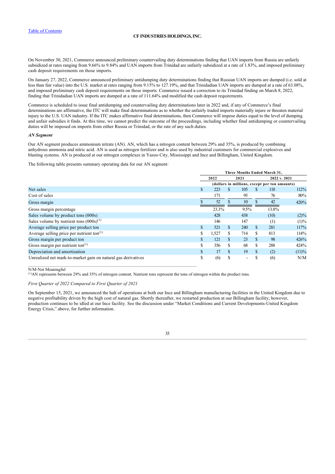On November 30, 2021, Commerce announced preliminary countervailing duty determinations finding that UAN imports from Russia are unfairly subsidized at rates ranging from 9.66% to 9.84% and UAN imports from Trinidad are unfairly subsidized at a rate of 1.83%, and imposed preliminary cash deposit requirements on those imports.

On January 27, 2022, Commerce announced preliminary antidumping duty determinations finding that Russian UAN imports are dumped (i.e. sold at less than fair value) into the U.S. market at rates ranging from 9.15% to 127.19%, and that Trinidadian UAN imports are dumped at a rate of 63.08%, and imposed preliminary cash deposit requirements on those imports. Commerce issued a correction to its Trinidad finding on March 8, 2022, finding that Trinidadian UAN imports are dumped at a rate of 111.64% and modified the cash deposit requirements.

Commerce is scheduled to issue final antidumping and countervailing duty determinations later in 2022 and, if any of Commerce's final determinations are affirmative, the ITC will make final determinations as to whether the unfairly traded imports materially injure or threaten material injury to the U.S. UAN industry. If the ITC makes affirmative final determinations, then Commerce will impose duties equal to the level of dumping and unfair subsidies it finds. At this time, we cannot predict the outcome of the proceedings, including whether final antidumping or countervailing duties will be imposed on imports from either Russia or Trinidad, or the rate of any such duties.

### *AN Segment*

Our AN segment produces ammonium nitrate (AN). AN, which has a nitrogen content between 29% and 35%, is produced by combining anhydrous ammonia and nitric acid. AN is used as nitrogen fertilizer and is also used by industrial customers for commercial explosives and blasting systems. AN is produced at our nitrogen complexes in Yazoo City, Mississippi and Ince and Billingham, United Kingdom.

The following table presents summary operating data for our AN segment:

|                                                               | Three Months Ended March 31.                  |       |     |                          |    |              |         |  |  |  |
|---------------------------------------------------------------|-----------------------------------------------|-------|-----|--------------------------|----|--------------|---------|--|--|--|
|                                                               |                                               | 2022  |     | 2021                     |    | 2022 v. 2021 |         |  |  |  |
|                                                               | (dollars in millions, except per ton amounts) |       |     |                          |    |              |         |  |  |  |
| Net sales                                                     | \$                                            | 223   | S   | 105                      |    | 118          | 112%    |  |  |  |
| Cost of sales                                                 |                                               | 171   |     | 95                       |    | 76           | 80%     |  |  |  |
| Gross margin                                                  |                                               | 52    |     | 10                       |    | 42           | 420%    |  |  |  |
| Gross margin percentage                                       |                                               | 23.3% |     | $9.5\%$                  |    | 13.8%        |         |  |  |  |
| Sales volume by product tons (000s)                           |                                               | 428   |     | 438                      |    | (10)         | $(2)\%$ |  |  |  |
| Sales volume by nutrient tons $(000s)^{(1)}$                  |                                               | 146   |     | 147                      |    | $^{(1)}$     | (1)%    |  |  |  |
| Average selling price per product ton                         | \$                                            | 521   | \$. | 240                      | S. | 281          | 117%    |  |  |  |
| Average selling price per nutrient ton <sup>(1)</sup>         | \$                                            | 1,527 | S   | 714                      |    | 813          | 114%    |  |  |  |
| Gross margin per product ton                                  | \$                                            | 121   | \$  | 23                       | S. | 98           | 426%    |  |  |  |
| Gross margin per nutrient ton $(1)$                           | \$                                            | 356   | \$  | 68                       |    | 288          | 424%    |  |  |  |
| Depreciation and amortization                                 | \$                                            | 17    | \$  | 19                       | \$ | (2)          | (11)%   |  |  |  |
| Unrealized net mark-to-market gain on natural gas derivatives | \$                                            | (6)   | \$  | $\overline{\phantom{a}}$ | S  | (6)          | N/M     |  |  |  |

N/M-Not Meaningful

 $^{(1)}$ AN represents between 29% and 35% of nitrogen content. Nutrient tons represent the tons of nitrogen within the product tons.

#### *First Quarter of 2022 Compared to First Quarter of 2021*

On September 15, 2021, we announced the halt of operations at both our Ince and Billingham manufacturing facilities in the United Kingdom due to negative profitability driven by the high cost of natural gas. Shortly thereafter, we restarted production at our Billingham facility; however, production continues to be idled at our Ince facility. See the discussion under "Market Conditions and Current Developments-United Kingdom Energy Crisis," above, for further information.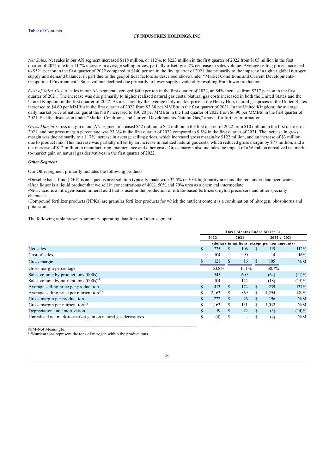*Net Sales.* Net sales in our AN segment increased \$118 million, or 112%, to \$223 million in the first quarter of 2022 from \$105 million in the first quarter of 2021 due to a 117% increase in average selling prices, partially offset by a 2% decrease in sales volume. Average selling prices increased to \$521 per ton in the first quarter of 2022 compared to \$240 per ton in the first quarter of 2021 due primarily to the impact of a tighter global nitrogen supply and demand balance, in part due to the geopolitical factors as described above under "Market Conditions and Current Developments-Geopolitical Environment." Sales volume declined due primarily to lower supply availability resulting from lower production.

*Cost of Sales.* Cost of sales in our AN segment averaged \$400 per ton in the first quarter of 2022, an 84% increase from \$217 per ton in the first quarter of 2021. The increase was due primarily to higher realized natural gas costs. Natural gas costs increased in both the United States and the United Kingdom in the first quarter of 2022. As measured by the average daily market price at the Henry Hub, natural gas prices in the United States increased to \$4.60 per MMBtu in the first quarter of 2022 from \$3.38 per MMBtu in the first quarter of 2021. In the United Kingdom, the average daily market price of natural gas at the NBP increased to \$30.20 per MMBtu in the first quarter of 2022 from \$6.90 per MMBtu in the first quarter of 2021. See the discussion under "Market Conditions and Current Developments-Natural Gas," above, for further information.

*Gross Margin*. Gross margin in our AN segment increased \$42 million to \$52 million in the first quarter of 2022 from \$10 million in the first quarter of 2021, and our gross margin percentage was 23.3% in the first quarter of 2022 compared to 9.5% in the first quarter of 2021. The increase in gross margin was due primarily to a 117% increase in average selling prices, which increased gross margin by \$122 million, and an increase of \$3 million due to product mix. This increase was partially offset by an increase in realized natural gas costs, which reduced gross margin by \$77 million, and a net increase of \$12 million in manufacturing, maintenance and other costs. Gross margin also includes the impact of a \$6 million unrealized net markto-market gain on natural gas derivatives in the first quarter of 2022.

### *Other Segment*

Our Other segment primarily includes the following products:

•Diesel exhaust fluid (DEF) is an aqueous urea solution typically made with 32.5% or 50% high-purity urea and the remainder deionized water. •Urea liquor is a liquid product that we sell in concentrations of 40%, 50% and 70% urea as a chemical intermediate.

•Nitric acid is a nitrogen-based mineral acid that is used in the production of nitrate-based fertilizers, nylon precursors and other specialty

chemicals.

•Compound fertilizer products (NPKs) are granular fertilizer products for which the nutrient content is a combination of nitrogen, phosphorus and potassium.

The following table presents summary operating data for our Other segment:

|                                                               | Three Months Ended March 31,                  |       |     |                          |     |              |          |  |  |  |
|---------------------------------------------------------------|-----------------------------------------------|-------|-----|--------------------------|-----|--------------|----------|--|--|--|
|                                                               |                                               | 2022  |     | 2021                     |     | 2022 v. 2021 |          |  |  |  |
|                                                               | (dollars in millions, except per ton amounts) |       |     |                          |     |              |          |  |  |  |
| Net sales                                                     | \$                                            | 225   | S   | 106                      |     | 119          | 112%     |  |  |  |
| Cost of sales                                                 |                                               | 104   |     | 90                       |     | 14           | 16%      |  |  |  |
| Gross margin                                                  |                                               | 121   |     | 16                       |     | 105          | N/M      |  |  |  |
| Gross margin percentage                                       |                                               | 53.8% |     | 15.1%                    |     | 38.7%        |          |  |  |  |
| Sales volume by product tons (000s)                           |                                               | 545   |     | 609                      |     | (64)         | (11)%    |  |  |  |
| Sales volume by nutrient tons $(000s)^{(1)}$                  |                                               | 104   |     | 122                      |     | (18)         | $(15)\%$ |  |  |  |
| Average selling price per product ton                         | \$                                            | 413   | \$. | 174                      | S.  | 239          | 137%     |  |  |  |
| Average selling price per nutrient ton $(1)$                  | \$                                            | 2,163 | S   | 869                      | S.  | 1,294        | 149%     |  |  |  |
| Gross margin per product ton                                  | \$                                            | 222   | S   | 26                       |     | 196          | N/M      |  |  |  |
| Gross margin per nutrient ton $(1)$                           | \$                                            | 1,163 | S   | 131                      | S.  | 1,032        | N/M      |  |  |  |
| Depreciation and amortization                                 | \$                                            | 19    | \$  | 22                       | \$. | (3)          | (14)%    |  |  |  |
| Unrealized net mark-to-market gain on natural gas derivatives | \$                                            | (4)   | \$  | $\overline{\phantom{a}}$ | S   | (4)          | N/M      |  |  |  |

N/M-Not Meaningful

 $<sup>(1)</sup>$ Nutrient tons represent the tons of nitrogen within the product tons.</sup>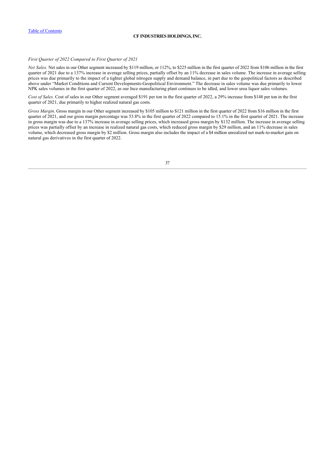### *First Quarter of 2022 Compared to First Quarter of 2021*

*Net Sales.* Net sales in our Other segment increased by \$119 million, or 112%, to \$225 million in the first quarter of 2022 from \$106 million in the first quarter of 2021 due to a 137% increase in average selling prices, partially offset by an 11% decrease in sales volume. The increase in average selling prices was due primarily to the impact of a tighter global nitrogen supply and demand balance, in part due to the geopolitical factors as described above under "Market Conditions and Current Developments-Geopolitical Environment." The decrease in sales volume was due primarily to lower NPK sales volumes in the first quarter of 2022, as our Ince manufacturing plant continues to be idled, and lower urea liquor sales volumes.

*Cost of Sales.* Cost of sales in our Other segment averaged \$191 per ton in the first quarter of 2022, a 29% increase from \$148 per ton in the first quarter of 2021, due primarily to higher realized natural gas costs.

*Gross Margin*. Gross margin in our Other segment increased by \$105 million to \$121 million in the first quarter of 2022 from \$16 million in the first quarter of 2021, and our gross margin percentage was 53.8% in the first quarter of 2022 compared to 15.1% in the first quarter of 2021. The increase in gross margin was due to a 137% increase in average selling prices, which increased gross margin by \$132 million. The increase in average selling prices was partially offset by an increase in realized natural gas costs, which reduced gross margin by \$29 million, and an 11% decrease in sales volume, which decreased gross margin by \$2 million. Gross margin also includes the impact of a \$4 million unrealized net mark-to-market gain on natural gas derivatives in the first quarter of 2022.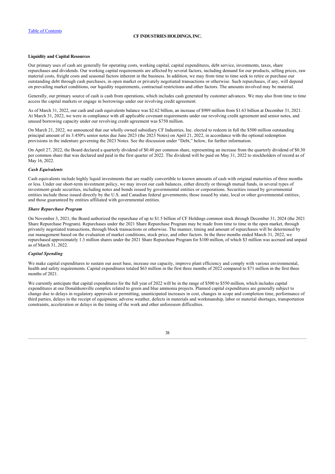### **Liquidity and Capital Resources**

Our primary uses of cash are generally for operating costs, working capital, capital expenditures, debt service, investments, taxes, share repurchases and dividends. Our working capital requirements are affected by several factors, including demand for our products, selling prices, raw material costs, freight costs and seasonal factors inherent in the business. In addition, we may from time to time seek to retire or purchase our outstanding debt through cash purchases, in open market or privately negotiated transactions or otherwise. Such repurchases, if any, will depend on prevailing market conditions, our liquidity requirements, contractual restrictions and other factors. The amounts involved may be material.

Generally, our primary source of cash is cash from operations, which includes cash generated by customer advances. We may also from time to time access the capital markets or engage in borrowings under our revolving credit agreement.

As of March 31, 2022, our cash and cash equivalents balance was \$2.62 billion, an increase of \$989 million from \$1.63 billion at December 31, 2021. At March 31, 2022, we were in compliance with all applicable covenant requirements under our revolving credit agreement and senior notes, and unused borrowing capacity under our revolving credit agreement was \$750 million.

On March 21, 2022, we announced that our wholly owned subsidiary CF Industries, Inc. elected to redeem in full the \$500 million outstanding principal amount of its 3.450% senior notes due June 2023 (the 2023 Notes) on April 21, 2022, in accordance with the optional redemption provisions in the indenture governing the 2023 Notes. See the discussion under "Debt," below, for further information.

On April 27, 2022, the Board declared a quarterly dividend of \$0.40 per common share, representing an increase from the quarterly dividend of \$0.30 per common share that was declared and paid in the first quarter of 2022. The dividend will be paid on May 31, 2022 to stockholders of record as of May 16, 2022.

### *Cash Equivalents*

Cash equivalents include highly liquid investments that are readily convertible to known amounts of cash with original maturities of three months or less. Under our short-term investment policy, we may invest our cash balances, either directly or through mutual funds, in several types of investment-grade securities, including notes and bonds issued by governmental entities or corporations. Securities issued by governmental entities include those issued directly by the U.S. and Canadian federal governments; those issued by state, local or other governmental entities; and those guaranteed by entities affiliated with governmental entities.

### *Share Repurchase Program*

On November 3, 2021, the Board authorized the repurchase of up to \$1.5 billion of CF Holdings common stock through December 31, 2024 (the 2021 Share Repurchase Program). Repurchases under the 2021 Share Repurchase Program may be made from time to time in the open market, through privately negotiated transactions, through block transactions or otherwise. The manner, timing and amount of repurchases will be determined by our management based on the evaluation of market conditions, stock price, and other factors. In the three months ended March 31, 2022, we repurchased approximately 1.3 million shares under the 2021 Share Repurchase Program for \$100 million, of which \$3 million was accrued and unpaid as of March 31, 2022.

#### *Capital Spending*

We make capital expenditures to sustain our asset base, increase our capacity, improve plant efficiency and comply with various environmental, health and safety requirements. Capital expenditures totaled \$63 million in the first three months of 2022 compared to \$71 million in the first three months of 2021.

We currently anticipate that capital expenditures for the full year of 2022 will be in the range of \$500 to \$550 million, which includes capital expenditures at our Donaldsonville complex related to green and blue ammonia projects. Planned capital expenditures are generally subject to change due to delays in regulatory approvals or permitting, unanticipated increases in cost, changes in scope and completion time, performance of third parties, delays in the receipt of equipment, adverse weather, defects in materials and workmanship, labor or material shortages, transportation constraints, acceleration or delays in the timing of the work and other unforeseen difficulties.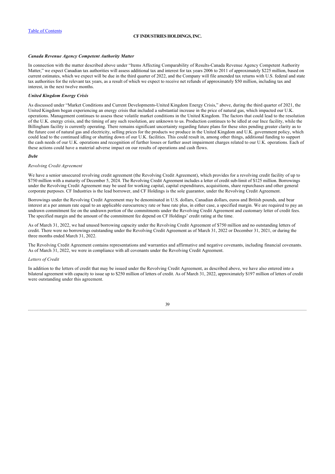#### *Canada Revenue Agency Competent Authority Matter*

In connection with the matter described above under "Items Affecting Comparability of Results-Canada Revenue Agency Competent Authority Matter," we expect Canadian tax authorities will assess additional tax and interest for tax years 2006 to 2011 of approximately \$225 million, based on current estimates, which we expect will be due in the third quarter of 2022, and the Company will file amended tax returns with U.S. federal and state tax authorities for the relevant tax years, as a result of which we expect to receive net refunds of approximately \$50 million, including tax and interest, in the next twelve months.

### *United Kingdom Energy Crisis*

As discussed under "Market Conditions and Current Developments-United Kingdom Energy Crisis," above, during the third quarter of 2021, the United Kingdom began experiencing an energy crisis that included a substantial increase in the price of natural gas, which impacted our U.K. operations. Management continues to assess these volatile market conditions in the United Kingdom. The factors that could lead to the resolution of the U.K. energy crisis, and the timing of any such resolution, are unknown to us. Production continues to be idled at our Ince facility, while the Billingham facility is currently operating. There remains significant uncertainty regarding future plans for these sites pending greater clarity as to the future cost of natural gas and electricity, selling prices for the products we produce in the United Kingdom and U.K. government policy, which could lead to the continued idling or shutting down of our U.K. facilities. This could result in, among other things, additional funding to support the cash needs of our U.K. operations and recognition of further losses or further asset impairment charges related to our U.K. operations. Each of these actions could have a material adverse impact on our results of operations and cash flows.

### *Debt*

#### *Revolving Credit Agreement*

We have a senior unsecured revolving credit agreement (the Revolving Credit Agreement), which provides for a revolving credit facility of up to \$750 million with a maturity of December 5, 2024. The Revolving Credit Agreement includes a letter of credit sub-limit of \$125 million. Borrowings under the Revolving Credit Agreement may be used for working capital, capital expenditures, acquisitions, share repurchases and other general corporate purposes. CF Industries is the lead borrower, and CF Holdings is the sole guarantor, under the Revolving Credit Agreement.

Borrowings under the Revolving Credit Agreement may be denominated in U.S. dollars, Canadian dollars, euros and British pounds, and bear interest at a per annum rate equal to an applicable eurocurrency rate or base rate plus, in either case, a specified margin. We are required to pay an undrawn commitment fee on the undrawn portion of the commitments under the Revolving Credit Agreement and customary letter of credit fees. The specified margin and the amount of the commitment fee depend on CF Holdings' credit rating at the time.

As of March 31, 2022, we had unused borrowing capacity under the Revolving Credit Agreement of \$750 million and no outstanding letters of credit. There were no borrowings outstanding under the Revolving Credit Agreement as of March 31, 2022 or December 31, 2021, or during the three months ended March 31, 2022.

The Revolving Credit Agreement contains representations and warranties and affirmative and negative covenants, including financial covenants. As of March 31, 2022, we were in compliance with all covenants under the Revolving Credit Agreement.

#### *Letters of Credit*

In addition to the letters of credit that may be issued under the Revolving Credit Agreement, as described above, we have also entered into a bilateral agreement with capacity to issue up to \$250 million of letters of credit. As of March 31, 2022, approximately \$197 million of letters of credit were outstanding under this agreement.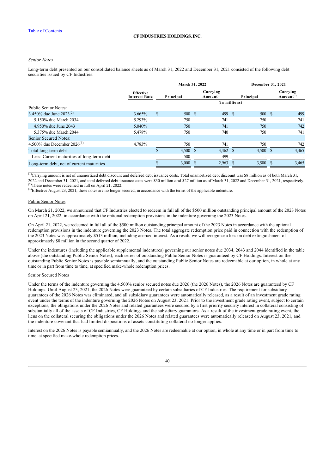### *Senior Notes*

Long-term debt presented on our consolidated balance sheets as of March 31, 2022 and December 31, 2021 consisted of the following debt securities issued by CF Industries:

|                                          |              |               |                                      |                      | December 31, 2021 |                   |  |                                      |  |
|------------------------------------------|--------------|---------------|--------------------------------------|----------------------|-------------------|-------------------|--|--------------------------------------|--|
| <b>Effective</b><br><b>Interest Rate</b> |              | Principal     | Carrying<br>$A$ mount <sup>(1)</sup> |                      | Principal         |                   |  | Carrying<br>$A$ mount <sup>(1)</sup> |  |
|                                          |              | (in millions) |                                      |                      |                   |                   |  |                                      |  |
|                                          |              |               |                                      |                      |                   |                   |  |                                      |  |
| 3.665%                                   | $\mathbb{S}$ |               |                                      |                      | - \$              |                   |  | 499                                  |  |
| 5.293%                                   |              | 750           |                                      | 741                  |                   | 750               |  | 741                                  |  |
| 5.040%                                   |              | 750           |                                      | 741                  |                   | 750               |  | 742                                  |  |
| 5.478%                                   |              | 750           |                                      | 740                  |                   | 750               |  | 741                                  |  |
|                                          |              |               |                                      |                      |                   |                   |  |                                      |  |
| 4.783%                                   |              | 750           |                                      | 741                  |                   | 750               |  | 742                                  |  |
|                                          | <b>S</b>     |               |                                      |                      |                   |                   |  | 3,465                                |  |
|                                          |              | 500           |                                      | 499                  |                   | -                 |  |                                      |  |
|                                          |              | 3,000         |                                      | 2,963                |                   | 3,500             |  | 3,465                                |  |
|                                          |              |               |                                      | 500 \$<br>$3,500$ \$ | March 31, 2022    | 499<br>$3,462$ \$ |  | 500 \$<br>$3,500$ \$                 |  |

 $\frac{(1)}{(1)}$ Carrying amount is net of unamortized debt discount and deferred debt issuance costs. Total unamortized debt discount was \$8 million as of both March 31, 2022 and December 31, 2021, and total deferred debt issuance costs were \$30 million and \$27 million as of March 31, 2022 and December 31, 2021, respectively.  $^{(2)}$ These notes were redeemed in full on April 21, 2022.

 $^{(3)}$ Effective August 23, 2021, these notes are no longer secured, in accordance with the terms of the applicable indenture.

#### Public Senior Notes

On March 21, 2022, we announced that CF Industries elected to redeem in full all of the \$500 million outstanding principal amount of the 2023 Notes on April 21, 2022, in accordance with the optional redemption provisions in the indenture governing the 2023 Notes.

On April 21, 2022, we redeemed in full all of the \$500 million outstanding principal amount of the 2023 Notes in accordance with the optional redemption provisions in the indenture governing the 2023 Notes. The total aggregate redemption price paid in connection with the redemption of the 2023 Notes was approximately \$513 million, including accrued interest. As a result, we will recognize a loss on debt extinguishment of approximately \$8 million in the second quarter of 2022.

Under the indentures (including the applicable supplemental indentures) governing our senior notes due 2034, 2043 and 2044 identified in the table above (the outstanding Public Senior Notes), each series of outstanding Public Senior Notes is guaranteed by CF Holdings. Interest on the outstanding Public Senior Notes is payable semiannually, and the outstanding Public Senior Notes are redeemable at our option, in whole at any time or in part from time to time, at specified make-whole redemption prices.

#### Senior Secured Notes

Under the terms of the indenture governing the 4.500% senior secured notes due 2026 (the 2026 Notes), the 2026 Notes are guaranteed by CF Holdings. Until August 23, 2021, the 2026 Notes were guaranteed by certain subsidiaries of CF Industries. The requirement for subsidiary guarantees of the 2026 Notes was eliminated, and all subsidiary guarantees were automatically released, as a result of an investment grade rating event under the terms of the indenture governing the 2026 Notes on August 23, 2021. Prior to the investment grade rating event, subject to certain exceptions, the obligations under the 2026 Notes and related guarantees were secured by a first priority security interest in collateral consisting of substantially all of the assets of CF Industries, CF Holdings and the subsidiary guarantors. As a result of the investment grade rating event, the liens on the collateral securing the obligations under the 2026 Notes and related guarantees were automatically released on August 23, 2021, and the indenture covenant that had limited dispositions of assets constituting collateral no longer applies.

Interest on the 2026 Notes is payable semiannually, and the 2026 Notes are redeemable at our option, in whole at any time or in part from time to time, at specified make-whole redemption prices.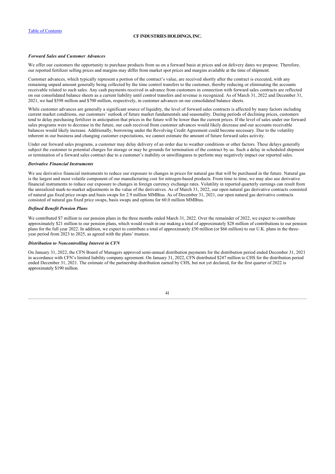### *Forward Sales and Customer Advances*

We offer our customers the opportunity to purchase products from us on a forward basis at prices and on delivery dates we propose. Therefore, our reported fertilizer selling prices and margins may differ from market spot prices and margins available at the time of shipment.

Customer advances, which typically represent a portion of the contract's value, are received shortly after the contract is executed, with any remaining unpaid amount generally being collected by the time control transfers to the customer, thereby reducing or eliminating the accounts receivable related to such sales. Any cash payments received in advance from customers in connection with forward sales contracts are reflected on our consolidated balance sheets as a current liability until control transfers and revenue is recognized. As of March 31, 2022 and December 31, 2021, we had \$598 million and \$700 million, respectively, in customer advances on our consolidated balance sheets.

While customer advances are generally a significant source of liquidity, the level of forward sales contracts is affected by many factors including current market conditions, our customers' outlook of future market fundamentals and seasonality. During periods of declining prices, customers tend to delay purchasing fertilizer in anticipation that prices in the future will be lower than the current prices. If the level of sales under our forward sales programs were to decrease in the future, our cash received from customer advances would likely decrease and our accounts receivable balances would likely increase. Additionally, borrowing under the Revolving Credit Agreement could become necessary. Due to the volatility inherent in our business and changing customer expectations, we cannot estimate the amount of future forward sales activity.

Under our forward sales programs, a customer may delay delivery of an order due to weather conditions or other factors. These delays generally subject the customer to potential charges for storage or may be grounds for termination of the contract by us. Such a delay in scheduled shipment or termination of a forward sales contract due to a customer's inability or unwillingness to perform may negatively impact our reported sales.

### *Derivative Financial Instruments*

We use derivative financial instruments to reduce our exposure to changes in prices for natural gas that will be purchased in the future. Natural gas is the largest and most volatile component of our manufacturing cost for nitrogen-based products. From time to time, we may also use derivative financial instruments to reduce our exposure to changes in foreign currency exchange rates. Volatility in reported quarterly earnings can result from the unrealized mark-to-market adjustments in the value of the derivatives. As of March 31, 2022, our open natural gas derivative contracts consisted of natural gas fixed price swaps and basis swaps for 2.9 million MMBtus. As of December 31, 2021, our open natural gas derivative contracts consisted of natural gas fixed price swaps, basis swaps and options for 60.0 million MMBtus.

### *Defined Benefit Pension Plans*

We contributed \$7 million to our pension plans in the three months ended March 31, 2022. Over the remainder of 2022, we expect to contribute approximately \$21 million to our pension plans, which would result in our making a total of approximately \$28 million of contributions to our pension plans for the full year 2022. In addition, we expect to contribute a total of approximately £50 million (or \$66 million) to our U.K. plans in the threeyear period from 2023 to 2025, as agreed with the plans' trustees.

#### *Distribution to Noncontrolling Interest in CFN*

On January 31, 2022, the CFN Board of Managers approved semi-annual distribution payments for the distribution period ended December 31, 2021 in accordance with CFN's limited liability company agreement. On January 31, 2022, CFN distributed \$247 million to CHS for the distribution period ended December 31, 2021. The estimate of the partnership distribution earned by CHS, but not yet declared, for the first quarter of 2022 is approximately \$190 million.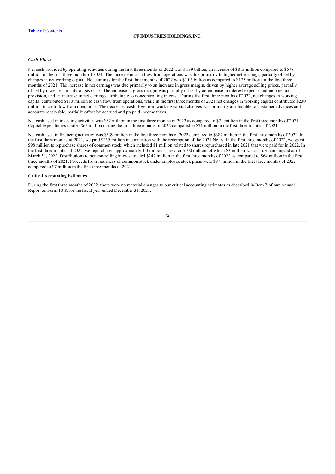### *Cash Flows*

Net cash provided by operating activities during the first three months of 2022 was \$1.39 billion, an increase of \$813 million compared to \$578 million in the first three months of 2021. The increase in cash flow from operations was due primarily to higher net earnings, partially offset by changes in net working capital. Net earnings for the first three months of 2022 was \$1.05 billion as compared to \$175 million for the first three months of 2021. The increase in net earnings was due primarily to an increase in gross margin, driven by higher average selling prices, partially offset by increases in natural gas costs. The increase in gross margin was partially offset by an increase in interest expense and income tax provision, and an increase in net earnings attributable to noncontrolling interest. During the first three months of 2022, net changes in working capital contributed \$110 million to cash flow from operations, while in the first three months of 2021 net changes in working capital contributed \$230 million to cash flow from operations. The decreased cash flow from working capital changes was primarily attributable to customer advances and accounts receivable, partially offset by accrued and prepaid income taxes.

Net cash used in investing activities was \$62 million in the first three months of 2022 as compared to \$71 million in the first three months of 2021. Capital expenditures totaled \$63 million during the first three months of 2022 compared to \$71 million in the first three months of 2021.

Net cash used in financing activities was \$339 million in the first three months of 2022 compared to \$387 million in the first three months of 2021. In the first three months of 2021, we paid \$255 million in connection with the redemption of the 2021 Notes. In the first three months of 2022, we spent \$98 million to repurchase shares of common stock, which included \$1 million related to shares repurchased in late 2021 that were paid for in 2022. In the first three months of 2022, we repurchased approximately 1.3 million shares for \$100 million, of which \$3 million was accrued and unpaid as of March 31, 2022. Distributions to noncontrolling interest totaled \$247 million in the first three months of 2022 as compared to \$64 million in the first three months of 2021. Proceeds from issuances of common stock under employee stock plans were \$97 million in the first three months of 2022 compared to \$7 million in the first three months of 2021.

### **Critical Accounting Estimates**

During the first three months of 2022, there were no material changes to our critical accounting estimates as described in Item 7 of our Annual Report on Form 10-K for the fiscal year ended December 31, 2021.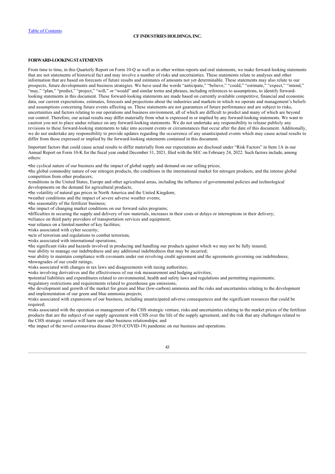### **FORWARD-LOOKING STATEMENTS**

From time to time, in this Quarterly Report on Form 10-Q as well as in other written reports and oral statements, we make forward-looking statements that are not statements of historical fact and may involve a number of risks and uncertainties. These statements relate to analyses and other information that are based on forecasts of future results and estimates of amounts not yet determinable. These statements may also relate to our prospects, future developments and business strategies. We have used the words "anticipate," "believe," "could," "estimate," "expect," "intend," "may," "plan," "predict," "project," "will," or "would" and similar terms and phrases, including references to assumptions, to identify forwardlooking statements in this document. These forward-looking statements are made based on currently available competitive, financial and economic data, our current expectations, estimates, forecasts and projections about the industries and markets in which we operate and management's beliefs and assumptions concerning future events affecting us. These statements are not guarantees of future performance and are subject to risks, uncertainties and factors relating to our operations and business environment, all of which are difficult to predict and many of which are beyond our control. Therefore, our actual results may differ materially from what is expressed in or implied by any forward-looking statements. We want to caution you not to place undue reliance on any forward-looking statements. We do not undertake any responsibility to release publicly any revisions to these forward-looking statements to take into account events or circumstances that occur after the date of this document. Additionally, we do not undertake any responsibility to provide updates regarding the occurrence of any unanticipated events which may cause actual results to differ from those expressed or implied by the forward-looking statements contained in this document.

Important factors that could cause actual results to differ materially from our expectations are disclosed under "Risk Factors" in Item 1A in our Annual Report on Form 10-K for the fiscal year ended December 31, 2021, filed with the SEC on February 24, 2022. Such factors include, among others:

•the cyclical nature of our business and the impact of global supply and demand on our selling prices;

•the global commodity nature of our nitrogen products, the conditions in the international market for nitrogen products, and the intense global competition from other producers;

•conditions in the United States, Europe and other agricultural areas, including the influence of governmental policies and technological developments on the demand for agricultural products;

•the volatility of natural gas prices in North America and the United Kingdom;

•weather conditions and the impact of severe adverse weather events;

•the seasonality of the fertilizer business;

•the impact of changing market conditions on our forward sales programs;

•difficulties in securing the supply and delivery of raw materials, increases in their costs or delays or interruptions in their delivery;

•reliance on third party providers of transportation services and equipment;

•our reliance on a limited number of key facilities;

•risks associated with cyber security;

•acts of terrorism and regulations to combat terrorism;

•risks associated with international operations;

•the significant risks and hazards involved in producing and handling our products against which we may not be fully insured;

•our ability to manage our indebtedness and any additional indebtedness that may be incurred;

•our ability to maintain compliance with covenants under our revolving credit agreement and the agreements governing our indebtedness; •downgrades of our credit ratings;

•risks associated with changes in tax laws and disagreements with taxing authorities;

•risks involving derivatives and the effectiveness of our risk measurement and hedging activities;

•potential liabilities and expenditures related to environmental, health and safety laws and regulations and permitting requirements;

•regulatory restrictions and requirements related to greenhouse gas emissions;

•the development and growth of the market for green and blue (low-carbon) ammonia and the risks and uncertainties relating to the development and implementation of our green and blue ammonia projects;

•risks associated with expansions of our business, including unanticipated adverse consequences and the significant resources that could be required;

•risks associated with the operation or management of the CHS strategic venture, risks and uncertainties relating to the market prices of the fertilizer products that are the subject of our supply agreement with CHS over the life of the supply agreement, and the risk that any challenges related to the CHS strategic venture will harm our other business relationships; and

<span id="page-45-0"></span>•the impact of the novel coronavirus disease 2019 (COVID-19) pandemic on our business and operations.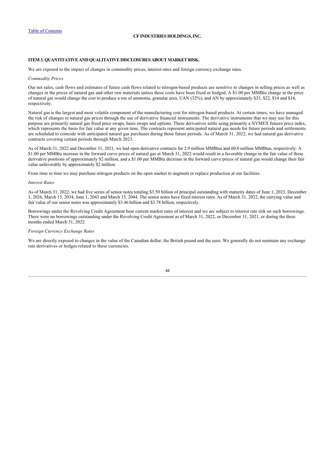### **ITEM 3. QUANTITATIVE AND QUALITATIVE DISCLOSURES ABOUT MARKET RISK.**

We are exposed to the impact of changes in commodity prices, interest rates and foreign currency exchange rates.

#### *Commodity Prices*

Our net sales, cash flows and estimates of future cash flows related to nitrogen-based products are sensitive to changes in selling prices as well as changes in the prices of natural gas and other raw materials unless these costs have been fixed or hedged. A \$1.00 per MMBtu change in the price of natural gas would change the cost to produce a ton of ammonia, granular urea, UAN (32%), and AN by approximately \$33, \$22, \$14 and \$16, respectively.

Natural gas is the largest and most volatile component of the manufacturing cost for nitrogen-based products. At certain times, we have managed the risk of changes in natural gas prices through the use of derivative financial instruments. The derivative instruments that we may use for this purpose are primarily natural gas fixed price swaps, basis swaps and options. These derivatives settle using primarily a NYMEX futures price index, which represents the basis for fair value at any given time. The contracts represent anticipated natural gas needs for future periods and settlements are scheduled to coincide with anticipated natural gas purchases during those future periods. As of March 31, 2022, we had natural gas derivative contracts covering certain periods through March 2023.

As of March 31, 2022 and December 31, 2021, we had open derivative contracts for 2.9 million MMBtus and 60.0 million MMBtus, respectively. A \$1.00 per MMBtu increase in the forward curve prices of natural gas at March 31, 2022 would result in a favorable change in the fair value of these derivative positions of approximately \$2 million, and a \$1.00 per MMBtu decrease in the forward curve prices of natural gas would change their fair value unfavorably by approximately \$2 million.

From time to time we may purchase nitrogen products on the open market to augment or replace production at our facilities.

#### *Interest Rates*

As of March 31, 2022, we had five series of senior notes totaling \$3.50 billion of principal outstanding with maturity dates of June 1, 2023, December 1, 2026, March 15, 2034, June 1, 2043 and March 15, 2044. The senior notes have fixed interest rates. As of March 31, 2022, the carrying value and fair value of our senior notes was approximately \$3.46 billion and \$3.78 billion, respectively.

Borrowings under the Revolving Credit Agreement bear current market rates of interest and we are subject to interest rate risk on such borrowings. There were no borrowings outstanding under the Revolving Credit Agreement as of March 31, 2022, or December 31, 2021, or during the three months ended March 31, 2022.

#### *Foreign Currency Exchange Rates*

<span id="page-46-0"></span>We are directly exposed to changes in the value of the Canadian dollar, the British pound and the euro. We generally do not maintain any exchange rate derivatives or hedges related to these currencies.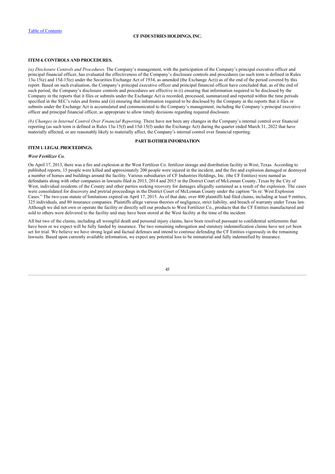### **ITEM 4. CONTROLS AND PROCEDURES.**

*(a) Disclosure Controls and Procedures.* The Company's management, with the participation of the Company's principal executive officer and principal financial officer, has evaluated the effectiveness of the Company's disclosure controls and procedures (as such term is defined in Rules 13a-15(e) and 15d-15(e) under the Securities Exchange Act of 1934, as amended (the Exchange Act)) as of the end of the period covered by this report. Based on such evaluation, the Company's principal executive officer and principal financial officer have concluded that, as of the end of such period, the Company's disclosure controls and procedures are effective in (i) ensuring that information required to be disclosed by the Company in the reports that it files or submits under the Exchange Act is recorded, processed, summarized and reported within the time periods specified in the SEC's rules and forms and (ii) ensuring that information required to be disclosed by the Company in the reports that it files or submits under the Exchange Act is accumulated and communicated to the Company's management, including the Company's principal executive officer and principal financial officer, as appropriate to allow timely decisions regarding required disclosure.

*(b) Changes in Internal Control Over Financial Reporting.* There have not been any changes in the Company's internal control over financial reporting (as such term is defined in Rules 13a-15(f) and 15d-15(f) under the Exchange Act) during the quarter ended March 31, 2022 that have materially affected, or are reasonably likely to materially affect, the Company's internal control over financial reporting.

### **PART II-OTHER INFORMATION**

#### <span id="page-47-1"></span><span id="page-47-0"></span>**ITEM 1. LEGAL PROCEEDINGS.**

### *West Fertilizer Co.*

On April 17, 2013, there was a fire and explosion at the West Fertilizer Co. fertilizer storage and distribution facility in West, Texas. According to published reports, 15 people were killed and approximately 200 people were injured in the incident, and the fire and explosion damaged or destroyed a number of homes and buildings around the facility. Various subsidiaries of CF Industries Holdings, Inc. (the CF Entities) were named as defendants along with other companies in lawsuits filed in 2013, 2014 and 2015 in the District Court of McLennan County, Texas by the City of West, individual residents of the County and other parties seeking recovery for damages allegedly sustained as a result of the explosion. The cases were consolidated for discovery and pretrial proceedings in the District Court of McLennan County under the caption "In re: West Explosion Cases." The two-year statute of limitations expired on April 17, 2015. As of that date, over 400 plaintiffs had filed claims, including at least 9 entities, 325 individuals, and 80 insurance companies. Plaintiffs allege various theories of negligence, strict liability, and breach of warranty under Texas law. Although we did not own or operate the facility or directly sell our products to West Fertilizer Co., products that the CF Entities manufactured and sold to others were delivered to the facility and may have been stored at the West facility at the time of the incident.

<span id="page-47-2"></span>All but two of the claims, including all wrongful death and personal injury claims, have been resolved pursuant to confidential settlements that have been or we expect will be fully funded by insurance. The two remaining subrogation and statutory indemnification claims have not yet been set for trial. We believe we have strong legal and factual defenses and intend to continue defending the CF Entities vigorously in the remaining lawsuits. Based upon currently available information, we expect any potential loss to be immaterial and fully indemnified by insurance.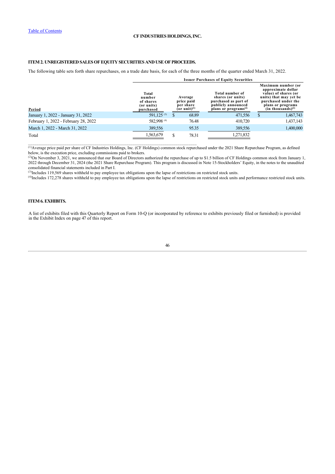# **ITEM 2. UNREGISTERED SALES OF EQUITY SECURITIES AND USE OF PROCEEDS.**

 $\mathcal{L}_\mathcal{L} = \{ \mathcal{L}_\mathcal{L} = \{ \mathcal{L}_\mathcal{L} = \{ \mathcal{L}_\mathcal{L} = \{ \mathcal{L}_\mathcal{L} = \{ \mathcal{L}_\mathcal{L} = \{ \mathcal{L}_\mathcal{L} = \{ \mathcal{L}_\mathcal{L} = \{ \mathcal{L}_\mathcal{L} = \{ \mathcal{L}_\mathcal{L} = \{ \mathcal{L}_\mathcal{L} = \{ \mathcal{L}_\mathcal{L} = \{ \mathcal{L}_\mathcal{L} = \{ \mathcal{L}_\mathcal{L} = \{ \mathcal{L}_\mathcal{$ 

The following table sets forth share repurchases, on a trade date basis, for each of the three months of the quarter ended March 31, 2022.

|                                      | <b>Issuer Purchases of Equity Securities</b>            |     |                                                                |                                                                                                               |   |                                                                                                                                                                  |  |  |  |  |  |
|--------------------------------------|---------------------------------------------------------|-----|----------------------------------------------------------------|---------------------------------------------------------------------------------------------------------------|---|------------------------------------------------------------------------------------------------------------------------------------------------------------------|--|--|--|--|--|
| Period                               | Total<br>number<br>of shares<br>(or units)<br>purchased |     | Average<br>price paid<br>per share<br>(or unit) <sup>(1)</sup> | Total number of<br>shares (or units)<br>purchased as part of<br>publicly announced<br>plans or programs $(2)$ |   | Maximum number (or<br>approximate dollar<br>value) of shares (or<br>units) that may yet be<br>purchased under the<br>plans or programs<br>$(in$ thousands) $(2)$ |  |  |  |  |  |
| January 1, 2022 - January 31, 2022   | 591,125 <sup>(3)</sup>                                  | \$. | 68.89                                                          | 471,556                                                                                                       | S | 1,467,743                                                                                                                                                        |  |  |  |  |  |
| February 1, 2022 - February 28, 2022 | 582,998 (4)                                             |     | 76.48                                                          | 410,720                                                                                                       |   | 1,437,143                                                                                                                                                        |  |  |  |  |  |
| March 1, 2022 - March 31, 2022       | 389,556                                                 |     | 95.35                                                          | 389,556                                                                                                       |   | 1,400,000                                                                                                                                                        |  |  |  |  |  |
| Total                                | 1,563,679                                               |     | 78.31                                                          | 1,271,832                                                                                                     |   |                                                                                                                                                                  |  |  |  |  |  |

<sup>(1)</sup>Average price paid per share of CF Industries Holdings, Inc. (CF Holdings) common stock repurchased under the 2021 Share Repurchase Program, as defined below, is the execution price, excluding commissions paid to brokers.

( $^{2}$ On November 3, 2021, we announced that our Board of Directors authorized the repurchase of up to \$1.5 billion of CF Holdings common stock from January 1, 2022 through December 31, 2024 (the 2021 Share Repurchase Program). This program is discussed in Note 15-Stockholders' Equity, in the notes to the unaudited consolidated financial statements included in Part I.

 $(3)$ Includes 119,569 shares withheld to pay employee tax obligations upon the lapse of restrictions on restricted stock units.

 $^{(4)}$ Includes 172,278 shares withheld to pay employee tax obligations upon the lapse of restrictions on restricted stock units and performance restricted stock units.

# <span id="page-48-1"></span>**ITEM 6. EXHIBITS.**

<span id="page-48-0"></span>A list of exhibits filed with this Quarterly Report on Form 10-Q (or incorporated by reference to exhibits previously filed or furnished) is provided in the Exhibit Index on page [47](#page-48-0) of this report.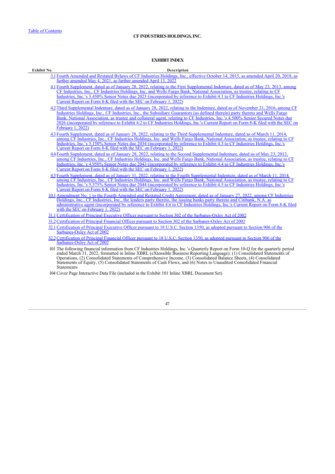### **EXHIBIT INDEX**

#### **Exhibit No. Description**

- [3.1](http://www.sec.gov/Archives/edgar/data/1324404/000132440422000016/cf-03312022xex31.htm) [Fourth Amended and Restated Bylaws of CF Industries Holdings, Inc., effective October 14, 2015, as amended April 20, 2018, as](http://www.sec.gov/Archives/edgar/data/1324404/000132440422000016/cf-03312022xex31.htm) further amended May 4, 2021, as further amended April 13, 2022
	- [4.1](https://www.sec.gov/Archives/edgar/data/1324404/000110465922010325/tm224733d1_ex4-1.htm) [Fourth Supplement, dated as of January 28, 2022, relating to the First Supplemental Indenture, dated as of May 23, 2013, among](https://www.sec.gov/Archives/edgar/data/1324404/000110465922010325/tm224733d1_ex4-1.htm) CF Industries, Inc., CF Industries Holdings, Inc. and Wells Fargo Bank, National Association, as trustee, relating to CF Industries, Inc.'s 3.450% Senior Notes due 2023 (incorporated by reference to Exhibit 4.1 to CF Industries Holdings, Inc.'s Current Report on Form 8-K filed with the SEC on February 1, 2022)
	- [4.2](https://www.sec.gov/Archives/edgar/data/1324404/000110465922010325/tm224733d1_ex4-2.htm) Third Supplemental Indenture, dated as of January 28, 2022, relating to the Indenture, dated as of November 21, 2016, among CF Industries Holdings, Inc., CF Industries, Inc., the Subsidiary Guarantors (as defined therein) party thereto and Wells Fargo Bank, National Association, as trustee and collateral agent, relating to CF Industries, Inc.'s 4.500% Senior Secured Notes due [2026 \(incorporated by reference to Exhibit 4.2 to CF Industries Holdings, Inc.'s Current Report on Form 8-K filed with the SEC on](https://www.sec.gov/Archives/edgar/data/1324404/000110465922010325/tm224733d1_ex4-2.htm) February 1, 2022)
	- [4.3](https://www.sec.gov/Archives/edgar/data/1324404/000110465922010325/tm224733d1_ex4-3.htm) Fourth Supplement, dated as of January 28, 2022, relating to the Third Supplemental Indenture, dated as of March 11, 2014, [among CF Industries, Inc., CF Industries Holdings, Inc. and Wells Fargo Bank, National Association, as trustee, relating to CF](https://www.sec.gov/Archives/edgar/data/1324404/000110465922010325/tm224733d1_ex4-3.htm) Industries, Inc.'s 5.150% Senior Notes due 2034 (incorporated by reference to Exhibit 4.3 to CF Industries Holdings, Inc.'s Current Report on Form 8-K filed with the SEC on February 1, 2022)
	- [4.4](https://www.sec.gov/Archives/edgar/data/1324404/000110465922010325/tm224733d1_ex4-4.htm) Fourth Supplement, dated as of January 28, 2022, relating to the Second Supplemental Indenture, dated as of May 23, 2013 [among CF Industries, Inc., CF Industries Holdings, Inc. and Wells Fargo Bank, National Association, as trustee, relating to CF](https://www.sec.gov/Archives/edgar/data/1324404/000110465922010325/tm224733d1_ex4-4.htm) Industries, Inc.'s 4.950% Senior Notes due 2043 (incorporated by reference to Exhibit 4.4 to CF Industries Holdings, Inc.'s Current Report on Form 8-K filed with the SEC on February 1, 2022)
	- [4.5](https://www.sec.gov/Archives/edgar/data/1324404/000110465922010325/tm224733d1_ex4-5.htm) Fourth Supplement, dated as of January 31, 2022, relating to the Fourth Supplemental Indenture, dated as of March 11, 2014, [among CF Industries, Inc., CF Industries Holdings, Inc. and Wells Fargo Bank, National Association, as trustee, relating to CF](https://www.sec.gov/Archives/edgar/data/1324404/000110465922010325/tm224733d1_ex4-5.htm) Industries, Inc.'s 5.375% Senior Notes due 2044 (incorporated by reference to Exhibit 4.5 to CF Industries Holdings, Inc.'s Current Report on Form 8-K filed with the SEC on February 1, 2022)
- [10.1](https://www.sec.gov/Archives/edgar/data/1324404/000110465922010325/tm224733d1_ex4-6.htm) Amendment No. 1 to the Fourth Amended and Restated Credit Agreement, dated as of January 27, 2022, among CF Industries Holdings, Inc., CF Industries, Inc., the lenders party thereto, the issuing banks party thereto and Citibank, N.A. as [administrative agent \(incorporated by reference to Exhibit 4.6 to CF Industries Holdings, Inc.'s Current Report on Form 8-K filed](https://www.sec.gov/Archives/edgar/data/1324404/000110465922010325/tm224733d1_ex4-6.htm) with the SEC on February 1, 2022)
- 31.1 Certification of Principal Executive Officer pursuant to Section 302 of the Sarbanes-Oxley Act of 2002
- [31.2Certification of Principal Financial Officer pursuant to Section 302 of the Sarbanes-Oxley Act of 2002](http://www.sec.gov/Archives/edgar/data/1324404/000132440422000016/cf-03312022xex312.htm)
- [32.1Certification of Principal Executive Officer pursuant to 18 U.S.C. Section 1350, as adopted pursuant to Section 906 of the](http://www.sec.gov/Archives/edgar/data/1324404/000132440422000016/cf-03312022xex321.htm) Sarbanes-Oxley Act of 2002
- [32.2Certification of Principal Financial Officer pursuant to 18 U.S.C. Section 1350, as adopted pursuant to Section 906 of the](http://www.sec.gov/Archives/edgar/data/1324404/000132440422000016/cf-03312022xex322.htm) Sarbanes-Oxley Act of 2002
- 101 The following financial information from CF Industries Holdings, Inc.'s Quarterly Report on Form 10-Q for the quarterly period ended March 31, 2022, formatted in Inline XBRL (eXtensible Business Reporting Language): (1) Consolidated Statements of Operations, (2) Consolidated Statements of Comprehensive Income, (3) Consolidated Balance Sheets, (4) Consolidated Statements of Equity, (5) Consolidated Statements of Cash Flows, and (6) Notes to Unaudited Consolidated Financial Statements

104 Cover Page Interactive Data File (included in the Exhibit 101 Inline XBRL Document Set)